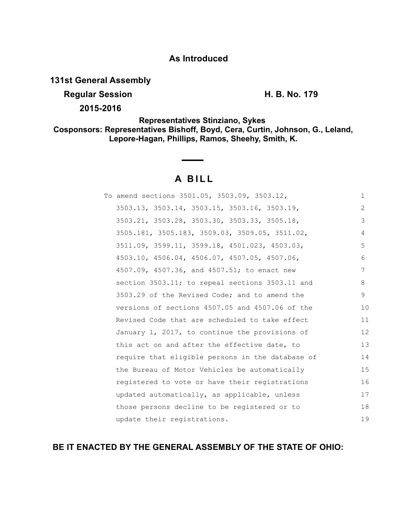### **As Introduced**

**131st General Assembly**

**Regular Session H. B. No. 179** 

**2015-2016**

**Representatives Stinziano, Sykes Cosponsors: Representatives Bishoff, Boyd, Cera, Curtin, Johnson, G., Leland, Lepore-Hagan, Phillips, Ramos, Sheehy, Smith, K.**

# **A B I L L**

| To amend sections 3501.05, 3503.09, 3503.12,     | $\mathbf{1}$ |
|--------------------------------------------------|--------------|
| 3503.13, 3503.14, 3503.15, 3503.16, 3503.19,     | 2            |
| 3503.21, 3503.28, 3503.30, 3503.33, 3505.18,     | 3            |
| 3505.181, 3505.183, 3509.03, 3509.05, 3511.02,   | 4            |
| 3511.09, 3599.11, 3599.18, 4501.023, 4503.03,    | 5            |
| 4503.10, 4506.04, 4506.07, 4507.05, 4507.06,     | 6            |
| 4507.09, 4507.36, and 4507.51; to enact new      | 7            |
| section 3503.11; to repeal sections 3503.11 and  | 8            |
| 3503.29 of the Revised Code; and to amend the    | 9            |
| versions of sections 4507.05 and 4507.06 of the  | 10           |
| Revised Code that are scheduled to take effect   | 11           |
| January 1, 2017, to continue the provisions of   | 12           |
| this act on and after the effective date, to     | 13           |
| require that eligible persons in the database of | 14           |
| the Bureau of Motor Vehicles be automatically    | 15           |
| registered to vote or have their registrations   | 16           |
| updated automatically, as applicable, unless     | 17           |
| those persons decline to be registered or to     | 18           |
| update their registrations.                      | 19           |

## **BE IT ENACTED BY THE GENERAL ASSEMBLY OF THE STATE OF OHIO:**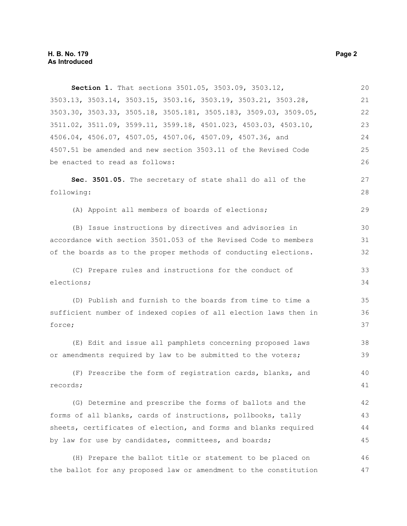**Section 1.** That sections 3501.05, 3503.09, 3503.12, 3503.13, 3503.14, 3503.15, 3503.16, 3503.19, 3503.21, 3503.28, 3503.30, 3503.33, 3505.18, 3505.181, 3505.183, 3509.03, 3509.05, 3511.02, 3511.09, 3599.11, 3599.18, 4501.023, 4503.03, 4503.10, 4506.04, 4506.07, 4507.05, 4507.06, 4507.09, 4507.36, and 4507.51 be amended and new section 3503.11 of the Revised Code be enacted to read as follows: **Sec. 3501.05.** The secretary of state shall do all of the following: (A) Appoint all members of boards of elections; (B) Issue instructions by directives and advisories in accordance with section 3501.053 of the Revised Code to members of the boards as to the proper methods of conducting elections. (C) Prepare rules and instructions for the conduct of elections; (D) Publish and furnish to the boards from time to time a sufficient number of indexed copies of all election laws then in force; (E) Edit and issue all pamphlets concerning proposed laws or amendments required by law to be submitted to the voters; (F) Prescribe the form of registration cards, blanks, and records; (G) Determine and prescribe the forms of ballots and the forms of all blanks, cards of instructions, pollbooks, tally sheets, certificates of election, and forms and blanks required by law for use by candidates, committees, and boards; (H) Prepare the ballot title or statement to be placed on 20 21 22 23 24 25 26 27 28 29 30 31 32 33 34 35 36 37 38 39 40 41 42 43 44 45 46

the ballot for any proposed law or amendment to the constitution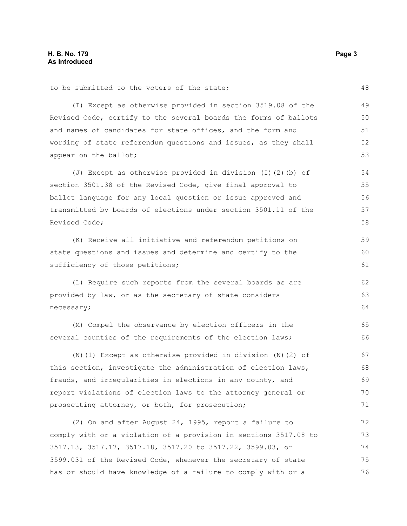to be submitted to the voters of the state; (I) Except as otherwise provided in section 3519.08 of the Revised Code, certify to the several boards the forms of ballots and names of candidates for state offices, and the form and wording of state referendum questions and issues, as they shall appear on the ballot; (J) Except as otherwise provided in division (I)(2)(b) of section 3501.38 of the Revised Code, give final approval to ballot language for any local question or issue approved and transmitted by boards of elections under section 3501.11 of the Revised Code; (K) Receive all initiative and referendum petitions on state questions and issues and determine and certify to the sufficiency of those petitions; (L) Require such reports from the several boards as are provided by law, or as the secretary of state considers necessary; (M) Compel the observance by election officers in the several counties of the requirements of the election laws; (N)(1) Except as otherwise provided in division (N)(2) of this section, investigate the administration of election laws, frauds, and irregularities in elections in any county, and report violations of election laws to the attorney general or prosecuting attorney, or both, for prosecution; (2) On and after August 24, 1995, report a failure to comply with or a violation of a provision in sections 3517.08 to 3517.13, 3517.17, 3517.18, 3517.20 to 3517.22, 3599.03, or 3599.031 of the Revised Code, whenever the secretary of state has or should have knowledge of a failure to comply with or a 49 50 51 52 53 54 55 56 57 58 59 60 61 62 63 64 65 66 67 68 69 70 71 72 73 74 75 76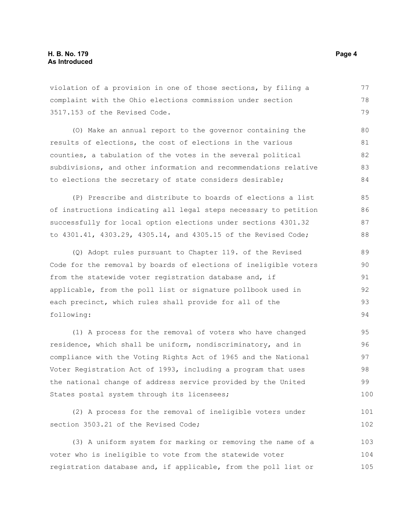violation of a provision in one of those sections, by filing a complaint with the Ohio elections commission under section 3517.153 of the Revised Code. 77 78 79

(O) Make an annual report to the governor containing the results of elections, the cost of elections in the various counties, a tabulation of the votes in the several political subdivisions, and other information and recommendations relative to elections the secretary of state considers desirable; 80 81 82 83 84

(P) Prescribe and distribute to boards of elections a list of instructions indicating all legal steps necessary to petition successfully for local option elections under sections 4301.32 to 4301.41, 4303.29, 4305.14, and 4305.15 of the Revised Code; 85 86 87 88

(Q) Adopt rules pursuant to Chapter 119. of the Revised Code for the removal by boards of elections of ineligible voters from the statewide voter registration database and, if applicable, from the poll list or signature pollbook used in each precinct, which rules shall provide for all of the following: 89 90 91 92 93 94

(1) A process for the removal of voters who have changed residence, which shall be uniform, nondiscriminatory, and in compliance with the Voting Rights Act of 1965 and the National Voter Registration Act of 1993, including a program that uses the national change of address service provided by the United States postal system through its licensees; 95 96 97 98 99 100

(2) A process for the removal of ineligible voters under section 3503.21 of the Revised Code; 101 102

(3) A uniform system for marking or removing the name of a voter who is ineligible to vote from the statewide voter registration database and, if applicable, from the poll list or 103 104 105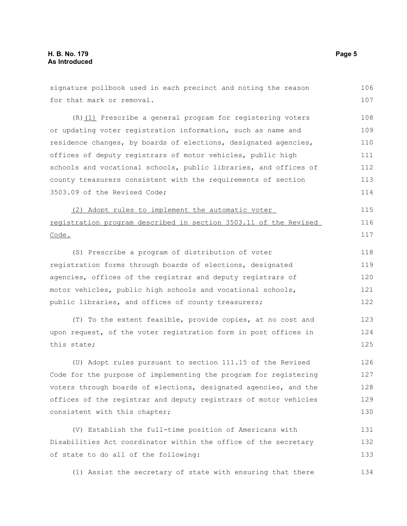signature pollbook used in each precinct and noting the reason for that mark or removal. (R) (1) Prescribe a general program for registering voters or updating voter registration information, such as name and residence changes, by boards of elections, designated agencies, offices of deputy registrars of motor vehicles, public high schools and vocational schools, public libraries, and offices of county treasurers consistent with the requirements of section 3503.09 of the Revised Code; (2) Adopt rules to implement the automatic voter registration program described in section 3503.11 of the Revised Code. (S) Prescribe a program of distribution of voter registration forms through boards of elections, designated agencies, offices of the registrar and deputy registrars of motor vehicles, public high schools and vocational schools, public libraries, and offices of county treasurers; (T) To the extent feasible, provide copies, at no cost and upon request, of the voter registration form in post offices in this state; (U) Adopt rules pursuant to section 111.15 of the Revised Code for the purpose of implementing the program for registering voters through boards of elections, designated agencies, and the offices of the registrar and deputy registrars of motor vehicles consistent with this chapter; 106 107 108 109 110 111 112 113 114 115 116 117 118 119 120 121 122 123 124 125 126 127 128 129 130

(V) Establish the full-time position of Americans with Disabilities Act coordinator within the office of the secretary of state to do all of the following: 131 132 133

(1) Assist the secretary of state with ensuring that there 134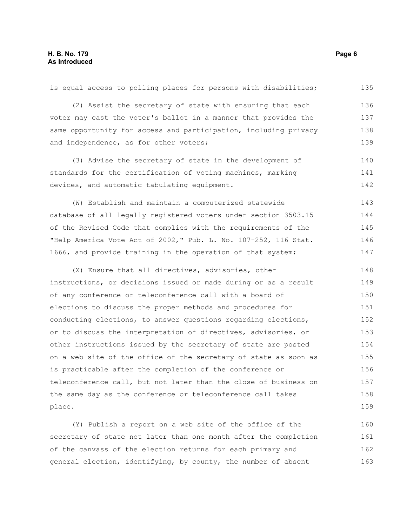| is equal access to polling places for persons with disabilities; | 135 |
|------------------------------------------------------------------|-----|
| (2) Assist the secretary of state with ensuring that each        | 136 |
| voter may cast the voter's ballot in a manner that provides the  | 137 |
| same opportunity for access and participation, including privacy | 138 |
| and independence, as for other voters;                           | 139 |
| (3) Advise the secretary of state in the development of          | 140 |
| standards for the certification of voting machines, marking      | 141 |
| devices, and automatic tabulating equipment.                     | 142 |
| (W) Establish and maintain a computerized statewide              | 143 |
| database of all legally registered voters under section 3503.15  | 144 |
| of the Revised Code that complies with the requirements of the   | 145 |
| "Help America Vote Act of 2002," Pub. L. No. 107-252, 116 Stat.  | 146 |
| 1666, and provide training in the operation of that system;      | 147 |
| (X) Ensure that all directives, advisories, other                | 148 |
| instructions, or decisions issued or made during or as a result  | 149 |
| of any conference or teleconference call with a board of         | 150 |
| elections to discuss the proper methods and procedures for       | 151 |
| conducting elections, to answer questions regarding elections,   | 152 |
| or to discuss the interpretation of directives, advisories, or   | 153 |
| other instructions issued by the secretary of state are posted   | 154 |
| on a web site of the office of the secretary of state as soon as | 155 |
| is practicable after the completion of the conference or         | 156 |
|                                                                  |     |
| teleconference call, but not later than the close of business on | 157 |
| the same day as the conference or teleconference call takes      | 158 |
| place.                                                           | 159 |

secretary of state not later than one month after the completion of the canvass of the election returns for each primary and general election, identifying, by county, the number of absent 161 162 163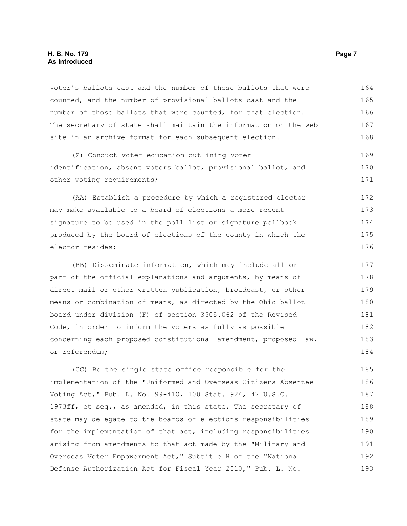#### **H. B. No. 179 Page 7 As Introduced**

voter's ballots cast and the number of those ballots that were counted, and the number of provisional ballots cast and the number of those ballots that were counted, for that election. The secretary of state shall maintain the information on the web site in an archive format for each subsequent election. 164 165 166 167 168

(Z) Conduct voter education outlining voter identification, absent voters ballot, provisional ballot, and other voting requirements; 169 170 171

(AA) Establish a procedure by which a registered elector may make available to a board of elections a more recent signature to be used in the poll list or signature pollbook produced by the board of elections of the county in which the elector resides; 172 173 174 175 176

(BB) Disseminate information, which may include all or part of the official explanations and arguments, by means of direct mail or other written publication, broadcast, or other means or combination of means, as directed by the Ohio ballot board under division (F) of section 3505.062 of the Revised Code, in order to inform the voters as fully as possible concerning each proposed constitutional amendment, proposed law, or referendum; 177 178 179 180 181 182 183 184

(CC) Be the single state office responsible for the implementation of the "Uniformed and Overseas Citizens Absentee Voting Act," Pub. L. No. 99-410, 100 Stat. 924, 42 U.S.C. 1973ff, et seq., as amended, in this state. The secretary of state may delegate to the boards of elections responsibilities for the implementation of that act, including responsibilities arising from amendments to that act made by the "Military and Overseas Voter Empowerment Act," Subtitle H of the "National Defense Authorization Act for Fiscal Year 2010," Pub. L. No. 185 186 187 188 189 190 191 192 193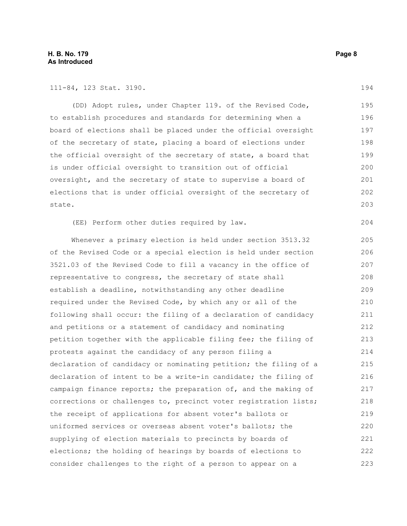(DD) Adopt rules, under Chapter 119. of the Revised Code, to establish procedures and standards for determining when a board of elections shall be placed under the official oversight of the secretary of state, placing a board of elections under the official oversight of the secretary of state, a board that is under official oversight to transition out of official oversight, and the secretary of state to supervise a board of elections that is under official oversight of the secretary of state. 195 196 197 198 199 200 201 202 203

```
(EE) Perform other duties required by law.
                                                           204
```
Whenever a primary election is held under section 3513.32 of the Revised Code or a special election is held under section 3521.03 of the Revised Code to fill a vacancy in the office of representative to congress, the secretary of state shall establish a deadline, notwithstanding any other deadline required under the Revised Code, by which any or all of the following shall occur: the filing of a declaration of candidacy and petitions or a statement of candidacy and nominating petition together with the applicable filing fee; the filing of protests against the candidacy of any person filing a declaration of candidacy or nominating petition; the filing of a declaration of intent to be a write-in candidate; the filing of campaign finance reports; the preparation of, and the making of corrections or challenges to, precinct voter registration lists; the receipt of applications for absent voter's ballots or uniformed services or overseas absent voter's ballots; the supplying of election materials to precincts by boards of elections; the holding of hearings by boards of elections to consider challenges to the right of a person to appear on a 205 206 207 208 209 210 211 212 213 214 215 216 217 218 219 220 221 222 223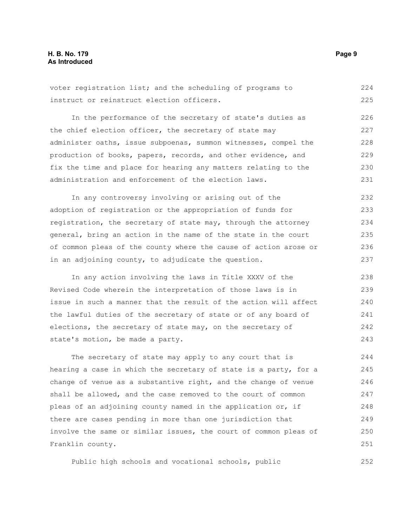voter registration list; and the scheduling of programs to instruct or reinstruct election officers. 224 225

In the performance of the secretary of state's duties as the chief election officer, the secretary of state may administer oaths, issue subpoenas, summon witnesses, compel the production of books, papers, records, and other evidence, and fix the time and place for hearing any matters relating to the administration and enforcement of the election laws. 226 227 228 229 230 231

In any controversy involving or arising out of the adoption of registration or the appropriation of funds for registration, the secretary of state may, through the attorney general, bring an action in the name of the state in the court of common pleas of the county where the cause of action arose or in an adjoining county, to adjudicate the question. 232 233 234 235 236 237

In any action involving the laws in Title XXXV of the Revised Code wherein the interpretation of those laws is in issue in such a manner that the result of the action will affect the lawful duties of the secretary of state or of any board of elections, the secretary of state may, on the secretary of state's motion, be made a party. 238 239 240 241 242 243

The secretary of state may apply to any court that is hearing a case in which the secretary of state is a party, for a change of venue as a substantive right, and the change of venue shall be allowed, and the case removed to the court of common pleas of an adjoining county named in the application or, if there are cases pending in more than one jurisdiction that involve the same or similar issues, the court of common pleas of Franklin county. 244 245 246 247 248 249 250 251

Public high schools and vocational schools, public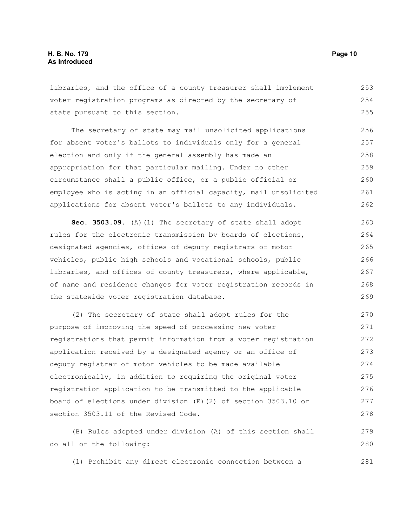libraries, and the office of a county treasurer shall implement voter registration programs as directed by the secretary of state pursuant to this section. 253 254 255

The secretary of state may mail unsolicited applications for absent voter's ballots to individuals only for a general election and only if the general assembly has made an appropriation for that particular mailing. Under no other circumstance shall a public office, or a public official or employee who is acting in an official capacity, mail unsolicited applications for absent voter's ballots to any individuals. 256 257 258 259 260 261 262

Sec. 3503.09. (A)(1) The secretary of state shall adopt rules for the electronic transmission by boards of elections, designated agencies, offices of deputy registrars of motor vehicles, public high schools and vocational schools, public libraries, and offices of county treasurers, where applicable, of name and residence changes for voter registration records in the statewide voter registration database. 263 264 265 266 267 268 269

(2) The secretary of state shall adopt rules for the purpose of improving the speed of processing new voter registrations that permit information from a voter registration application received by a designated agency or an office of deputy registrar of motor vehicles to be made available electronically, in addition to requiring the original voter registration application to be transmitted to the applicable board of elections under division (E)(2) of section 3503.10 or section 3503.11 of the Revised Code. 270 271 272 273 274 275 276 277 278

(B) Rules adopted under division (A) of this section shall do all of the following: 279 280

(1) Prohibit any direct electronic connection between a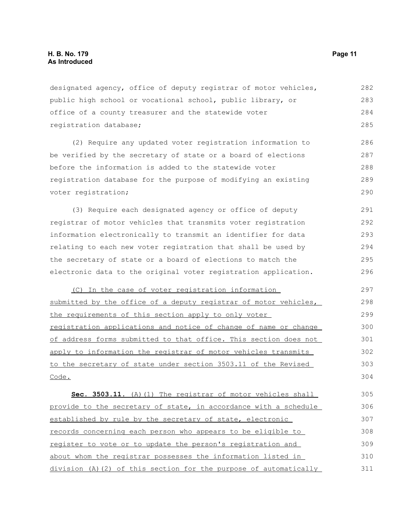designated agency, office of deputy registrar of motor vehicles, public high school or vocational school, public library, or office of a county treasurer and the statewide voter registration database; 282 283 284 285

(2) Require any updated voter registration information to be verified by the secretary of state or a board of elections before the information is added to the statewide voter registration database for the purpose of modifying an existing voter registration; 286 287 288 289 290

(3) Require each designated agency or office of deputy registrar of motor vehicles that transmits voter registration information electronically to transmit an identifier for data relating to each new voter registration that shall be used by the secretary of state or a board of elections to match the electronic data to the original voter registration application. 291 292 293 294 295 296

(C) In the case of voter registration information submitted by the office of a deputy registrar of motor vehicles, the requirements of this section apply to only voter registration applications and notice of change of name or change of address forms submitted to that office. This section does not apply to information the registrar of motor vehicles transmits to the secretary of state under section 3503.11 of the Revised Code. 297 298 299 300 301 302 303 304

 **Sec. 3503.11.** (A)(1) The registrar of motor vehicles shall provide to the secretary of state, in accordance with a schedule established by rule by the secretary of state, electronic records concerning each person who appears to be eligible to register to vote or to update the person's registration and about whom the registrar possesses the information listed in division (A)(2) of this section for the purpose of automatically 305 306 307 308 309 310 311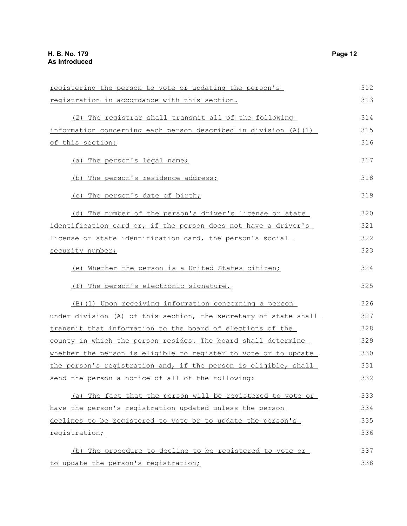| registering the person to vote or updating the person's          | 312 |
|------------------------------------------------------------------|-----|
| registration in accordance with this section.                    | 313 |
| (2) The registrar shall transmit all of the following            | 314 |
| information concerning each person described in division (A) (1) | 315 |
| <u>of this section:</u>                                          | 316 |
| (a) The person's legal name;                                     | 317 |
| (b) The person's residence address;                              | 318 |
| The person's date of birth;<br>(C)                               | 319 |
| (d) The number of the person's driver's license or state         | 320 |
| identification card or, if the person does not have a driver's   | 321 |
| <u>license or state identification card, the person's social</u> | 322 |
| security number;                                                 | 323 |
| (e) Whether the person is a United States citizen;               | 324 |
| (f) The person's electronic signature.                           | 325 |
| (B) (1) Upon receiving information concerning a person           | 326 |
| under division (A) of this section, the secretary of state shall | 327 |
| transmit that information to the board of elections of the       | 328 |
| county in which the person resides. The board shall determine    | 329 |
| whether the person is eligible to register to vote or to update  | 330 |
| the person's registration and, if the person is eligible, shall  | 331 |
| send the person a notice of all of the following:                | 332 |
| (a) The fact that the person will be registered to vote or       | 333 |
| have the person's registration updated unless the person         | 334 |
| declines to be registered to vote or to update the person's      | 335 |
| <u>registration;</u>                                             | 336 |
| (b) The procedure to decline to be registered to vote or         | 337 |
| to update the person's registration;                             | 338 |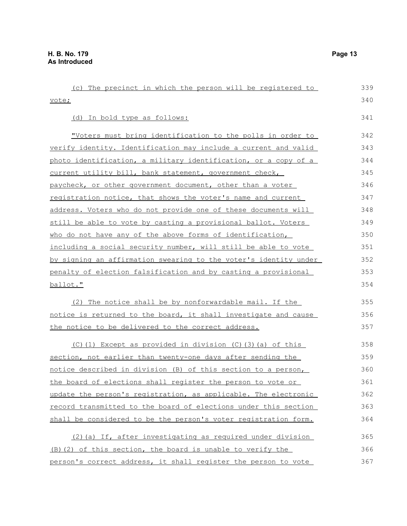| (c) The precinct in which the person will be registered to       | 339 |
|------------------------------------------------------------------|-----|
| vote;                                                            | 340 |
| (d) In bold type as follows:                                     | 341 |
| "Voters must bring identification to the polls in order to       | 342 |
| verify identity. Identification may include a current and valid  | 343 |
| photo identification, a military identification, or a copy of a  | 344 |
| current utility bill, bank statement, government check,          | 345 |
| paycheck, or other government document, other than a voter       | 346 |
| registration notice, that shows the voter's name and current     | 347 |
| address. Voters who do not provide one of these documents will   | 348 |
| still be able to vote by casting a provisional ballot. Voters    | 349 |
| who do not have any of the above forms of identification,        | 350 |
| including a social security number, will still be able to vote   | 351 |
| by signing an affirmation swearing to the voter's identity under | 352 |
| penalty of election falsification and by casting a provisional   | 353 |
| ballot."                                                         | 354 |
| (2) The notice shall be by nonforwardable mail. If the           | 355 |
| notice is returned to the board, it shall investigate and cause  | 356 |
| the notice to be delivered to the correct address.               | 357 |
| $(C)$ (1) Except as provided in division $(C)$ (3) (a) of this   | 358 |
| section, not earlier than twenty-one days after sending the      | 359 |
| notice described in division (B) of this section to a person,    | 360 |
| the board of elections shall register the person to vote or      | 361 |
| update the person's registration, as applicable. The electronic  | 362 |
| record transmitted to the board of elections under this section  | 363 |
| shall be considered to be the person's voter registration form.  | 364 |
| (2) (a) If, after investigating as required under division       | 365 |
| (B)(2) of this section, the board is unable to verify the        | 366 |
| person's correct address, it shall register the person to vote   | 367 |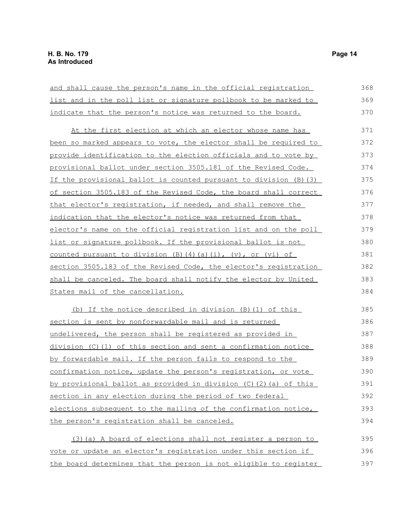| <u>and shall cause the person's name in the official registration</u>       | 368 |
|-----------------------------------------------------------------------------|-----|
| list and in the poll list or signature pollbook to be marked to             | 369 |
| indicate that the person's notice was returned to the board.                | 370 |
| At the first election at which an elector whose name has                    | 371 |
| been so marked appears to vote, the elector shall be required to            | 372 |
| provide identification to the election officials and to vote by             | 373 |
| provisional ballot under section 3505.181 of the Revised Code.              | 374 |
| <u>If the provisional ballot is counted pursuant to division (B)(3)</u>     | 375 |
| of section 3505.183 of the Revised Code, the board shall correct            | 376 |
| that elector's registration, if needed, and shall remove the                | 377 |
| indication that the elector's notice was returned from that                 | 378 |
| elector's name on the official registration list and on the poll            | 379 |
| list or signature pollbook. If the provisional ballot is not                | 380 |
| counted pursuant to division $(B)$ $(4)$ $(a)$ $(i)$ , $(v)$ , or $(vi)$ of | 381 |
| section 3505.183 of the Revised Code, the elector's registration            | 382 |
| shall be canceled. The board shall notify the elector by United             | 383 |
| States mail of the cancellation.                                            | 384 |
| (b) If the notice described in division (B) (1) of this                     | 385 |
| section is sent by nonforwardable mail and is returned                      | 386 |
| undelivered, the person shall be registered as provided in                  | 387 |
| <u>division (C)(1) of this section and sent a confirmation notice</u>       | 388 |
| by forwardable mail. If the person fails to respond to the                  | 389 |
| confirmation notice, update the person's registration, or vote              | 390 |
| by provisional ballot as provided in division (C)(2)(a) of this             | 391 |
| section in any election during the period of two federal                    | 392 |
| elections subsequent to the mailing of the confirmation notice,             | 393 |
| the person's registration shall be canceled.                                | 394 |
| (3) (a) A board of elections shall not register a person to                 | 395 |
| vote or update an elector's registration under this section if              | 396 |
| the board determines that the person is not eligible to register            | 397 |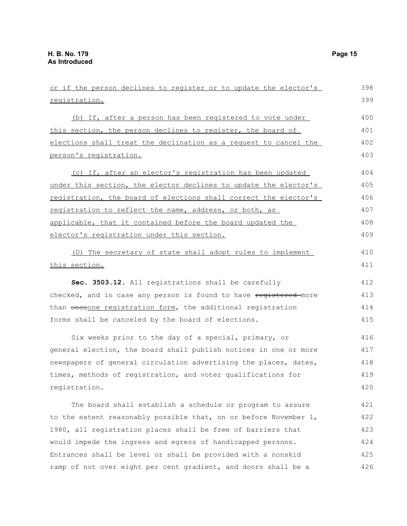| or if the person declines to register or to update the elector's | 398 |
|------------------------------------------------------------------|-----|
| registration.                                                    | 399 |
| (b) If, after a person has been registered to vote under         | 400 |
| this section, the person declines to register, the board of      | 401 |
| elections shall treat the declination as a request to cancel the | 402 |
| person's registration.                                           | 403 |
| (c) If, after an elector's registration has been updated         | 404 |
| under this section, the elector declines to update the elector's | 405 |
| registration, the board of elections shall correct the elector's | 406 |
| registration to reflect the name, address, or both, as           | 407 |
| applicable, that it contained before the board updated the       | 408 |
| elector's registration under this section.                       | 409 |
| (D) The secretary of state shall adopt rules to implement        | 410 |
| this section.                                                    | 411 |
| Sec. 3503.12. All registrations shall be carefully               | 412 |
| checked, and in case any person is found to have registered-more | 413 |
| than onceone registration form, the additional registration      | 414 |
| forms shall be canceled by the board of elections.               | 415 |
| Six weeks prior to the day of a special, primary, or             | 416 |
| general election, the board shall publish notices in one or more | 417 |
| newspapers of general circulation advertising the places, dates, | 418 |
| times, methods of registration, and voter qualifications for     | 419 |
| registration.                                                    | 420 |
| The board shall establish a schedule or program to assure        | 421 |
| to the extent reasonably possible that, on or before November 1, | 422 |
| 1980, all registration places shall be free of barriers that     | 423 |
| would impede the ingress and egress of handicapped persons.      | 424 |
| Entrances shall be level or shall be provided with a nonskid     | 425 |
| ramp of not over eight per cent gradient, and doors shall be a   | 426 |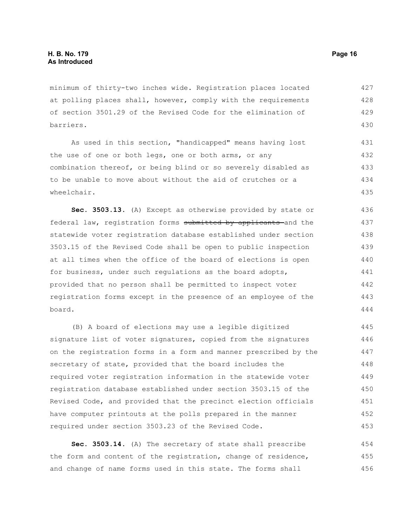minimum of thirty-two inches wide. Registration places located at polling places shall, however, comply with the requirements of section 3501.29 of the Revised Code for the elimination of barriers. 427 428 429 430

As used in this section, "handicapped" means having lost the use of one or both legs, one or both arms, or any combination thereof, or being blind or so severely disabled as to be unable to move about without the aid of crutches or a wheelchair. 431 432 433 434 435

**Sec. 3503.13.** (A) Except as otherwise provided by state or federal law, registration forms submitted by applicants and the statewide voter registration database established under section 3503.15 of the Revised Code shall be open to public inspection at all times when the office of the board of elections is open for business, under such regulations as the board adopts, provided that no person shall be permitted to inspect voter registration forms except in the presence of an employee of the board. 436 437 438 439 440 441 442 443 444

(B) A board of elections may use a legible digitized signature list of voter signatures, copied from the signatures on the registration forms in a form and manner prescribed by the secretary of state, provided that the board includes the required voter registration information in the statewide voter registration database established under section 3503.15 of the Revised Code, and provided that the precinct election officials have computer printouts at the polls prepared in the manner required under section 3503.23 of the Revised Code. 445 446 447 448 449 450 451 452 453

**Sec. 3503.14.** (A) The secretary of state shall prescribe the form and content of the registration, change of residence, and change of name forms used in this state. The forms shall 454 455 456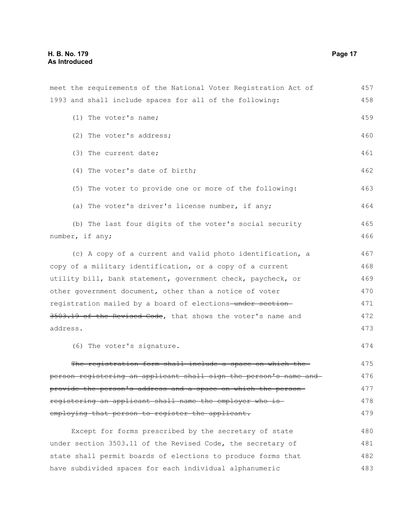| meet the requirements of the National Voter Registration Act of  | 457 |
|------------------------------------------------------------------|-----|
| 1993 and shall include spaces for all of the following:          | 458 |
| (1) The voter's name;                                            | 459 |
| (2) The voter's address;                                         | 460 |
| (3) The current date;                                            | 461 |
| (4) The voter's date of birth;                                   | 462 |
| (5) The voter to provide one or more of the following:           | 463 |
| (a) The voter's driver's license number, if any;                 | 464 |
| (b) The last four digits of the voter's social security          | 465 |
| number, if any;                                                  | 466 |
| (c) A copy of a current and valid photo identification, a        | 467 |
| copy of a military identification, or a copy of a current        | 468 |
| utility bill, bank statement, government check, paycheck, or     | 469 |
| other government document, other than a notice of voter          | 470 |
| registration mailed by a board of elections-under section-       | 471 |
| 3503.19 of the Revised Code, that shows the voter's name and     | 472 |
| address.                                                         | 473 |
|                                                                  |     |
| (6) The voter's signature.                                       | 474 |
| The registration form shall include a space on which the         | 475 |
| person registering an applicant shall sign the person's name and | 476 |
| provide the person's address and a space on which the person-    | 477 |
| registering an applicant shall name the employer who is-         | 478 |
| employing that person to register the applicant.                 | 479 |
| Except for forms prescribed by the secretary of state            | 480 |
| under section 3503.11 of the Revised Code, the secretary of      | 481 |
| state shall permit boards of elections to produce forms that     | 482 |
| have subdivided spaces for each individual alphanumeric          | 483 |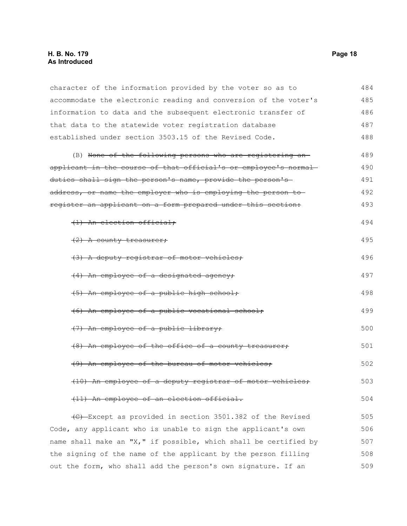character of the information provided by the voter so as to accommodate the electronic reading and conversion of the voter's information to data and the subsequent electronic transfer of that data to the statewide voter registration database established under section 3503.15 of the Revised Code. (B) None of the following persons who are registering an applicant in the course of that official's or employee's normal duties shall sign the person's name, provide the person'saddress, or name the employer who is employing the person to register an applicant on a form prepared under this section: (1) An election official; (2) A county treasurer; (3) A deputy registrar of motor vehicles; (4) An employee of a designated agency; (5) An employee of a public high school; (6) An employee of a public vocational school; (7) An employee of a public library; (8) An employee of the office of a county treasurer; (9) An employee of the bureau of motor vehicles; (10) An employee of a deputy registrar of motor vehicles; (11) An employee of an election official. 484 485 486 487 488 489 490 491 492 493 494 495 496 497 498 499 500 501 502 503 504

(C) Except as provided in section 3501.382 of the Revised Code, any applicant who is unable to sign the applicant's own name shall make an "X," if possible, which shall be certified by the signing of the name of the applicant by the person filling out the form, who shall add the person's own signature. If an 505 506 507 508 509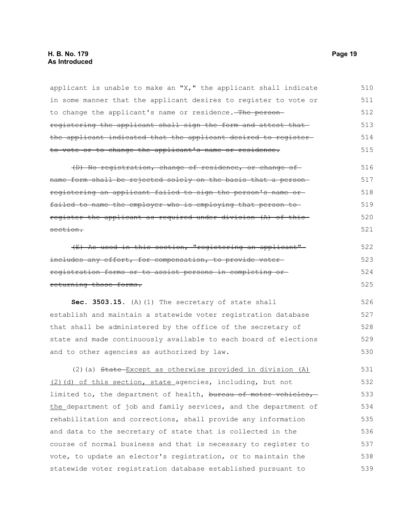applicant is unable to make an "X," the applicant shall indicate in some manner that the applicant desires to register to vote or to change the applicant's name or residence. The person registering the applicant shall sign the form and attest that the applicant indicated that the applicant desired to register to vote or to change the applicant's name or residence. 510 511 512 513 514 515

(D) No registration, change of residence, or change of name form shall be rejected solely on the basis that a person registering an applicant failed to sign the person's name or failed to name the employer who is employing that person to register the applicant as required under division (A) of this section. 516 517 518 519 520 521

(E) As used in this section, "registering an applicant" includes any effort, for compensation, to provide voterregistration forms or to assist persons in completing or returning those forms. 522 523 524 525

**Sec. 3503.15.** (A)(1) The secretary of state shall establish and maintain a statewide voter registration database that shall be administered by the office of the secretary of state and made continuously available to each board of elections and to other agencies as authorized by law. 526 527 528 529 530

(2)(a) State Except as otherwise provided in division (A) (2)(d) of this section, state agencies, including, but not limited to, the department of health, bureau of motor vehicles, the department of job and family services, and the department of rehabilitation and corrections, shall provide any information and data to the secretary of state that is collected in the course of normal business and that is necessary to register to vote, to update an elector's registration, or to maintain the statewide voter registration database established pursuant to 531 532 533 534 535 536 537 538 539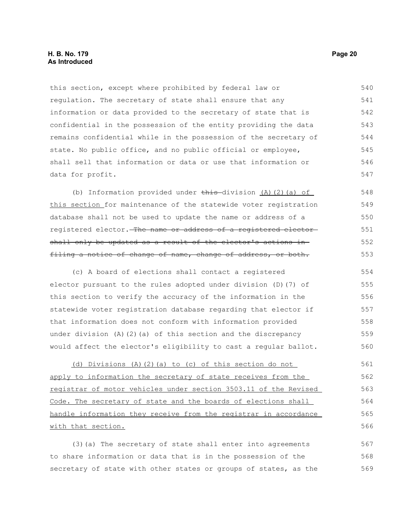this section, except where prohibited by federal law or regulation. The secretary of state shall ensure that any information or data provided to the secretary of state that is confidential in the possession of the entity providing the data remains confidential while in the possession of the secretary of state. No public office, and no public official or employee, shall sell that information or data or use that information or data for profit. 540 541 542 543 544 545 546 547

(b) Information provided under  $\frac{1}{2}$  this division (A)(2)(a) of this section for maintenance of the statewide voter registration database shall not be used to update the name or address of a registered elector. The name or address of a registered electorshall only be updated as a result of the elector's actions infiling a notice of change of name, change of address, or both. 548 549 550 551 552 553

(c) A board of elections shall contact a registered elector pursuant to the rules adopted under division (D)(7) of this section to verify the accuracy of the information in the statewide voter registration database regarding that elector if that information does not conform with information provided under division  $(A)$   $(2)$   $(a)$  of this section and the discrepancy would affect the elector's eligibility to cast a regular ballot. 554 555 556 557 558 559 560

(d) Divisions (A)(2)(a) to (c) of this section do not apply to information the secretary of state receives from the registrar of motor vehicles under section 3503.11 of the Revised Code. The secretary of state and the boards of elections shall handle information they receive from the registrar in accordance with that section. 561 562 563 564 565 566

(3)(a) The secretary of state shall enter into agreements to share information or data that is in the possession of the secretary of state with other states or groups of states, as the 567 568 569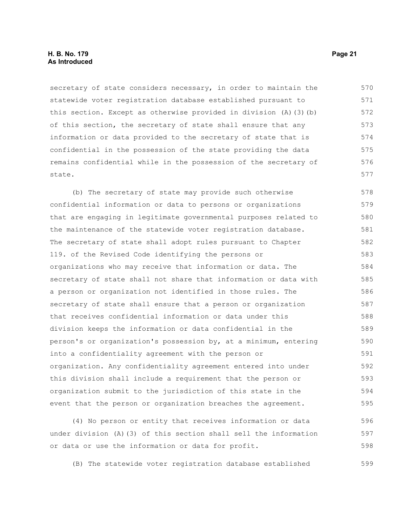#### **H. B. No. 179 Page 21 As Introduced**

secretary of state considers necessary, in order to maintain the statewide voter registration database established pursuant to this section. Except as otherwise provided in division (A)(3)(b) of this section, the secretary of state shall ensure that any information or data provided to the secretary of state that is confidential in the possession of the state providing the data remains confidential while in the possession of the secretary of state. 570 571 572 573 574 575 576 577

(b) The secretary of state may provide such otherwise confidential information or data to persons or organizations that are engaging in legitimate governmental purposes related to the maintenance of the statewide voter registration database. The secretary of state shall adopt rules pursuant to Chapter 119. of the Revised Code identifying the persons or organizations who may receive that information or data. The secretary of state shall not share that information or data with a person or organization not identified in those rules. The secretary of state shall ensure that a person or organization that receives confidential information or data under this division keeps the information or data confidential in the person's or organization's possession by, at a minimum, entering into a confidentiality agreement with the person or organization. Any confidentiality agreement entered into under this division shall include a requirement that the person or organization submit to the jurisdiction of this state in the event that the person or organization breaches the agreement. 578 579 580 581 582 583 584 585 586 587 588 589 590 591 592 593 594 595

(4) No person or entity that receives information or data under division (A)(3) of this section shall sell the information or data or use the information or data for profit. 596 597 598

(B) The statewide voter registration database established 599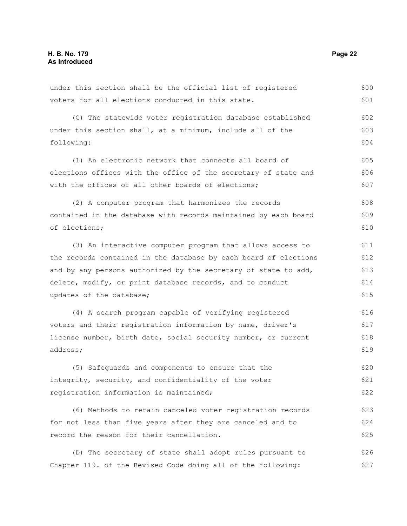under this section shall be the official list of registered voters for all elections conducted in this state. (C) The statewide voter registration database established under this section shall, at a minimum, include all of the following: (1) An electronic network that connects all board of elections offices with the office of the secretary of state and with the offices of all other boards of elections; (2) A computer program that harmonizes the records contained in the database with records maintained by each board of elections; (3) An interactive computer program that allows access to the records contained in the database by each board of elections and by any persons authorized by the secretary of state to add, delete, modify, or print database records, and to conduct updates of the database; (4) A search program capable of verifying registered voters and their registration information by name, driver's license number, birth date, social security number, or current address; (5) Safeguards and components to ensure that the integrity, security, and confidentiality of the voter registration information is maintained; (6) Methods to retain canceled voter registration records for not less than five years after they are canceled and to 600 601 602 603 604 605 606 607 608 609 610 611 612 613 614 615 616 617 618 619 620 621 622 623 624

(D) The secretary of state shall adopt rules pursuant to Chapter 119. of the Revised Code doing all of the following: 626 627

record the reason for their cancellation.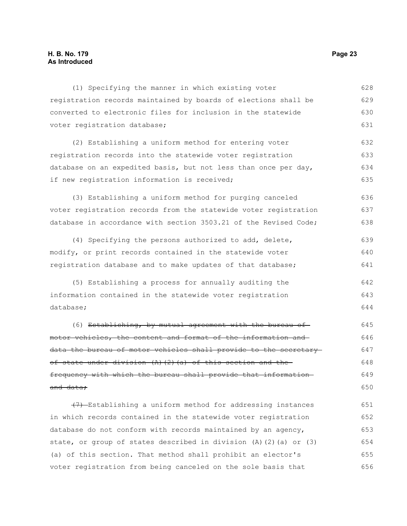registration records maintained by boards of elections shall be converted to electronic files for inclusion in the statewide voter registration database; (2) Establishing a uniform method for entering voter registration records into the statewide voter registration database on an expedited basis, but not less than once per day, if new registration information is received; (3) Establishing a uniform method for purging canceled voter registration records from the statewide voter registration database in accordance with section 3503.21 of the Revised Code; (4) Specifying the persons authorized to add, delete, modify, or print records contained in the statewide voter registration database and to make updates of that database; (5) Establishing a process for annually auditing the information contained in the statewide voter registration database; (6) Establishing, by mutual agreement with the bureau of motor vehicles, the content and format of the information and data the bureau of motor vehicles shall provide to the secretary of state under division  $(A)$   $(2)$   $(a)$  of this section and the frequency with which the bureau shall provide that information and data: 629 630 631 632 633 634 635 636 637 638 639 640 641 642 643 644 645 646 647 648 649 650

(1) Specifying the manner in which existing voter

(7) Establishing a uniform method for addressing instances in which records contained in the statewide voter registration database do not conform with records maintained by an agency, state, or group of states described in division (A)(2)(a) or (3) (a) of this section. That method shall prohibit an elector's voter registration from being canceled on the sole basis that 651 652 653 654 655 656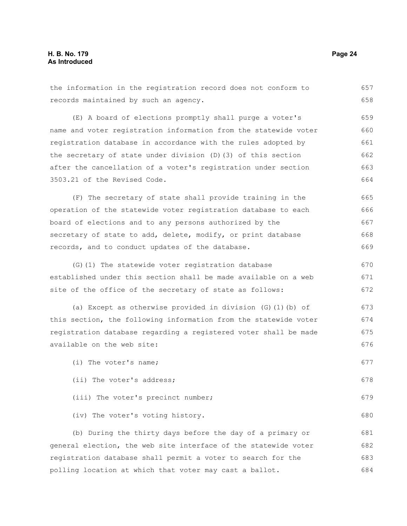the information in the registration record does not conform to records maintained by such an agency. (E) A board of elections promptly shall purge a voter's name and voter registration information from the statewide voter registration database in accordance with the rules adopted by the secretary of state under division (D)(3) of this section after the cancellation of a voter's registration under section 3503.21 of the Revised Code. (F) The secretary of state shall provide training in the operation of the statewide voter registration database to each board of elections and to any persons authorized by the secretary of state to add, delete, modify, or print database records, and to conduct updates of the database. (G)(1) The statewide voter registration database established under this section shall be made available on a web site of the office of the secretary of state as follows: (a) Except as otherwise provided in division (G)(1)(b) of this section, the following information from the statewide voter registration database regarding a registered voter shall be made available on the web site: (i) The voter's name; (ii) The voter's address; (iii) The voter's precinct number; (iv) The voter's voting history. (b) During the thirty days before the day of a primary or general election, the web site interface of the statewide voter registration database shall permit a voter to search for the polling location at which that voter may cast a ballot. 657 658 659 660 661 662 663 664 665 666 667 668 669 670 671 672 673 674 675 676 677 678 679 680 681 682 683 684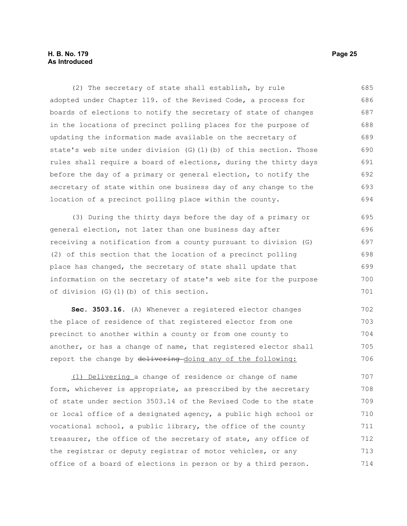#### **H. B. No. 179 Page 25 As Introduced**

(2) The secretary of state shall establish, by rule adopted under Chapter 119. of the Revised Code, a process for boards of elections to notify the secretary of state of changes in the locations of precinct polling places for the purpose of updating the information made available on the secretary of state's web site under division (G)(1)(b) of this section. Those rules shall require a board of elections, during the thirty days before the day of a primary or general election, to notify the secretary of state within one business day of any change to the location of a precinct polling place within the county. 685 686 687 688 689 690 691 692 693 694

(3) During the thirty days before the day of a primary or general election, not later than one business day after receiving a notification from a county pursuant to division (G) (2) of this section that the location of a precinct polling place has changed, the secretary of state shall update that information on the secretary of state's web site for the purpose of division (G)(1)(b) of this section. 695 696 697 698 699 700 701

**Sec. 3503.16.** (A) Whenever a registered elector changes the place of residence of that registered elector from one precinct to another within a county or from one county to another, or has a change of name, that registered elector shall report the change by delivering-doing any of the following: 702 703 704 705 706

(1) Delivering a change of residence or change of name form, whichever is appropriate, as prescribed by the secretary of state under section 3503.14 of the Revised Code to the state or local office of a designated agency, a public high school or vocational school, a public library, the office of the county treasurer, the office of the secretary of state, any office of the registrar or deputy registrar of motor vehicles, or any office of a board of elections in person or by a third person. 707 708 709 710 711 712 713 714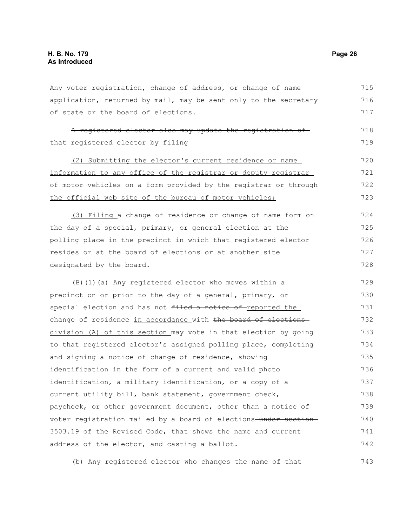Any voter registration, change of address, or change of name application, returned by mail, may be sent only to the secretary of state or the board of elections. 715 716 717

A registered elector also may update the registration of that registered elector by filing 718 719

(2) Submitting the elector's current residence or name information to any office of the registrar or deputy registrar of motor vehicles on a form provided by the registrar or through the official web site of the bureau of motor vehicles; 720 721 722 723

(3) Filing a change of residence or change of name form on the day of a special, primary, or general election at the polling place in the precinct in which that registered elector resides or at the board of elections or at another site designated by the board. 724 725 726 727 728

(B)(1)(a) Any registered elector who moves within a precinct on or prior to the day of a general, primary, or special election and has not filed a notice of reported the change of residence in accordance with the board of elections division (A) of this section may vote in that election by going to that registered elector's assigned polling place, completing and signing a notice of change of residence, showing identification in the form of a current and valid photo identification, a military identification, or a copy of a current utility bill, bank statement, government check, paycheck, or other government document, other than a notice of voter registration mailed by a board of elections-under section-3503.19 of the Revised Code, that shows the name and current address of the elector, and casting a ballot. 729 730 731 732 733 734 735 736 737 738 739 740 741 742

(b) Any registered elector who changes the name of that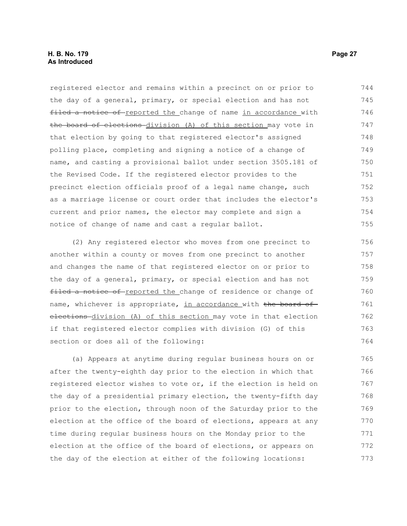registered elector and remains within a precinct on or prior to the day of a general, primary, or special election and has not filed a notice of reported the change of name in accordance with the board of elections division (A) of this section may vote in that election by going to that registered elector's assigned polling place, completing and signing a notice of a change of name, and casting a provisional ballot under section 3505.181 of the Revised Code. If the registered elector provides to the precinct election officials proof of a legal name change, such as a marriage license or court order that includes the elector's current and prior names, the elector may complete and sign a notice of change of name and cast a regular ballot. 744 745 746 747 748 749 750 751 752 753 754 755

(2) Any registered elector who moves from one precinct to another within a county or moves from one precinct to another and changes the name of that registered elector on or prior to the day of a general, primary, or special election and has not filed a notice of reported the change of residence or change of name, whichever is appropriate, in accordance with the board of elections division (A) of this section may vote in that election if that registered elector complies with division (G) of this section or does all of the following: 756 757 758 759 760 761 762 763 764

(a) Appears at anytime during regular business hours on or after the twenty-eighth day prior to the election in which that registered elector wishes to vote or, if the election is held on the day of a presidential primary election, the twenty-fifth day prior to the election, through noon of the Saturday prior to the election at the office of the board of elections, appears at any time during regular business hours on the Monday prior to the election at the office of the board of elections, or appears on the day of the election at either of the following locations: 765 766 767 768 769 770 771 772 773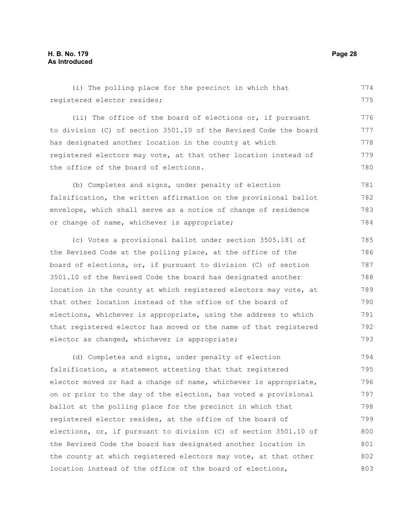| (i) The polling place for the precinct in which that             | 774 |
|------------------------------------------------------------------|-----|
| registered elector resides;                                      | 775 |
| (ii) The office of the board of elections or, if pursuant        | 776 |
|                                                                  |     |
| to division (C) of section 3501.10 of the Revised Code the board | 777 |
| has designated another location in the county at which           | 778 |
| registered electors may vote, at that other location instead of  | 779 |
| the office of the board of elections.                            | 780 |
| (b) Completes and signs, under penalty of election               | 781 |
| falsification, the written affirmation on the provisional ballot | 782 |
| envelope, which shall serve as a notice of change of residence   | 783 |
| or change of name, whichever is appropriate;                     | 784 |
| (c) Votes a provisional ballot under section 3505.181 of         | 785 |
| the Revised Code at the polling place, at the office of the      | 786 |
| board of elections, or, if pursuant to division (C) of section   | 787 |
| 3501.10 of the Revised Code the board has designated another     | 788 |
| location in the county at which registered electors may vote, at | 789 |
| that other location instead of the office of the board of        | 790 |
| elections, whichever is appropriate, using the address to which  | 791 |
| that registered elector has moved or the name of that registered | 792 |
| elector as changed, whichever is appropriate;                    | 793 |
| (d) Completes and signs, under penalty of election               | 794 |
| falsification, a statement attesting that that registered        | 795 |
| elector moved or had a change of name, whichever is appropriate, | 796 |
| on or prior to the day of the election, has voted a provisional  | 797 |
| ballot at the polling place for the precinct in which that       | 798 |
| registered elector resides, at the office of the board of        | 799 |

elections, or, if pursuant to division (C) of section 3501.10 of the Revised Code the board has designated another location in the county at which registered electors may vote, at that other location instead of the office of the board of elections, 800 801 802 803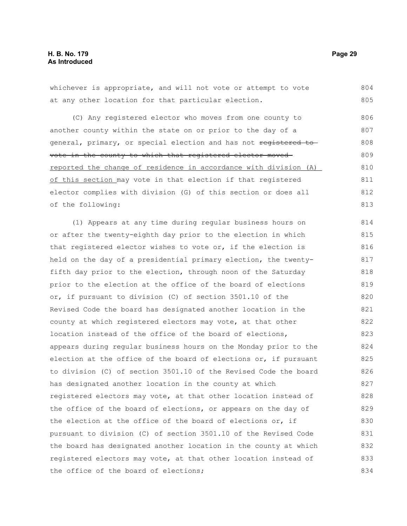804

834

at any other location for that particular election. (C) Any registered elector who moves from one county to another county within the state on or prior to the day of a general, primary, or special election and has not registered to vote in the county to which that registered elector moved reported the change of residence in accordance with division (A) of this section may vote in that election if that registered elector complies with division (G) of this section or does all of the following: (1) Appears at any time during regular business hours on or after the twenty-eighth day prior to the election in which that registered elector wishes to vote or, if the election is held on the day of a presidential primary election, the twentyfifth day prior to the election, through noon of the Saturday prior to the election at the office of the board of elections or, if pursuant to division (C) of section 3501.10 of the Revised Code the board has designated another location in the county at which registered electors may vote, at that other location instead of the office of the board of elections, appears during regular business hours on the Monday prior to the election at the office of the board of elections or, if pursuant to division (C) of section 3501.10 of the Revised Code the board has designated another location in the county at which registered electors may vote, at that other location instead of the office of the board of elections, or appears on the day of the election at the office of the board of elections or, if pursuant to division (C) of section 3501.10 of the Revised Code the board has designated another location in the county at which registered electors may vote, at that other location instead of 805 806 807 808 809 810 811 812 813 814 815 816 817 818 819 820 821 822 823 824 825 826 827 828 829 830 831 832 833

the office of the board of elections;

whichever is appropriate, and will not vote or attempt to vote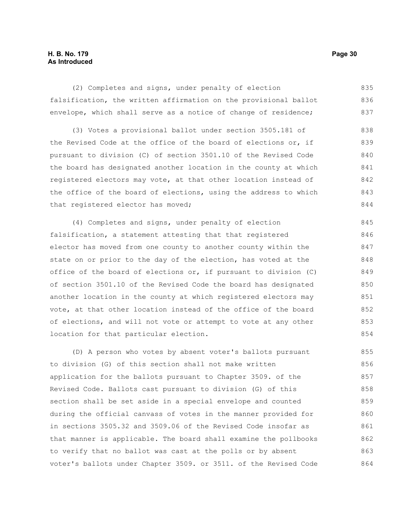#### **H. B. No. 179 Page 30 As Introduced**

(2) Completes and signs, under penalty of election falsification, the written affirmation on the provisional ballot envelope, which shall serve as a notice of change of residence; 835 836 837

(3) Votes a provisional ballot under section 3505.181 of the Revised Code at the office of the board of elections or, if pursuant to division (C) of section 3501.10 of the Revised Code the board has designated another location in the county at which registered electors may vote, at that other location instead of the office of the board of elections, using the address to which that registered elector has moved; 838 839 840 841 842 843 844

(4) Completes and signs, under penalty of election falsification, a statement attesting that that registered elector has moved from one county to another county within the state on or prior to the day of the election, has voted at the office of the board of elections or, if pursuant to division (C) of section 3501.10 of the Revised Code the board has designated another location in the county at which registered electors may vote, at that other location instead of the office of the board of elections, and will not vote or attempt to vote at any other location for that particular election. 845 846 847 848 849 850 851 852 853 854

(D) A person who votes by absent voter's ballots pursuant to division (G) of this section shall not make written application for the ballots pursuant to Chapter 3509. of the Revised Code. Ballots cast pursuant to division (G) of this section shall be set aside in a special envelope and counted during the official canvass of votes in the manner provided for in sections 3505.32 and 3509.06 of the Revised Code insofar as that manner is applicable. The board shall examine the pollbooks to verify that no ballot was cast at the polls or by absent voter's ballots under Chapter 3509. or 3511. of the Revised Code 855 856 857 858 859 860 861 862 863 864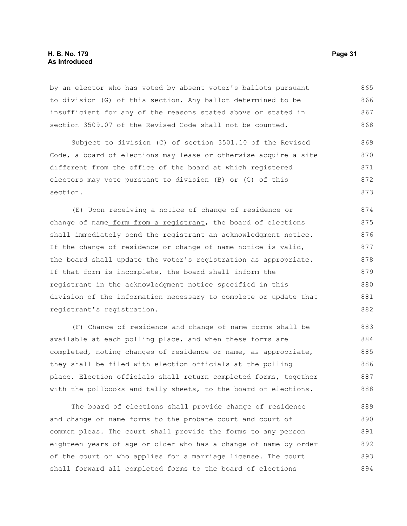#### **H. B. No. 179 Page 31 As Introduced**

by an elector who has voted by absent voter's ballots pursuant to division (G) of this section. Any ballot determined to be insufficient for any of the reasons stated above or stated in section 3509.07 of the Revised Code shall not be counted. 865 866 867 868

Subject to division (C) of section 3501.10 of the Revised Code, a board of elections may lease or otherwise acquire a site different from the office of the board at which registered electors may vote pursuant to division (B) or (C) of this section. 869 870 871 872 873

(E) Upon receiving a notice of change of residence or change of name form from a registrant, the board of elections shall immediately send the registrant an acknowledgment notice. If the change of residence or change of name notice is valid, the board shall update the voter's registration as appropriate. If that form is incomplete, the board shall inform the registrant in the acknowledgment notice specified in this division of the information necessary to complete or update that registrant's registration. 874 875 876 877 878 879 880 881 882

(F) Change of residence and change of name forms shall be available at each polling place, and when these forms are completed, noting changes of residence or name, as appropriate, they shall be filed with election officials at the polling place. Election officials shall return completed forms, together with the pollbooks and tally sheets, to the board of elections. 883 884 885 886 887 888

The board of elections shall provide change of residence and change of name forms to the probate court and court of common pleas. The court shall provide the forms to any person eighteen years of age or older who has a change of name by order of the court or who applies for a marriage license. The court shall forward all completed forms to the board of elections 889 890 891 892 893 894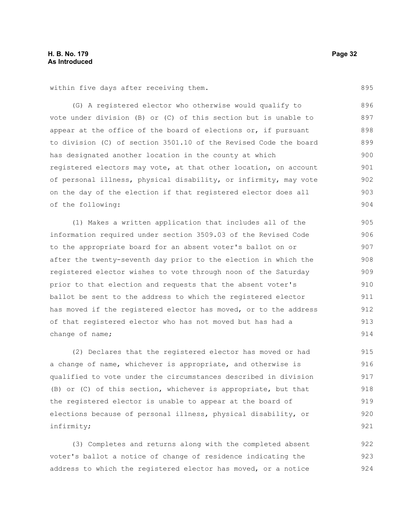within five days after receiving them.

(G) A registered elector who otherwise would qualify to vote under division (B) or (C) of this section but is unable to appear at the office of the board of elections or, if pursuant to division (C) of section 3501.10 of the Revised Code the board has designated another location in the county at which registered electors may vote, at that other location, on account of personal illness, physical disability, or infirmity, may vote on the day of the election if that registered elector does all of the following: 896 897 898 899 900 901 902 903 904

(1) Makes a written application that includes all of the information required under section 3509.03 of the Revised Code to the appropriate board for an absent voter's ballot on or after the twenty-seventh day prior to the election in which the registered elector wishes to vote through noon of the Saturday prior to that election and requests that the absent voter's ballot be sent to the address to which the registered elector has moved if the registered elector has moved, or to the address of that registered elector who has not moved but has had a change of name;

(2) Declares that the registered elector has moved or had a change of name, whichever is appropriate, and otherwise is qualified to vote under the circumstances described in division (B) or (C) of this section, whichever is appropriate, but that the registered elector is unable to appear at the board of elections because of personal illness, physical disability, or infirmity; 915 916 917 918 919 920 921

(3) Completes and returns along with the completed absent voter's ballot a notice of change of residence indicating the address to which the registered elector has moved, or a notice 922 923 924

895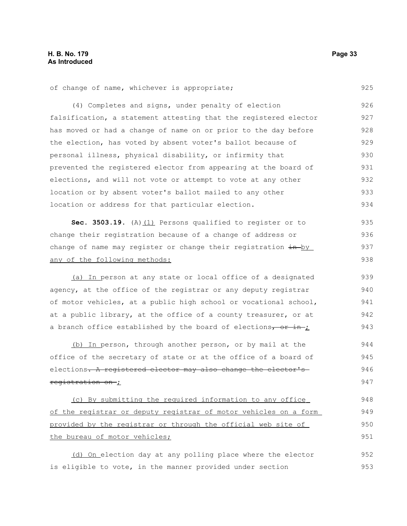925

of change of name, whichever is appropriate;

(4) Completes and signs, under penalty of election falsification, a statement attesting that the registered elector has moved or had a change of name on or prior to the day before the election, has voted by absent voter's ballot because of personal illness, physical disability, or infirmity that prevented the registered elector from appearing at the board of elections, and will not vote or attempt to vote at any other location or by absent voter's ballot mailed to any other location or address for that particular election. 926 927 928 929 930 931 932 933 934

Sec. 3503.19. (A) (1) Persons qualified to register or to change their registration because of a change of address or change of name may register or change their registration  $\frac{1}{2}mv_1$ any of the following methods: 935 936 937 938

(a) In person at any state or local office of a designated agency, at the office of the registrar or any deputy registrar of motor vehicles, at a public high school or vocational school, at a public library, at the office of a county treasurer, or at a branch office established by the board of elections, or in  $\frac{1}{2}$ 

(b) In person, through another person, or by mail at the office of the secretary of state or at the office of a board of elections. A registered elector may also change the elector's registration on ; 944 945 946 947

(c) By submitting the required information to any office of the registrar or deputy registrar of motor vehicles on a form provided by the registrar or through the official web site of the bureau of motor vehicles; 948 949 950 951

(d) On election day at any polling place where the elector is eligible to vote, in the manner provided under section 952 953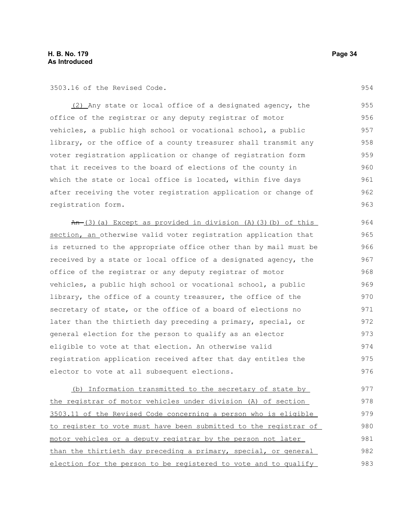3503.16 of the Revised Code.

(2) Any state or local office of a designated agency, the office of the registrar or any deputy registrar of motor vehicles, a public high school or vocational school, a public library, or the office of a county treasurer shall transmit any voter registration application or change of registration form that it receives to the board of elections of the county in which the state or local office is located, within five days after receiving the voter registration application or change of registration form. 955 956 957 958 959 960 961 962 963

 $A_n$  (3)(a) Except as provided in division (A)(3)(b) of this section, an otherwise valid voter registration application that is returned to the appropriate office other than by mail must be received by a state or local office of a designated agency, the office of the registrar or any deputy registrar of motor vehicles, a public high school or vocational school, a public library, the office of a county treasurer, the office of the secretary of state, or the office of a board of elections no later than the thirtieth day preceding a primary, special, or general election for the person to qualify as an elector eligible to vote at that election. An otherwise valid registration application received after that day entitles the elector to vote at all subsequent elections. 964 965 966 967 968 969 970 971 972 973 974 975 976

(b) Information transmitted to the secretary of state by the registrar of motor vehicles under division (A) of section 3503.11 of the Revised Code concerning a person who is eligible to register to vote must have been submitted to the registrar of motor vehicles or a deputy registrar by the person not later than the thirtieth day preceding a primary, special, or general election for the person to be registered to vote and to qualify 977 978 979 980 981 982 983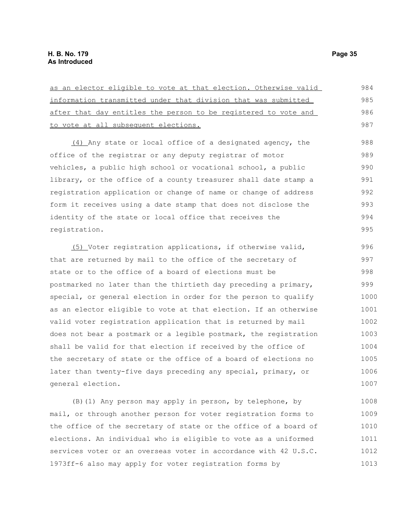general election.

| as an elector eligible to vote at that election. Otherwise valid | 984  |
|------------------------------------------------------------------|------|
| information transmitted under that division that was submitted   | 985  |
| after that day entitles the person to be registered to vote and  | 986  |
| to vote at all subsequent elections.                             | 987  |
|                                                                  |      |
| (4) Any state or local office of a designated agency, the        | 988  |
| office of the registrar or any deputy registrar of motor         | 989  |
| vehicles, a public high school or vocational school, a public    | 990  |
| library, or the office of a county treasurer shall date stamp a  | 991  |
| registration application or change of name or change of address  | 992  |
| form it receives using a date stamp that does not disclose the   | 993  |
| identity of the state or local office that receives the          | 994  |
| registration.                                                    | 995  |
| (5) Voter registration applications, if otherwise valid,         | 996  |
| that are returned by mail to the office of the secretary of      | 997  |
| state or to the office of a board of elections must be           | 998  |
| postmarked no later than the thirtieth day preceding a primary,  | 999  |
| special, or general election in order for the person to qualify  | 1000 |
| as an elector eligible to vote at that election. If an otherwise | 1001 |
| valid voter registration application that is returned by mail    | 1002 |
| does not bear a postmark or a legible postmark, the registration | 1003 |
| shall be valid for that election if received by the office of    | 1004 |
| the secretary of state or the office of a board of elections no  | 1005 |
| later than twenty-five days preceding any special, primary, or   | 1006 |

(B)(1) Any person may apply in person, by telephone, by mail, or through another person for voter registration forms to the office of the secretary of state or the office of a board of elections. An individual who is eligible to vote as a uniformed services voter or an overseas voter in accordance with 42 U.S.C. 1973ff-6 also may apply for voter registration forms by 1008 1009 1010 1011 1012 1013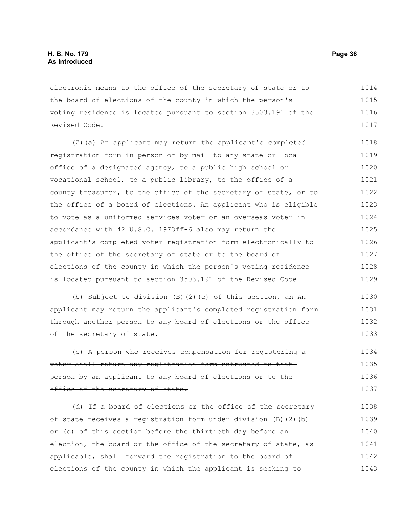electronic means to the office of the secretary of state or to the board of elections of the county in which the person's voting residence is located pursuant to section 3503.191 of the Revised Code. 1014 1015 1016 1017

(2)(a) An applicant may return the applicant's completed registration form in person or by mail to any state or local office of a designated agency, to a public high school or vocational school, to a public library, to the office of a county treasurer, to the office of the secretary of state, or to the office of a board of elections. An applicant who is eligible to vote as a uniformed services voter or an overseas voter in accordance with 42 U.S.C. 1973ff-6 also may return the applicant's completed voter registration form electronically to the office of the secretary of state or to the board of elections of the county in which the person's voting residence is located pursuant to section 3503.191 of the Revised Code. 1018 1019 1020 1021 1022 1023 1024 1025 1026 1027 1028 1029

(b) Subject to division  $(B)$   $(2)$   $(c)$  of this section, an An applicant may return the applicant's completed registration form through another person to any board of elections or the office of the secretary of state. 1030 1031 1032 1033

(c) A person who receives compensation for registering a voter shall return any registration form entrusted to that person by an applicant to any board of elections or to the office of the secretary of state. 1034 1035 1036 1037

(d) If a board of elections or the office of the secretary of state receives a registration form under division (B)(2)(b) or (c) of this section before the thirtieth day before an election, the board or the office of the secretary of state, as applicable, shall forward the registration to the board of elections of the county in which the applicant is seeking to 1038 1039 1040 1041 1042 1043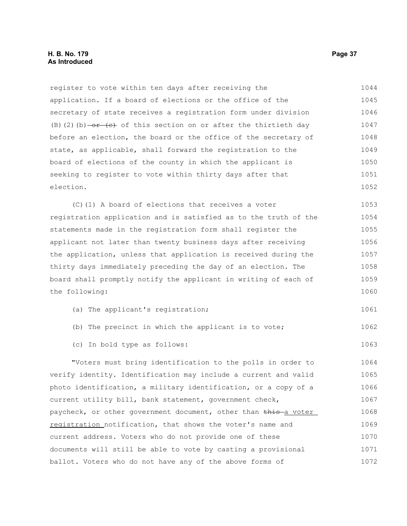## **H. B. No. 179 Page 37 As Introduced**

register to vote within ten days after receiving the application. If a board of elections or the office of the secretary of state receives a registration form under division (B)(2)(b)  $-$ or (c) of this section on or after the thirtieth day before an election, the board or the office of the secretary of state, as applicable, shall forward the registration to the board of elections of the county in which the applicant is seeking to register to vote within thirty days after that election. (C)(1) A board of elections that receives a voter registration application and is satisfied as to the truth of the statements made in the registration form shall register the applicant not later than twenty business days after receiving the application, unless that application is received during the thirty days immediately preceding the day of an election. The board shall promptly notify the applicant in writing of each of the following: (a) The applicant's registration; (b) The precinct in which the applicant is to vote; (c) In bold type as follows: "Voters must bring identification to the polls in order to verify identity. Identification may include a current and valid photo identification, a military identification, or a copy of a current utility bill, bank statement, government check, paycheck, or other government document, other than this a voter registration notification, that shows the voter's name and 1044 1045 1046 1047 1048 1049 1050 1051 1052 1053 1054 1055 1056 1057 1058 1059 1060 1061 1062 1063 1064 1065 1066 1067 1068 1069

current address. Voters who do not provide one of these documents will still be able to vote by casting a provisional ballot. Voters who do not have any of the above forms of 1070 1071 1072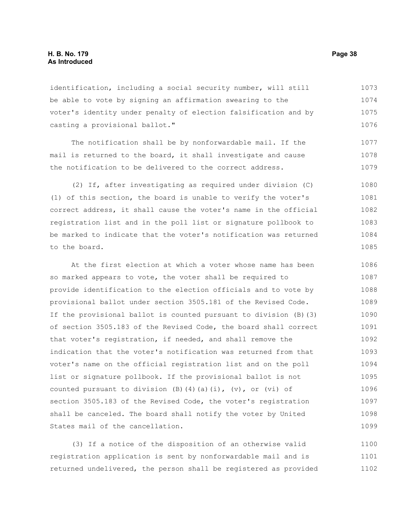identification, including a social security number, will still be able to vote by signing an affirmation swearing to the voter's identity under penalty of election falsification and by casting a provisional ballot." 1073 1074 1075 1076

The notification shall be by nonforwardable mail. If the mail is returned to the board, it shall investigate and cause the notification to be delivered to the correct address. 1077 1078 1079

(2) If, after investigating as required under division (C) (1) of this section, the board is unable to verify the voter's correct address, it shall cause the voter's name in the official registration list and in the poll list or signature pollbook to be marked to indicate that the voter's notification was returned to the board. 1080 1081 1082 1083 1084 1085

At the first election at which a voter whose name has been so marked appears to vote, the voter shall be required to provide identification to the election officials and to vote by provisional ballot under section 3505.181 of the Revised Code. If the provisional ballot is counted pursuant to division (B)(3) of section 3505.183 of the Revised Code, the board shall correct that voter's registration, if needed, and shall remove the indication that the voter's notification was returned from that voter's name on the official registration list and on the poll list or signature pollbook. If the provisional ballot is not counted pursuant to division  $(B)$   $(4)$   $(a)$   $(i)$ ,  $(v)$ , or  $(vi)$  of section 3505.183 of the Revised Code, the voter's registration shall be canceled. The board shall notify the voter by United States mail of the cancellation. 1086 1087 1088 1089 1090 1091 1092 1093 1094 1095 1096 1097 1098 1099

(3) If a notice of the disposition of an otherwise valid registration application is sent by nonforwardable mail and is returned undelivered, the person shall be registered as provided 1100 1101 1102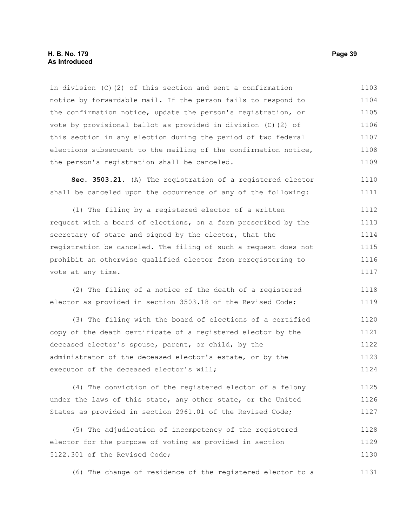| in division (C)(2) of this section and sent a confirmation      | 1103 |
|-----------------------------------------------------------------|------|
| notice by forwardable mail. If the person fails to respond to   | 1104 |
| the confirmation notice, update the person's registration, or   | 1105 |
| vote by provisional ballot as provided in division (C) (2) of   | 1106 |
| this section in any election during the period of two federal   | 1107 |
| elections subsequent to the mailing of the confirmation notice, | 1108 |
| the person's registration shall be canceled.                    | 1109 |
| Sec. 3503.21. (A) The registration of a registered elector      | 1110 |
| shall be canceled upon the occurrence of any of the following:  | 1111 |
| (1) The filing by a registered elector of a written             | 1112 |
| request with a board of elections, on a form prescribed by the  | 1113 |
| secretary of state and signed by the elector, that the          | 1114 |
| registration be canceled. The filing of such a request does not | 1115 |
| prohibit an otherwise qualified elector from reregistering to   | 1116 |
| vote at any time.                                               | 1117 |
| (2) The filing of a notice of the death of a registered         | 1118 |
| elector as provided in section 3503.18 of the Revised Code;     | 1119 |
| (3) The filing with the board of elections of a certified       | 1120 |
| copy of the death certificate of a registered elector by the    | 1121 |
| deceased elector's spouse, parent, or child, by the             | 1122 |
| administrator of the deceased elector's estate, or by the       | 1123 |
| executor of the deceased elector's will;                        | 1124 |
| (4) The conviction of the registered elector of a felony        | 1125 |
| under the laws of this state, any other state, or the United    | 1126 |
| States as provided in section 2961.01 of the Revised Code;      | 1127 |
| (5) The adjudication of incompetency of the registered          | 1128 |
| elector for the purpose of voting as provided in section        | 1129 |
| 5122.301 of the Revised Code;                                   | 1130 |

(6) The change of residence of the registered elector to a 1131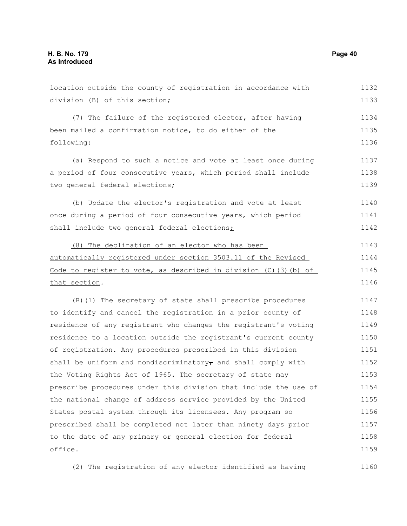division (B) of this section; (7) The failure of the registered elector, after having been mailed a confirmation notice, to do either of the following: (a) Respond to such a notice and vote at least once during a period of four consecutive years, which period shall include two general federal elections; (b) Update the elector's registration and vote at least once during a period of four consecutive years, which period shall include two general federal elections; (8) The declination of an elector who has been automatically registered under section 3503.11 of the Revised Code to register to vote, as described in division (C)(3)(b) of that section. (B)(1) The secretary of state shall prescribe procedures to identify and cancel the registration in a prior county of residence of any registrant who changes the registrant's voting residence to a location outside the registrant's current county of registration. Any procedures prescribed in this division shall be uniform and nondiscriminatory, and shall comply with the Voting Rights Act of 1965. The secretary of state may prescribe procedures under this division that include the use of the national change of address service provided by the United States postal system through its licensees. Any program so prescribed shall be completed not later than ninety days prior to the date of any primary or general election for federal office. 1133 1134 1135 1136 1137 1138 1139 1140 1141 1142 1143 1144 1145 1146 1147 1148 1149 1150 1151 1152 1153 1154 1155 1156 1157 1158 1159

location outside the county of registration in accordance with

(2) The registration of any elector identified as having 1160

1132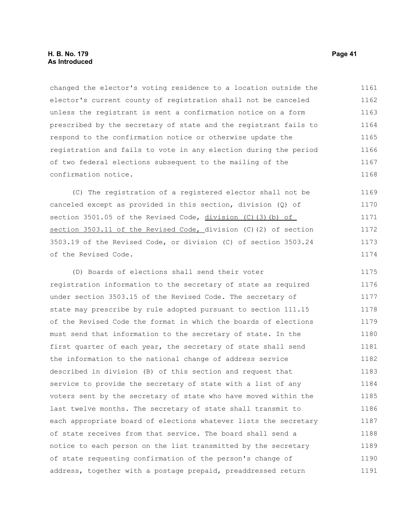changed the elector's voting residence to a location outside the elector's current county of registration shall not be canceled unless the registrant is sent a confirmation notice on a form prescribed by the secretary of state and the registrant fails to respond to the confirmation notice or otherwise update the registration and fails to vote in any election during the period of two federal elections subsequent to the mailing of the confirmation notice. 1161 1162 1163 1164 1165 1166 1167 1168

(C) The registration of a registered elector shall not be canceled except as provided in this section, division (Q) of section 3501.05 of the Revised Code, division (C)(3)(b) of section 3503.11 of the Revised Code, division (C)(2) of section 3503.19 of the Revised Code, or division (C) of section 3503.24 of the Revised Code. 1169 1170 1171 1172 1173 1174

(D) Boards of elections shall send their voter registration information to the secretary of state as required under section 3503.15 of the Revised Code. The secretary of state may prescribe by rule adopted pursuant to section 111.15 of the Revised Code the format in which the boards of elections must send that information to the secretary of state. In the first quarter of each year, the secretary of state shall send the information to the national change of address service described in division (B) of this section and request that service to provide the secretary of state with a list of any voters sent by the secretary of state who have moved within the last twelve months. The secretary of state shall transmit to each appropriate board of elections whatever lists the secretary of state receives from that service. The board shall send a notice to each person on the list transmitted by the secretary of state requesting confirmation of the person's change of address, together with a postage prepaid, preaddressed return 1175 1176 1177 1178 1179 1180 1181 1182 1183 1184 1185 1186 1187 1188 1189 1190 1191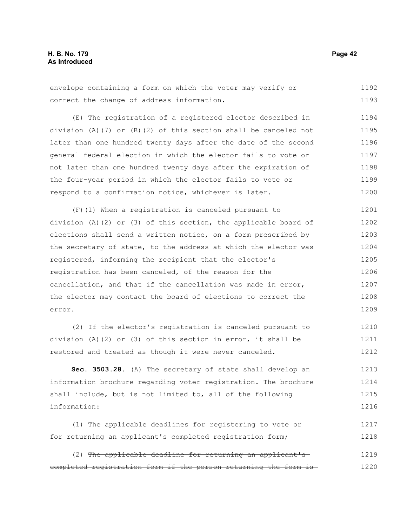envelope containing a form on which the voter may verify or correct the change of address information. 1192 1193

(E) The registration of a registered elector described in division (A)(7) or (B)(2) of this section shall be canceled not later than one hundred twenty days after the date of the second general federal election in which the elector fails to vote or not later than one hundred twenty days after the expiration of the four-year period in which the elector fails to vote or respond to a confirmation notice, whichever is later. 1194 1195 1196 1197 1198 1199 1200

(F)(1) When a registration is canceled pursuant to division (A)(2) or (3) of this section, the applicable board of elections shall send a written notice, on a form prescribed by the secretary of state, to the address at which the elector was registered, informing the recipient that the elector's registration has been canceled, of the reason for the cancellation, and that if the cancellation was made in error, the elector may contact the board of elections to correct the error. 1201 1202 1203 1204 1205 1206 1207 1208 1209

(2) If the elector's registration is canceled pursuant to division (A)(2) or (3) of this section in error, it shall be restored and treated as though it were never canceled. 1210 1211 1212

**Sec. 3503.28.** (A) The secretary of state shall develop an information brochure regarding voter registration. The brochure shall include, but is not limited to, all of the following information: 1213 1214 1215 1216

(1) The applicable deadlines for registering to vote or for returning an applicant's completed registration form; 1217 1218

|  | (2) The applicable deadline for returning an applicant's         | 1219 |
|--|------------------------------------------------------------------|------|
|  | completed registration form if the person returning the form is- | 1220 |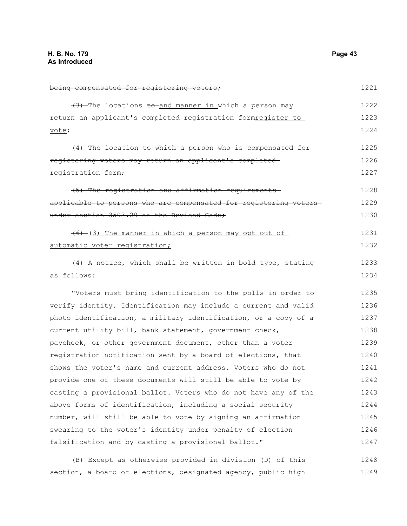being compensated for registering voters; (3) The locations to and manner in which a person may return an applicant's completed registration formregister to vote; (4) The location to which a person who is compensated for registering voters may return an applicant's completed registration form; (5) The registration and affirmation requirements applicable to persons who are compensated for registering voters under section 3503.29 of the Revised Code;  $(6)$  (3) The manner in which a person may opt out of automatic voter registration; (4) A notice, which shall be written in bold type, stating as follows: "Voters must bring identification to the polls in order to verify identity. Identification may include a current and valid photo identification, a military identification, or a copy of a current utility bill, bank statement, government check, paycheck, or other government document, other than a voter registration notification sent by a board of elections, that shows the voter's name and current address. Voters who do not provide one of these documents will still be able to vote by casting a provisional ballot. Voters who do not have any of the above forms of identification, including a social security number, will still be able to vote by signing an affirmation swearing to the voter's identity under penalty of election falsification and by casting a provisional ballot." 1221 1222 1223 1224 1225 1226 1227 1228 1229 1230 1231 1232 1233 1234 1235 1236 1237 1238 1239 1240 1241 1242 1243 1244 1245 1246 1247

(B) Except as otherwise provided in division (D) of this section, a board of elections, designated agency, public high 1248 1249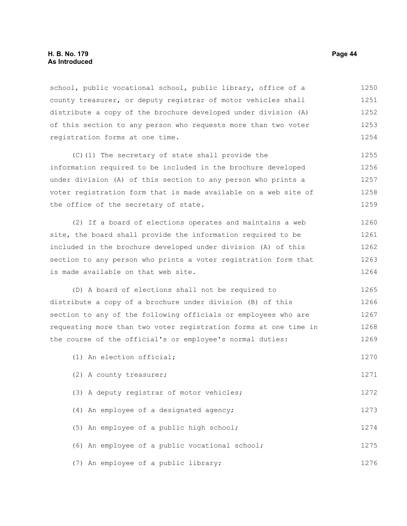## **H. B. No. 179 Page 44 As Introduced**

school, public vocational school, public library, office of a county treasurer, or deputy registrar of motor vehicles shall distribute a copy of the brochure developed under division (A) of this section to any person who requests more than two voter registration forms at one time. 1250 1251 1252 1253 1254

(C)(1) The secretary of state shall provide the information required to be included in the brochure developed under division (A) of this section to any person who prints a voter registration form that is made available on a web site of the office of the secretary of state. 1255 1256 1257 1258 1259

(2) If a board of elections operates and maintains a web site, the board shall provide the information required to be included in the brochure developed under division (A) of this section to any person who prints a voter registration form that is made available on that web site. 1260 1261 1262 1263 1264

(D) A board of elections shall not be required to distribute a copy of a brochure under division (B) of this section to any of the following officials or employees who are requesting more than two voter registration forms at one time in the course of the official's or employee's normal duties: 1265 1266 1267 1268 1269

(1) An election official; 1270

(2) A county treasurer; (3) A deputy registrar of motor vehicles; (4) An employee of a designated agency; (5) An employee of a public high school; (6) An employee of a public vocational school; 1271 1272 1273 1274 1275

(7) An employee of a public library; 1276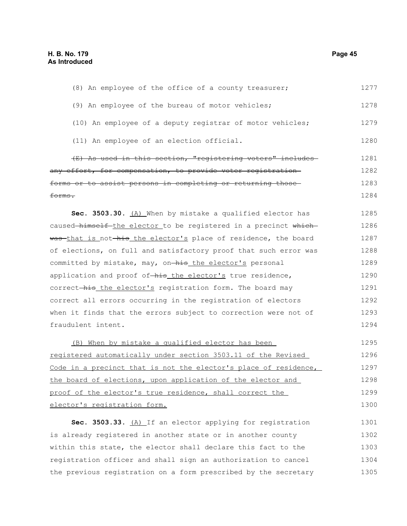(8) An employee of the office of a county treasurer; (9) An employee of the bureau of motor vehicles; (10) An employee of a deputy registrar of motor vehicles; (11) An employee of an election official. (E) As used in this section, "registering voters" includes any effort, for compensation, to provide voter registrationforms or to assist persons in completing or returning those forms. **Sec. 3503.30.** (A) When by mistake a qualified elector has caused himself the elector to be registered in a precinct which was that is not his the elector's place of residence, the board of elections, on full and satisfactory proof that such error was committed by mistake, may, on-his the elector's personal application and proof of-his the elector's true residence, correct-his the elector's registration form. The board may correct all errors occurring in the registration of electors when it finds that the errors subject to correction were not of fraudulent intent. (B) When by mistake a qualified elector has been registered automatically under section 3503.11 of the Revised Code in a precinct that is not the elector's place of residence, the board of elections, upon application of the elector and proof of the elector's true residence, shall correct the elector's registration form. **Sec. 3503.33.** (A) If an elector applying for registration is already registered in another state or in another county within this state, the elector shall declare this fact to the 1277 1278 1279 1280 1281 1282 1283 1284 1285 1286 1287 1288 1289 1290 1291 1292 1293 1294 1295 1296 1297 1298 1299 1300 1301 1302 1303

registration officer and shall sign an authorization to cancel the previous registration on a form prescribed by the secretary 1304 1305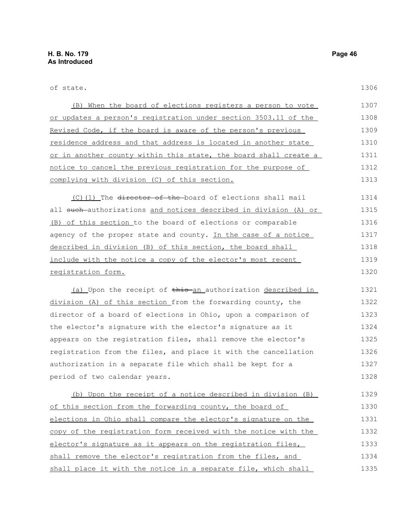| state.<br>OΙ |
|--------------|
|--------------|

| (B) When the board of elections registers a person to vote                   | 1307 |
|------------------------------------------------------------------------------|------|
| or updates a person's registration under section 3503.11 of the              | 1308 |
| Revised Code, if the board is aware of the person's previous                 | 1309 |
| residence address and that address is located in another state               | 1310 |
| or in another county within this state, the board shall create a             | 1311 |
| notice to cancel the previous registration for the purpose of                | 1312 |
| complying with division (C) of this section.                                 | 1313 |
| (C)(1) The director of the board of elections shall mail                     | 1314 |
| all <del>such a</del> uthorizations and notices described in division (A) or | 1315 |
| (B) of this section to the board of elections or comparable                  | 1316 |
| agency of the proper state and county. In the case of a notice               | 1317 |
| described in division (B) of this section, the board shall                   | 1318 |
| include with the notice a copy of the elector's most recent                  | 1319 |
| registration form.                                                           | 1320 |
| (a) Upon the receipt of this an authorization described in                   | 1321 |

division (A) of this section from the forwarding county, the director of a board of elections in Ohio, upon a comparison of the elector's signature with the elector's signature as it appears on the registration files, shall remove the elector's registration from the files, and place it with the cancellation authorization in a separate file which shall be kept for a period of two calendar years. 1322 1323 1324 1325 1326 1327 1328

(b) Upon the receipt of a notice described in division (B) of this section from the forwarding county, the board of elections in Ohio shall compare the elector's signature on the copy of the registration form received with the notice with the elector's signature as it appears on the registration files, shall remove the elector's registration from the files, and shall place it with the notice in a separate file, which shall 1329 1330 1331 1332 1333 1334 1335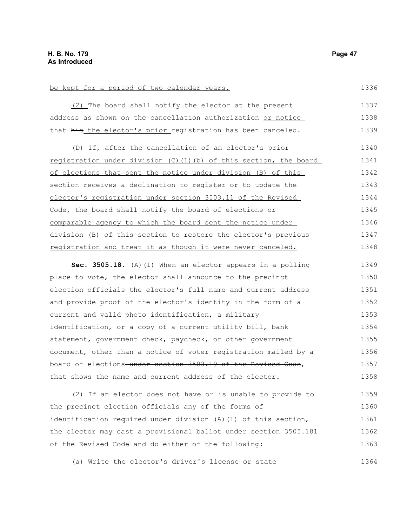be kept for a period of two calendar years.

| (2) The board shall notify the elector at the present            | 1337 |
|------------------------------------------------------------------|------|
| address as shown on the cancellation authorization or notice     | 1338 |
| that his the elector's prior registration has been canceled.     | 1339 |
| (D) If, after the cancellation of an elector's prior             | 1340 |
| registration under division (C)(1)(b) of this section, the board | 1341 |
| of elections that sent the notice under division (B) of this     | 1342 |
| section receives a declination to register or to update the      | 1343 |
| elector's registration under section 3503.11 of the Revised      | 1344 |
| Code, the board shall notify the board of elections or           | 1345 |
| comparable agency to which the board sent the notice under       | 1346 |
| division (B) of this section to restore the elector's previous   | 1347 |
| registration and treat it as though it were never canceled.      | 1348 |
| Sec. 3505.18. (A) (1) When an elector appears in a polling       | 1349 |
| place to vote, the elector shall announce to the precinct        | 1350 |
| election officials the elector's full name and current address   | 1351 |
| and provide proof of the elector's identity in the form of a     | 1352 |
| current and valid photo identification, a military               | 1353 |
| identification, or a copy of a current utility bill, bank        | 1354 |
| statement, government check, paycheck, or other government       | 1355 |
| document, other than a notice of voter registration mailed by a  | 1356 |
|                                                                  |      |

that shows the name and current address of the elector. (2) If an elector does not have or is unable to provide to the precinct election officials any of the forms of 1358 1359 1360

board of elections under section 3503.19 of the Revised Code,

identification required under division (A)(1) of this section, the elector may cast a provisional ballot under section 3505.181 of the Revised Code and do either of the following: 1361 1362 1363

(a) Write the elector's driver's license or state 1364

1336

1357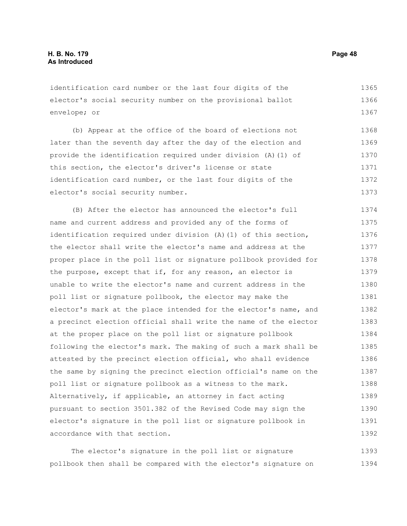identification card number or the last four digits of the elector's social security number on the provisional ballot envelope; or 1365 1366 1367

(b) Appear at the office of the board of elections not later than the seventh day after the day of the election and provide the identification required under division (A)(1) of this section, the elector's driver's license or state identification card number, or the last four digits of the elector's social security number. 1368 1369 1370 1371 1372 1373

(B) After the elector has announced the elector's full name and current address and provided any of the forms of identification required under division (A)(1) of this section, the elector shall write the elector's name and address at the proper place in the poll list or signature pollbook provided for the purpose, except that if, for any reason, an elector is unable to write the elector's name and current address in the poll list or signature pollbook, the elector may make the elector's mark at the place intended for the elector's name, and a precinct election official shall write the name of the elector at the proper place on the poll list or signature pollbook following the elector's mark. The making of such a mark shall be attested by the precinct election official, who shall evidence the same by signing the precinct election official's name on the poll list or signature pollbook as a witness to the mark. Alternatively, if applicable, an attorney in fact acting pursuant to section 3501.382 of the Revised Code may sign the elector's signature in the poll list or signature pollbook in accordance with that section. 1374 1375 1376 1377 1378 1379 1380 1381 1382 1383 1384 1385 1386 1387 1388 1389 1390 1391 1392

The elector's signature in the poll list or signature pollbook then shall be compared with the elector's signature on 1393 1394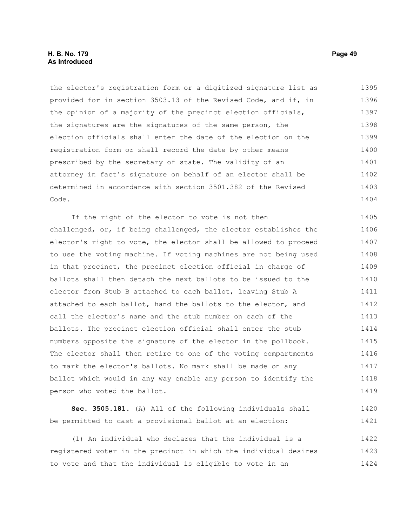## **H. B. No. 179 Page 49 As Introduced**

the elector's registration form or a digitized signature list as provided for in section 3503.13 of the Revised Code, and if, in the opinion of a majority of the precinct election officials, the signatures are the signatures of the same person, the election officials shall enter the date of the election on the registration form or shall record the date by other means prescribed by the secretary of state. The validity of an attorney in fact's signature on behalf of an elector shall be determined in accordance with section 3501.382 of the Revised Code. 1395 1396 1397 1398 1399 1400 1401 1402 1403 1404

If the right of the elector to vote is not then challenged, or, if being challenged, the elector establishes the elector's right to vote, the elector shall be allowed to proceed to use the voting machine. If voting machines are not being used in that precinct, the precinct election official in charge of ballots shall then detach the next ballots to be issued to the elector from Stub B attached to each ballot, leaving Stub A attached to each ballot, hand the ballots to the elector, and call the elector's name and the stub number on each of the ballots. The precinct election official shall enter the stub numbers opposite the signature of the elector in the pollbook. The elector shall then retire to one of the voting compartments to mark the elector's ballots. No mark shall be made on any ballot which would in any way enable any person to identify the person who voted the ballot. 1405 1406 1407 1408 1409 1410 1411 1412 1413 1414 1415 1416 1417 1418 1419

```
Sec. 3505.181. (A) All of the following individuals shall
be permitted to cast a provisional ballot at an election: 
                                                                           1420
                                                                           1421
```
(1) An individual who declares that the individual is a registered voter in the precinct in which the individual desires to vote and that the individual is eligible to vote in an 1422 1423 1424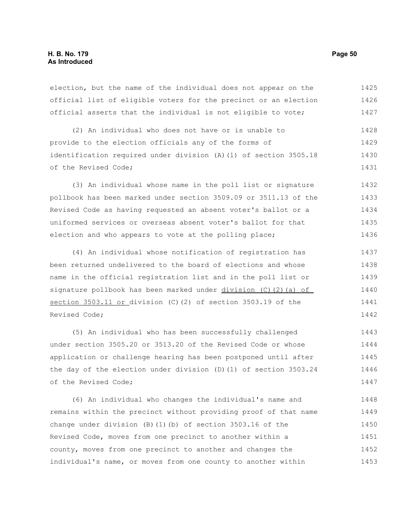election, but the name of the individual does not appear on the official list of eligible voters for the precinct or an election official asserts that the individual is not eligible to vote; 1425 1426 1427

(2) An individual who does not have or is unable to provide to the election officials any of the forms of identification required under division (A)(1) of section 3505.18 of the Revised Code; 1428 1429 1430 1431

(3) An individual whose name in the poll list or signature pollbook has been marked under section 3509.09 or 3511.13 of the Revised Code as having requested an absent voter's ballot or a uniformed services or overseas absent voter's ballot for that election and who appears to vote at the polling place; 1432 1433 1434 1435 1436

(4) An individual whose notification of registration has been returned undelivered to the board of elections and whose name in the official registration list and in the poll list or signature pollbook has been marked under  $division (C) (2) (a) of$ section 3503.11 or division (C)(2) of section 3503.19 of the Revised Code; 1437 1438 1439 1440 1441 1442

(5) An individual who has been successfully challenged under section 3505.20 or 3513.20 of the Revised Code or whose application or challenge hearing has been postponed until after the day of the election under division (D)(1) of section 3503.24 of the Revised Code; 1443 1444 1445 1446 1447

(6) An individual who changes the individual's name and remains within the precinct without providing proof of that name change under division (B)(1)(b) of section 3503.16 of the Revised Code, moves from one precinct to another within a county, moves from one precinct to another and changes the individual's name, or moves from one county to another within 1448 1449 1450 1451 1452 1453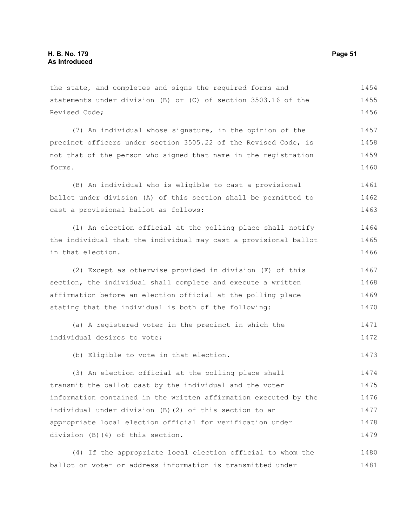the state, and completes and signs the required forms and statements under division (B) or (C) of section 3503.16 of the Revised Code; 1454 1455 1456

(7) An individual whose signature, in the opinion of the precinct officers under section 3505.22 of the Revised Code, is not that of the person who signed that name in the registration forms. 1457 1458 1459 1460

(B) An individual who is eligible to cast a provisional ballot under division (A) of this section shall be permitted to cast a provisional ballot as follows: 1461 1462 1463

(1) An election official at the polling place shall notify the individual that the individual may cast a provisional ballot in that election. 1464 1465 1466

(2) Except as otherwise provided in division (F) of this section, the individual shall complete and execute a written affirmation before an election official at the polling place stating that the individual is both of the following: 1467 1468 1469 1470

(a) A registered voter in the precinct in which the individual desires to vote; 1471 1472

(b) Eligible to vote in that election.

(3) An election official at the polling place shall transmit the ballot cast by the individual and the voter information contained in the written affirmation executed by the individual under division (B)(2) of this section to an appropriate local election official for verification under division (B)(4) of this section. 1474 1475 1476 1477 1478 1479

(4) If the appropriate local election official to whom the ballot or voter or address information is transmitted under 1480 1481

1473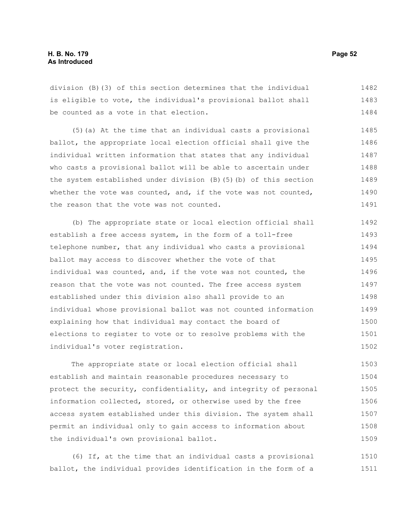division (B)(3) of this section determines that the individual is eligible to vote, the individual's provisional ballot shall be counted as a vote in that election. 1482 1483 1484

(5)(a) At the time that an individual casts a provisional ballot, the appropriate local election official shall give the individual written information that states that any individual who casts a provisional ballot will be able to ascertain under the system established under division (B)(5)(b) of this section whether the vote was counted, and, if the vote was not counted, the reason that the vote was not counted. 1485 1486 1487 1488 1489 1490 1491

(b) The appropriate state or local election official shall establish a free access system, in the form of a toll-free telephone number, that any individual who casts a provisional ballot may access to discover whether the vote of that individual was counted, and, if the vote was not counted, the reason that the vote was not counted. The free access system established under this division also shall provide to an individual whose provisional ballot was not counted information explaining how that individual may contact the board of elections to register to vote or to resolve problems with the individual's voter registration. 1492 1493 1494 1495 1496 1497 1498 1499 1500 1501 1502

The appropriate state or local election official shall establish and maintain reasonable procedures necessary to protect the security, confidentiality, and integrity of personal information collected, stored, or otherwise used by the free access system established under this division. The system shall permit an individual only to gain access to information about the individual's own provisional ballot. 1503 1504 1505 1506 1507 1508 1509

(6) If, at the time that an individual casts a provisional ballot, the individual provides identification in the form of a 1510 1511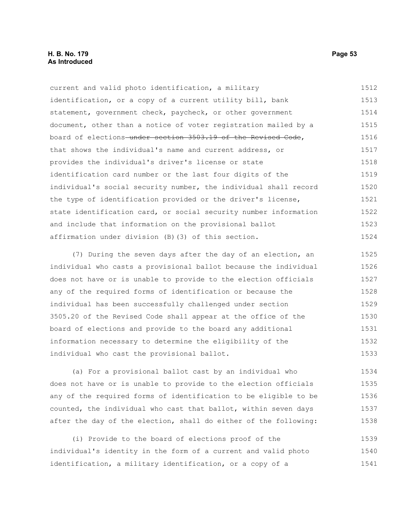current and valid photo identification, a military identification, or a copy of a current utility bill, bank statement, government check, paycheck, or other government document, other than a notice of voter registration mailed by a board of elections under section 3503.19 of the Revised Code, that shows the individual's name and current address, or provides the individual's driver's license or state identification card number or the last four digits of the individual's social security number, the individual shall record the type of identification provided or the driver's license, state identification card, or social security number information and include that information on the provisional ballot affirmation under division (B)(3) of this section. 1512 1513 1514 1515 1516 1517 1518 1519 1520 1521 1522 1523 1524

(7) During the seven days after the day of an election, an individual who casts a provisional ballot because the individual does not have or is unable to provide to the election officials any of the required forms of identification or because the individual has been successfully challenged under section 3505.20 of the Revised Code shall appear at the office of the board of elections and provide to the board any additional information necessary to determine the eligibility of the individual who cast the provisional ballot. 1525 1526 1527 1528 1529 1530 1531 1532 1533

(a) For a provisional ballot cast by an individual who does not have or is unable to provide to the election officials any of the required forms of identification to be eligible to be counted, the individual who cast that ballot, within seven days after the day of the election, shall do either of the following: 1534 1535 1536 1537 1538

(i) Provide to the board of elections proof of the individual's identity in the form of a current and valid photo identification, a military identification, or a copy of a 1539 1540 1541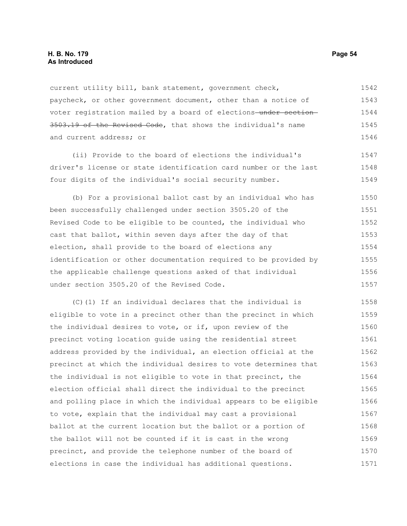current utility bill, bank statement, government check, paycheck, or other government document, other than a notice of voter registration mailed by a board of elections-under section-3503.19 of the Revised Code, that shows the individual's name and current address; or 1542 1543 1544 1545 1546

(ii) Provide to the board of elections the individual's driver's license or state identification card number or the last four digits of the individual's social security number. 1547 1548 1549

(b) For a provisional ballot cast by an individual who has been successfully challenged under section 3505.20 of the Revised Code to be eligible to be counted, the individual who cast that ballot, within seven days after the day of that election, shall provide to the board of elections any identification or other documentation required to be provided by the applicable challenge questions asked of that individual under section 3505.20 of the Revised Code. 1550 1551 1552 1553 1554 1555 1556 1557

(C)(1) If an individual declares that the individual is eligible to vote in a precinct other than the precinct in which the individual desires to vote, or if, upon review of the precinct voting location guide using the residential street address provided by the individual, an election official at the precinct at which the individual desires to vote determines that the individual is not eligible to vote in that precinct, the election official shall direct the individual to the precinct and polling place in which the individual appears to be eligible to vote, explain that the individual may cast a provisional ballot at the current location but the ballot or a portion of the ballot will not be counted if it is cast in the wrong precinct, and provide the telephone number of the board of elections in case the individual has additional questions. 1558 1559 1560 1561 1562 1563 1564 1565 1566 1567 1568 1569 1570 1571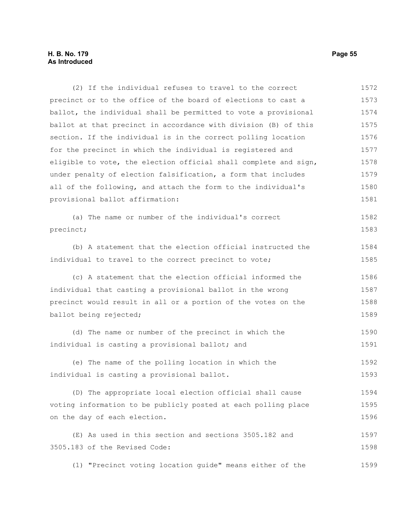# **H. B. No. 179 Page 55 As Introduced**

(2) If the individual refuses to travel to the correct precinct or to the office of the board of elections to cast a ballot, the individual shall be permitted to vote a provisional ballot at that precinct in accordance with division (B) of this section. If the individual is in the correct polling location for the precinct in which the individual is registered and eligible to vote, the election official shall complete and sign, under penalty of election falsification, a form that includes all of the following, and attach the form to the individual's provisional ballot affirmation: (a) The name or number of the individual's correct precinct; (b) A statement that the election official instructed the individual to travel to the correct precinct to vote; (c) A statement that the election official informed the individual that casting a provisional ballot in the wrong precinct would result in all or a portion of the votes on the ballot being rejected; (d) The name or number of the precinct in which the individual is casting a provisional ballot; and (e) The name of the polling location in which the individual is casting a provisional ballot. (D) The appropriate local election official shall cause voting information to be publicly posted at each polling place on the day of each election. (E) As used in this section and sections 3505.182 and 3505.183 of the Revised Code: (1) "Precinct voting location guide" means either of the 1572 1573 1574 1575 1576 1577 1578 1579 1580 1581 1582 1583 1584 1585 1586 1587 1588 1589 1590 1591 1592 1593 1594 1595 1596 1597 1598 1599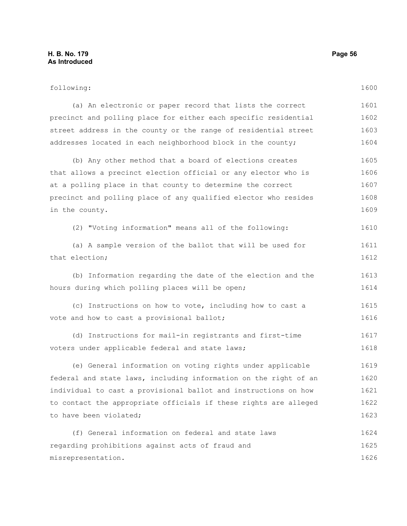following: (a) An electronic or paper record that lists the correct precinct and polling place for either each specific residential street address in the county or the range of residential street addresses located in each neighborhood block in the county; (b) Any other method that a board of elections creates that allows a precinct election official or any elector who is at a polling place in that county to determine the correct precinct and polling place of any qualified elector who resides in the county. (2) "Voting information" means all of the following: (a) A sample version of the ballot that will be used for that election; (b) Information regarding the date of the election and the hours during which polling places will be open; (c) Instructions on how to vote, including how to cast a vote and how to cast a provisional ballot; (d) Instructions for mail-in registrants and first-time voters under applicable federal and state laws; (e) General information on voting rights under applicable federal and state laws, including information on the right of an individual to cast a provisional ballot and instructions on how to contact the appropriate officials if these rights are alleged to have been violated; (f) General information on federal and state laws regarding prohibitions against acts of fraud and 1600 1601 1602 1603 1604 1605 1606 1607 1608 1609 1610 1611 1612 1613 1614 1615 1616 1617 1618 1619 1620 1621 1622 1623 1624 1625

misrepresentation.

1626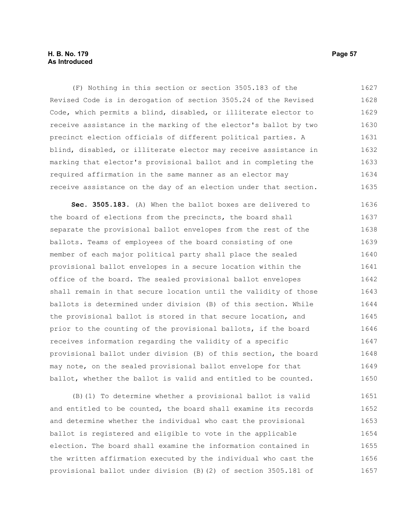# **H. B. No. 179 Page 57 As Introduced**

(F) Nothing in this section or section 3505.183 of the Revised Code is in derogation of section 3505.24 of the Revised Code, which permits a blind, disabled, or illiterate elector to receive assistance in the marking of the elector's ballot by two precinct election officials of different political parties. A blind, disabled, or illiterate elector may receive assistance in marking that elector's provisional ballot and in completing the required affirmation in the same manner as an elector may receive assistance on the day of an election under that section. 1627 1628 1629 1630 1631 1632 1633 1634 1635

**Sec. 3505.183.** (A) When the ballot boxes are delivered to the board of elections from the precincts, the board shall separate the provisional ballot envelopes from the rest of the ballots. Teams of employees of the board consisting of one member of each major political party shall place the sealed provisional ballot envelopes in a secure location within the office of the board. The sealed provisional ballot envelopes shall remain in that secure location until the validity of those ballots is determined under division (B) of this section. While the provisional ballot is stored in that secure location, and prior to the counting of the provisional ballots, if the board receives information regarding the validity of a specific provisional ballot under division (B) of this section, the board may note, on the sealed provisional ballot envelope for that ballot, whether the ballot is valid and entitled to be counted. 1636 1637 1638 1639 1640 1641 1642 1643 1644 1645 1646 1647 1648 1649 1650

(B)(1) To determine whether a provisional ballot is valid and entitled to be counted, the board shall examine its records and determine whether the individual who cast the provisional ballot is registered and eligible to vote in the applicable election. The board shall examine the information contained in the written affirmation executed by the individual who cast the provisional ballot under division (B)(2) of section 3505.181 of 1651 1652 1653 1654 1655 1656 1657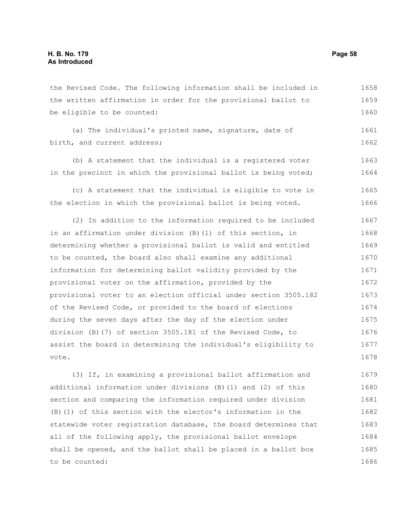the Revised Code. The following information shall be included in the written affirmation in order for the provisional ballot to be eligible to be counted: 1658 1659 1660

(a) The individual's printed name, signature, date of birth, and current address; 1661 1662

(b) A statement that the individual is a registered voter in the precinct in which the provisional ballot is being voted; 1663 1664

(c) A statement that the individual is eligible to vote in the election in which the provisional ballot is being voted. 1665 1666

(2) In addition to the information required to be included in an affirmation under division (B)(1) of this section, in determining whether a provisional ballot is valid and entitled to be counted, the board also shall examine any additional information for determining ballot validity provided by the provisional voter on the affirmation, provided by the provisional voter to an election official under section 3505.182 of the Revised Code, or provided to the board of elections during the seven days after the day of the election under division (B)(7) of section 3505.181 of the Revised Code, to assist the board in determining the individual's eligibility to vote. 1667 1668 1669 1670 1671 1672 1673 1674 1675 1676 1677 1678

(3) If, in examining a provisional ballot affirmation and additional information under divisions (B)(1) and (2) of this section and comparing the information required under division (B)(1) of this section with the elector's information in the statewide voter registration database, the board determines that all of the following apply, the provisional ballot envelope shall be opened, and the ballot shall be placed in a ballot box to be counted: 1679 1680 1681 1682 1683 1684 1685 1686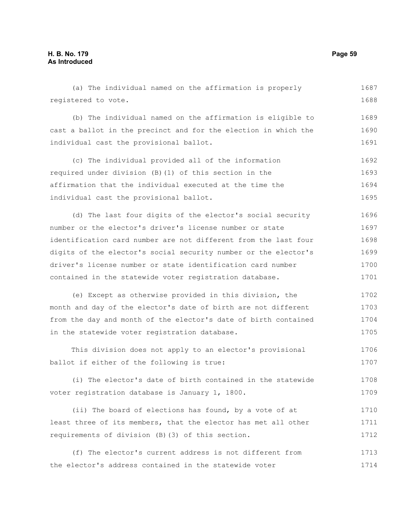# **H. B. No. 179 Page 59 As Introduced**

(a) The individual named on the affirmation is properly registered to vote. (b) The individual named on the affirmation is eligible to cast a ballot in the precinct and for the election in which the individual cast the provisional ballot. (c) The individual provided all of the information required under division (B)(1) of this section in the affirmation that the individual executed at the time the individual cast the provisional ballot. (d) The last four digits of the elector's social security number or the elector's driver's license number or state identification card number are not different from the last four digits of the elector's social security number or the elector's driver's license number or state identification card number contained in the statewide voter registration database. (e) Except as otherwise provided in this division, the month and day of the elector's date of birth are not different from the day and month of the elector's date of birth contained in the statewide voter registration database. This division does not apply to an elector's provisional ballot if either of the following is true: (i) The elector's date of birth contained in the statewide voter registration database is January 1, 1800. (ii) The board of elections has found, by a vote of at least three of its members, that the elector has met all other requirements of division (B)(3) of this section. 1687 1688 1689 1690 1691 1692 1693 1694 1695 1696 1697 1698 1699 1700 1701 1702 1703 1704 1705 1706 1707 1708 1709 1710 1711 1712

(f) The elector's current address is not different from the elector's address contained in the statewide voter 1713 1714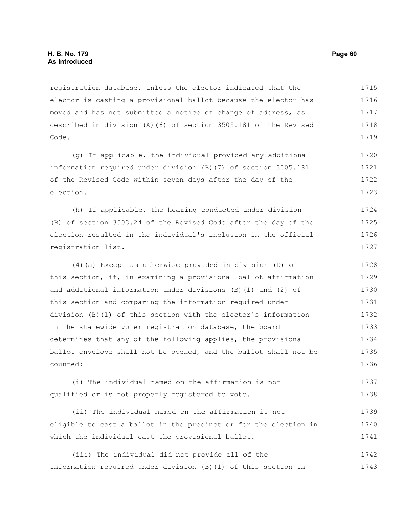registration database, unless the elector indicated that the elector is casting a provisional ballot because the elector has moved and has not submitted a notice of change of address, as described in division (A)(6) of section 3505.181 of the Revised Code. 1715 1716 1717 1718 1719

(g) If applicable, the individual provided any additional information required under division (B)(7) of section 3505.181 of the Revised Code within seven days after the day of the election. 1720 1721 1722 1723

(h) If applicable, the hearing conducted under division (B) of section 3503.24 of the Revised Code after the day of the election resulted in the individual's inclusion in the official registration list. 1724 1725 1726 1727

(4)(a) Except as otherwise provided in division (D) of this section, if, in examining a provisional ballot affirmation and additional information under divisions (B)(1) and (2) of this section and comparing the information required under division (B)(1) of this section with the elector's information in the statewide voter registration database, the board determines that any of the following applies, the provisional ballot envelope shall not be opened, and the ballot shall not be counted: 1728 1729 1730 1731 1732 1733 1734 1735 1736

(i) The individual named on the affirmation is not qualified or is not properly registered to vote. 1737 1738

(ii) The individual named on the affirmation is not eligible to cast a ballot in the precinct or for the election in which the individual cast the provisional ballot. 1739 1740 1741

(iii) The individual did not provide all of the information required under division (B)(1) of this section in 1742 1743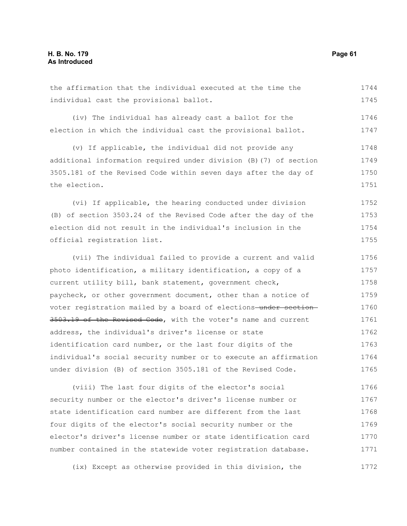#### the affirmation that the individual executed at the time the individual cast the provisional ballot. (iv) The individual has already cast a ballot for the election in which the individual cast the provisional ballot. (v) If applicable, the individual did not provide any additional information required under division (B)(7) of section 3505.181 of the Revised Code within seven days after the day of the election. (vi) If applicable, the hearing conducted under division (B) of section 3503.24 of the Revised Code after the day of the election did not result in the individual's inclusion in the official registration list. (vii) The individual failed to provide a current and valid photo identification, a military identification, a copy of a current utility bill, bank statement, government check, paycheck, or other government document, other than a notice of voter registration mailed by a board of elections-under section-3503.19 of the Revised Code, with the voter's name and current address, the individual's driver's license or state 1744 1745 1746 1747 1748 1749 1750 1751 1752 1753 1754 1755 1756 1757 1758 1759 1760 1761 1762

identification card number, or the last four digits of the individual's social security number or to execute an affirmation under division (B) of section 3505.181 of the Revised Code. 1763 1764 1765

(viii) The last four digits of the elector's social security number or the elector's driver's license number or state identification card number are different from the last four digits of the elector's social security number or the elector's driver's license number or state identification card number contained in the statewide voter registration database. 1766 1767 1768 1769 1770 1771

(ix) Except as otherwise provided in this division, the 1772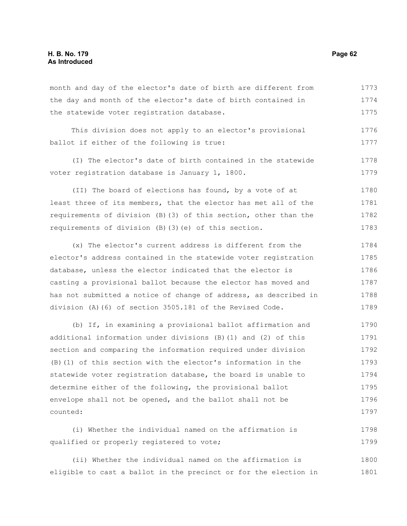month and day of the elector's date of birth are different from the day and month of the elector's date of birth contained in the statewide voter registration database. 1773 1774 1775

This division does not apply to an elector's provisional ballot if either of the following is true: 1776 1777

(I) The elector's date of birth contained in the statewide voter registration database is January 1, 1800. 1778 1779

(II) The board of elections has found, by a vote of at least three of its members, that the elector has met all of the requirements of division (B)(3) of this section, other than the requirements of division (B)(3)(e) of this section. 1780 1781 1782 1783

(x) The elector's current address is different from the elector's address contained in the statewide voter registration database, unless the elector indicated that the elector is casting a provisional ballot because the elector has moved and has not submitted a notice of change of address, as described in division (A)(6) of section 3505.181 of the Revised Code. 1784 1785 1786 1787 1788 1789

(b) If, in examining a provisional ballot affirmation and additional information under divisions (B)(1) and (2) of this section and comparing the information required under division (B)(1) of this section with the elector's information in the statewide voter registration database, the board is unable to determine either of the following, the provisional ballot envelope shall not be opened, and the ballot shall not be counted: 1790 1791 1792 1793 1794 1795 1796 1797

(i) Whether the individual named on the affirmation is qualified or properly registered to vote; 1798 1799

(ii) Whether the individual named on the affirmation is eligible to cast a ballot in the precinct or for the election in 1800 1801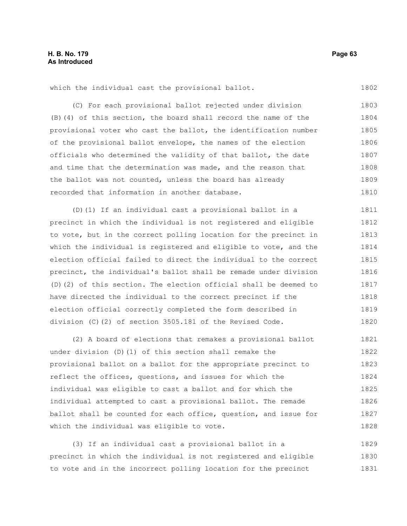1802

which the individual cast the provisional ballot.

(C) For each provisional ballot rejected under division (B)(4) of this section, the board shall record the name of the provisional voter who cast the ballot, the identification number of the provisional ballot envelope, the names of the election officials who determined the validity of that ballot, the date and time that the determination was made, and the reason that the ballot was not counted, unless the board has already recorded that information in another database. 1803 1804 1805 1806 1807 1808 1809 1810

(D)(1) If an individual cast a provisional ballot in a precinct in which the individual is not registered and eligible to vote, but in the correct polling location for the precinct in which the individual is registered and eligible to vote, and the election official failed to direct the individual to the correct precinct, the individual's ballot shall be remade under division (D)(2) of this section. The election official shall be deemed to have directed the individual to the correct precinct if the election official correctly completed the form described in division (C)(2) of section 3505.181 of the Revised Code. 1811 1812 1813 1814 1815 1816 1817 1818 1819 1820

(2) A board of elections that remakes a provisional ballot under division (D)(1) of this section shall remake the provisional ballot on a ballot for the appropriate precinct to reflect the offices, questions, and issues for which the individual was eligible to cast a ballot and for which the individual attempted to cast a provisional ballot. The remade ballot shall be counted for each office, question, and issue for which the individual was eligible to vote. 1821 1822 1823 1824 1825 1826 1827 1828

(3) If an individual cast a provisional ballot in a precinct in which the individual is not registered and eligible to vote and in the incorrect polling location for the precinct 1829 1830 1831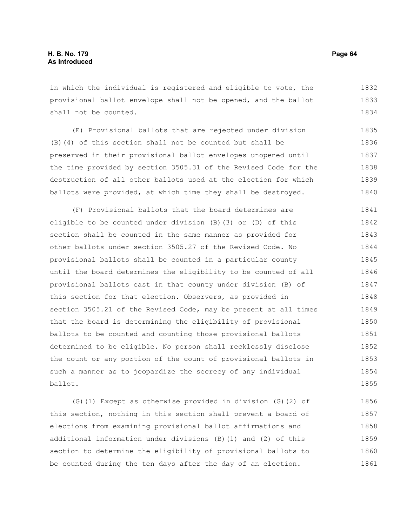in which the individual is registered and eligible to vote, the provisional ballot envelope shall not be opened, and the ballot shall not be counted. 1832 1833 1834

(E) Provisional ballots that are rejected under division (B)(4) of this section shall not be counted but shall be preserved in their provisional ballot envelopes unopened until the time provided by section 3505.31 of the Revised Code for the destruction of all other ballots used at the election for which ballots were provided, at which time they shall be destroyed. 1835 1836 1837 1838 1839 1840

(F) Provisional ballots that the board determines are eligible to be counted under division (B)(3) or (D) of this section shall be counted in the same manner as provided for other ballots under section 3505.27 of the Revised Code. No provisional ballots shall be counted in a particular county until the board determines the eligibility to be counted of all provisional ballots cast in that county under division (B) of this section for that election. Observers, as provided in section 3505.21 of the Revised Code, may be present at all times that the board is determining the eligibility of provisional ballots to be counted and counting those provisional ballots determined to be eligible. No person shall recklessly disclose the count or any portion of the count of provisional ballots in such a manner as to jeopardize the secrecy of any individual ballot. 1841 1842 1843 1844 1845 1846 1847 1848 1849 1850 1851 1852 1853 1854 1855

(G)(1) Except as otherwise provided in division (G)(2) of this section, nothing in this section shall prevent a board of elections from examining provisional ballot affirmations and additional information under divisions (B)(1) and (2) of this section to determine the eligibility of provisional ballots to be counted during the ten days after the day of an election. 1856 1857 1858 1859 1860 1861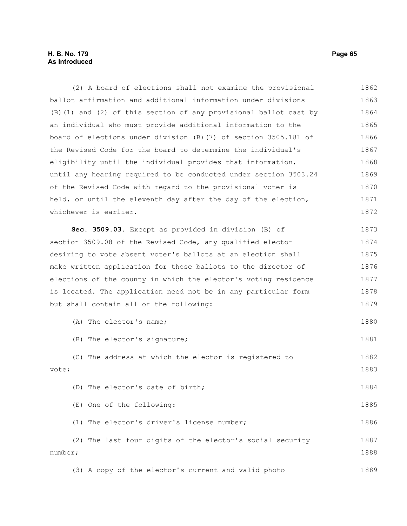# **H. B. No. 179 Page 65 As Introduced**

(2) A board of elections shall not examine the provisional ballot affirmation and additional information under divisions (B)(1) and (2) of this section of any provisional ballot cast by an individual who must provide additional information to the board of elections under division (B)(7) of section 3505.181 of the Revised Code for the board to determine the individual's eligibility until the individual provides that information, until any hearing required to be conducted under section 3503.24 of the Revised Code with regard to the provisional voter is held, or until the eleventh day after the day of the election, whichever is earlier. **Sec. 3509.03.** Except as provided in division (B) of section 3509.08 of the Revised Code, any qualified elector desiring to vote absent voter's ballots at an election shall make written application for those ballots to the director of elections of the county in which the elector's voting residence is located. The application need not be in any particular form but shall contain all of the following: (A) The elector's name; (B) The elector's signature; (C) The address at which the elector is registered to vote; (D) The elector's date of birth; (E) One of the following: (1) The elector's driver's license number; (2) The last four digits of the elector's social security number; 1862 1863 1864 1865 1866 1867 1868 1869 1870 1871 1872 1873 1874 1875 1876 1877 1878 1879 1880 1881 1882 1883 1884 1885 1886 1887 1888

(3) A copy of the elector's current and valid photo 1889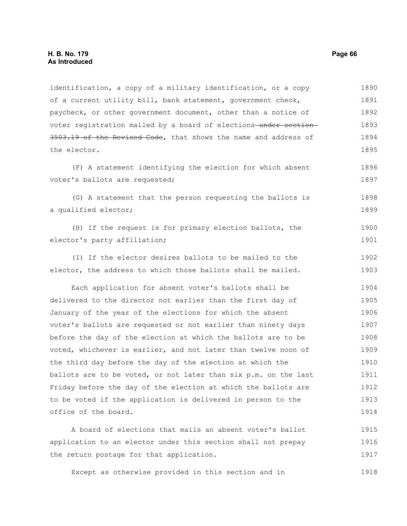identification, a copy of a military identification, or a copy of a current utility bill, bank statement, government check, paycheck, or other government document, other than a notice of voter registration mailed by a board of elections-under section-3503.19 of the Revised Code, that shows the name and address of the elector. (F) A statement identifying the election for which absent voter's ballots are requested; 1890 1891 1892 1893 1894 1895 1896 1897

(G) A statement that the person requesting the ballots is a qualified elector; 1898 1899

(H) If the request is for primary election ballots, the elector's party affiliation; 1900 1901

(I) If the elector desires ballots to be mailed to the elector, the address to which those ballots shall be mailed. 1902 1903

Each application for absent voter's ballots shall be delivered to the director not earlier than the first day of January of the year of the elections for which the absent voter's ballots are requested or not earlier than ninety days before the day of the election at which the ballots are to be voted, whichever is earlier, and not later than twelve noon of the third day before the day of the election at which the ballots are to be voted, or not later than six p.m. on the last Friday before the day of the election at which the ballots are to be voted if the application is delivered in person to the office of the board. 1904 1905 1906 1907 1908 1909 1910 1911 1912 1913 1914

A board of elections that mails an absent voter's ballot application to an elector under this section shall not prepay the return postage for that application. 1915 1916 1917

Except as otherwise provided in this section and in 1918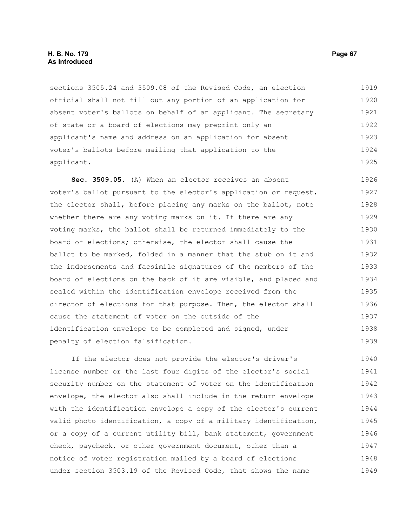## **H. B. No. 179 Page 67 As Introduced**

sections 3505.24 and 3509.08 of the Revised Code, an election official shall not fill out any portion of an application for absent voter's ballots on behalf of an applicant. The secretary of state or a board of elections may preprint only an applicant's name and address on an application for absent voter's ballots before mailing that application to the applicant. 1919 1920 1921 1922 1923 1924 1925

**Sec. 3509.05.** (A) When an elector receives an absent voter's ballot pursuant to the elector's application or request, the elector shall, before placing any marks on the ballot, note whether there are any voting marks on it. If there are any voting marks, the ballot shall be returned immediately to the board of elections; otherwise, the elector shall cause the ballot to be marked, folded in a manner that the stub on it and the indorsements and facsimile signatures of the members of the board of elections on the back of it are visible, and placed and sealed within the identification envelope received from the director of elections for that purpose. Then, the elector shall cause the statement of voter on the outside of the identification envelope to be completed and signed, under penalty of election falsification. 1926 1927 1928 1929 1930 1931 1932 1933 1934 1935 1936 1937 1938 1939

If the elector does not provide the elector's driver's license number or the last four digits of the elector's social security number on the statement of voter on the identification envelope, the elector also shall include in the return envelope with the identification envelope a copy of the elector's current valid photo identification, a copy of a military identification, or a copy of a current utility bill, bank statement, government check, paycheck, or other government document, other than a notice of voter registration mailed by a board of elections under section 3503.19 of the Revised Code, that shows the name 1940 1941 1942 1943 1944 1945 1946 1947 1948 1949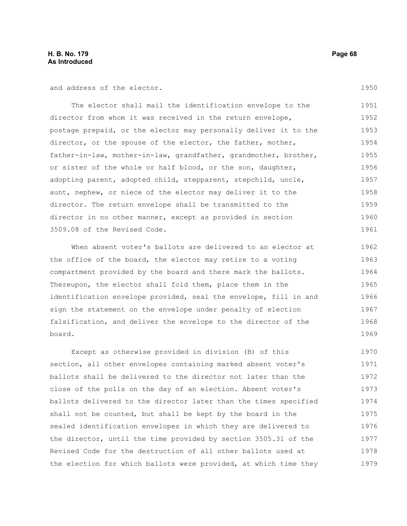# **H. B. No. 179 Page 68 As Introduced**

and address of the elector.

The elector shall mail the identification envelope to the director from whom it was received in the return envelope, postage prepaid, or the elector may personally deliver it to the director, or the spouse of the elector, the father, mother, father-in-law, mother-in-law, grandfather, grandmother, brother, or sister of the whole or half blood, or the son, daughter, adopting parent, adopted child, stepparent, stepchild, uncle, aunt, nephew, or niece of the elector may deliver it to the director. The return envelope shall be transmitted to the director in no other manner, except as provided in section 3509.08 of the Revised Code. 1951 1952 1953 1954 1955 1956 1957 1958 1959 1960 1961

When absent voter's ballots are delivered to an elector at the office of the board, the elector may retire to a voting compartment provided by the board and there mark the ballots. Thereupon, the elector shall fold them, place them in the identification envelope provided, seal the envelope, fill in and sign the statement on the envelope under penalty of election falsification, and deliver the envelope to the director of the board. 1962 1963 1964 1965 1966 1967 1968

Except as otherwise provided in division (B) of this section, all other envelopes containing marked absent voter's ballots shall be delivered to the director not later than the close of the polls on the day of an election. Absent voter's ballots delivered to the director later than the times specified shall not be counted, but shall be kept by the board in the sealed identification envelopes in which they are delivered to the director, until the time provided by section 3505.31 of the Revised Code for the destruction of all other ballots used at the election for which ballots were provided, at which time they 1970 1971 1972 1973 1974 1975 1976 1977 1978 1979

1950

1969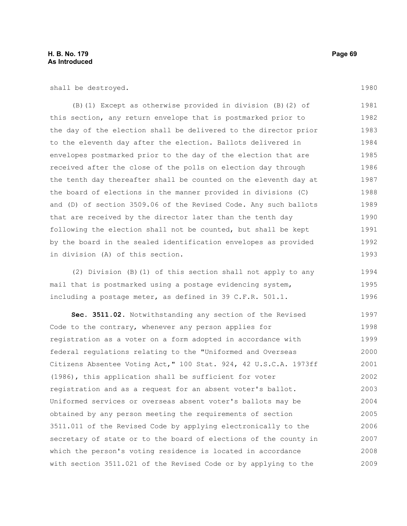1980

shall be destroyed.

(B)(1) Except as otherwise provided in division (B)(2) of this section, any return envelope that is postmarked prior to the day of the election shall be delivered to the director prior to the eleventh day after the election. Ballots delivered in envelopes postmarked prior to the day of the election that are received after the close of the polls on election day through the tenth day thereafter shall be counted on the eleventh day at the board of elections in the manner provided in divisions (C) and (D) of section 3509.06 of the Revised Code. Any such ballots that are received by the director later than the tenth day following the election shall not be counted, but shall be kept by the board in the sealed identification envelopes as provided in division (A) of this section. 1981 1982 1983 1984 1985 1986 1987 1988 1989 1990 1991 1992 1993

(2) Division (B)(1) of this section shall not apply to any mail that is postmarked using a postage evidencing system, including a postage meter, as defined in 39 C.F.R. 501.1. 1994 1995 1996

**Sec. 3511.02.** Notwithstanding any section of the Revised Code to the contrary, whenever any person applies for registration as a voter on a form adopted in accordance with federal regulations relating to the "Uniformed and Overseas Citizens Absentee Voting Act," 100 Stat. 924, 42 U.S.C.A. 1973ff (1986), this application shall be sufficient for voter registration and as a request for an absent voter's ballot. Uniformed services or overseas absent voter's ballots may be obtained by any person meeting the requirements of section 3511.011 of the Revised Code by applying electronically to the secretary of state or to the board of elections of the county in which the person's voting residence is located in accordance with section 3511.021 of the Revised Code or by applying to the 1997 1998 1999 2000 2001 2002 2003 2004 2005 2006 2007 2008 2009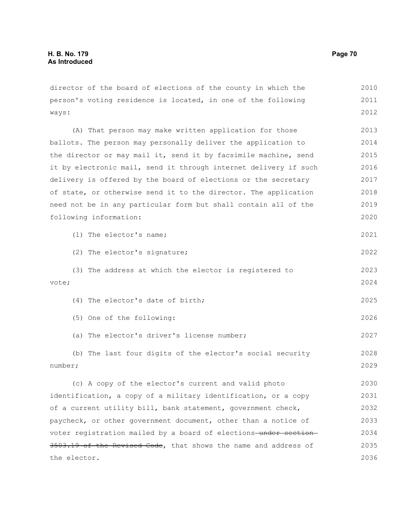| director of the board of elections of the county in which the    | 2010 |
|------------------------------------------------------------------|------|
| person's voting residence is located, in one of the following    | 2011 |
| ways:                                                            | 2012 |
| (A) That person may make written application for those           | 2013 |
| ballots. The person may personally deliver the application to    | 2014 |
| the director or may mail it, send it by facsimile machine, send  | 2015 |
| it by electronic mail, send it through internet delivery if such | 2016 |
| delivery is offered by the board of elections or the secretary   | 2017 |
| of state, or otherwise send it to the director. The application  | 2018 |
| need not be in any particular form but shall contain all of the  | 2019 |
| following information:                                           | 2020 |
|                                                                  |      |
| (1) The elector's name;                                          | 2021 |
| (2) The elector's signature;                                     | 2022 |
| (3) The address at which the elector is registered to            | 2023 |
| vote;                                                            | 2024 |
| (4) The elector's date of birth;                                 | 2025 |
| (5) One of the following:                                        | 2026 |
| (a) The elector's driver's license number;                       | 2027 |
| (b) The last four digits of the elector's social security        | 2028 |
| number;                                                          | 2029 |
| (c) A copy of the elector's current and valid photo              | 2030 |
| identification, a copy of a military identification, or a copy   | 2031 |
| of a current utility bill, bank statement, government check,     | 2032 |
| paycheck, or other government document, other than a notice of   | 2033 |
| voter registration mailed by a board of elections-under section- | 2034 |
| 3503.19 of the Revised Code, that shows the name and address of  | 2035 |
| the elector.                                                     | 2036 |
|                                                                  |      |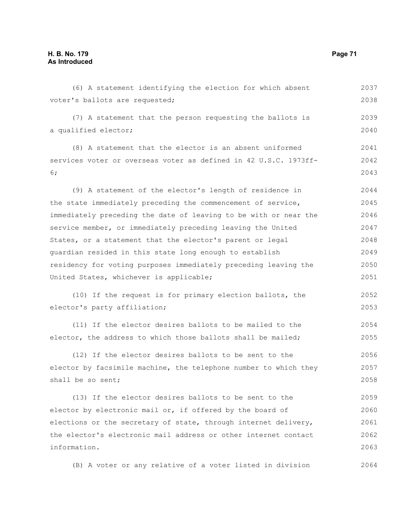6;

(6) A statement identifying the election for which absent voter's ballots are requested; (7) A statement that the person requesting the ballots is a qualified elector; (8) A statement that the elector is an absent uniformed services voter or overseas voter as defined in 42 U.S.C. 1973ff-(9) A statement of the elector's length of residence in the state immediately preceding the commencement of service, immediately preceding the date of leaving to be with or near the service member, or immediately preceding leaving the United States, or a statement that the elector's parent or legal guardian resided in this state long enough to establish residency for voting purposes immediately preceding leaving the United States, whichever is applicable; (10) If the request is for primary election ballots, the elector's party affiliation; (11) If the elector desires ballots to be mailed to the elector, the address to which those ballots shall be mailed; (12) If the elector desires ballots to be sent to the elector by facsimile machine, the telephone number to which they shall be so sent; (13) If the elector desires ballots to be sent to the 2037 2038 2039 2040 2041 2042 2043 2044 2045 2046 2047 2048 2049 2050 2051 2052 2053 2054 2055 2056 2057 2058 2059

elector by electronic mail or, if offered by the board of elections or the secretary of state, through internet delivery, the elector's electronic mail address or other internet contact information. 2060 2061 2062 2063

(B) A voter or any relative of a voter listed in division 2064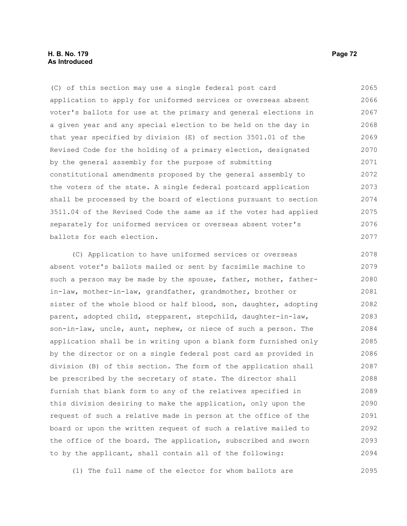## **H. B. No. 179 Page 72 As Introduced**

(C) of this section may use a single federal post card application to apply for uniformed services or overseas absent voter's ballots for use at the primary and general elections in a given year and any special election to be held on the day in that year specified by division (E) of section 3501.01 of the Revised Code for the holding of a primary election, designated by the general assembly for the purpose of submitting constitutional amendments proposed by the general assembly to the voters of the state. A single federal postcard application shall be processed by the board of elections pursuant to section 3511.04 of the Revised Code the same as if the voter had applied separately for uniformed services or overseas absent voter's ballots for each election. 2065 2066 2067 2068 2069 2070 2071 2072 2073 2074 2075 2076 2077

(C) Application to have uniformed services or overseas absent voter's ballots mailed or sent by facsimile machine to such a person may be made by the spouse, father, mother, fatherin-law, mother-in-law, grandfather, grandmother, brother or sister of the whole blood or half blood, son, daughter, adopting parent, adopted child, stepparent, stepchild, daughter-in-law, son-in-law, uncle, aunt, nephew, or niece of such a person. The application shall be in writing upon a blank form furnished only by the director or on a single federal post card as provided in division (B) of this section. The form of the application shall be prescribed by the secretary of state. The director shall furnish that blank form to any of the relatives specified in this division desiring to make the application, only upon the request of such a relative made in person at the office of the board or upon the written request of such a relative mailed to the office of the board. The application, subscribed and sworn to by the applicant, shall contain all of the following: 2078 2079 2080 2081 2082 2083 2084 2085 2086 2087 2088 2089 2090 2091 2092 2093 2094

(1) The full name of the elector for whom ballots are

2095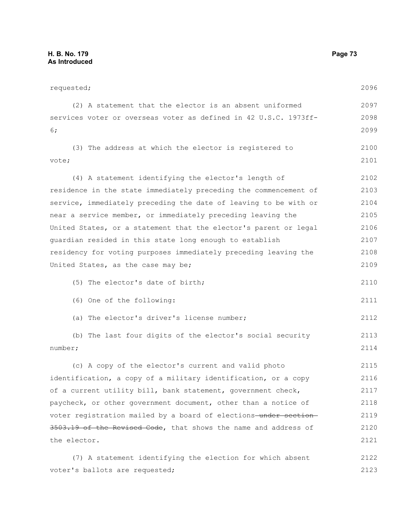requested; (2) A statement that the elector is an absent uniformed services voter or overseas voter as defined in 42 U.S.C. 1973ff-6; (3) The address at which the elector is registered to vote; (4) A statement identifying the elector's length of residence in the state immediately preceding the commencement of service, immediately preceding the date of leaving to be with or near a service member, or immediately preceding leaving the United States, or a statement that the elector's parent or legal guardian resided in this state long enough to establish residency for voting purposes immediately preceding leaving the United States, as the case may be; (5) The elector's date of birth; (6) One of the following: (a) The elector's driver's license number; (b) The last four digits of the elector's social security number; (c) A copy of the elector's current and valid photo identification, a copy of a military identification, or a copy of a current utility bill, bank statement, government check, paycheck, or other government document, other than a notice of voter registration mailed by a board of elections-under section-3503.19 of the Revised Code, that shows the name and address of the elector. (7) A statement identifying the election for which absent 2096 2097 2098 2099 2100 2101 2102 2103 2104 2105 2106 2107 2108 2109 2110 2111 2112 2113 2114 2115 2116 2117 2118 2119 2120 2121 2122

voter's ballots are requested;

2123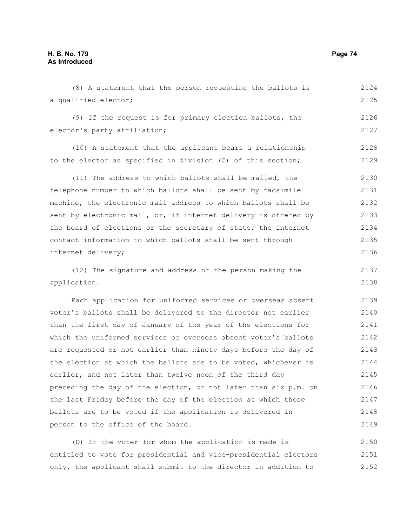(8) A statement that the person requesting the ballots is a qualified elector; (9) If the request is for primary election ballots, the elector's party affiliation; (10) A statement that the applicant bears a relationship to the elector as specified in division (C) of this section; (11) The address to which ballots shall be mailed, the telephone number to which ballots shall be sent by facsimile machine, the electronic mail address to which ballots shall be sent by electronic mail, or, if internet delivery is offered by the board of elections or the secretary of state, the internet contact information to which ballots shall be sent through internet delivery; (12) The signature and address of the person making the application. Each application for uniformed services or overseas absent voter's ballots shall be delivered to the director not earlier than the first day of January of the year of the elections for which the uniformed services or overseas absent voter's ballots are requested or not earlier than ninety days before the day of the election at which the ballots are to be voted, whichever is 2124 2125 2126 2127 2128 2129 2130 2131 2132 2133 2134 2135 2136 2137 2138 2139 2140 2141 2142 2143 2144

earlier, and not later than twelve noon of the third day preceding the day of the election, or not later than six p.m. on the last Friday before the day of the election at which those ballots are to be voted if the application is delivered in person to the office of the board. 2145 2146 2147 2148 2149

(D) If the voter for whom the application is made is entitled to vote for presidential and vice-presidential electors only, the applicant shall submit to the director in addition to 2150 2151 2152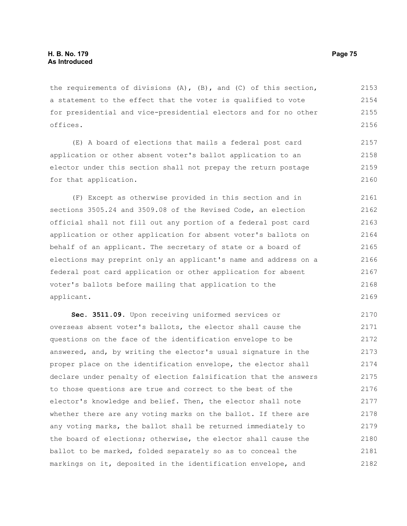the requirements of divisions  $(A)$ ,  $(B)$ , and  $(C)$  of this section, a statement to the effect that the voter is qualified to vote for presidential and vice-presidential electors and for no other offices. 2153 2154 2155 2156

(E) A board of elections that mails a federal post card application or other absent voter's ballot application to an elector under this section shall not prepay the return postage for that application. 2157 2158 2159 2160

(F) Except as otherwise provided in this section and in sections 3505.24 and 3509.08 of the Revised Code, an election official shall not fill out any portion of a federal post card application or other application for absent voter's ballots on behalf of an applicant. The secretary of state or a board of elections may preprint only an applicant's name and address on a federal post card application or other application for absent voter's ballots before mailing that application to the applicant. 2161 2162 2163 2164 2165 2166 2167 2168 2169

**Sec. 3511.09.** Upon receiving uniformed services or overseas absent voter's ballots, the elector shall cause the questions on the face of the identification envelope to be answered, and, by writing the elector's usual signature in the proper place on the identification envelope, the elector shall declare under penalty of election falsification that the answers to those questions are true and correct to the best of the elector's knowledge and belief. Then, the elector shall note whether there are any voting marks on the ballot. If there are any voting marks, the ballot shall be returned immediately to the board of elections; otherwise, the elector shall cause the ballot to be marked, folded separately so as to conceal the markings on it, deposited in the identification envelope, and 2170 2171 2172 2173 2174 2175 2176 2177 2178 2179 2180 2181 2182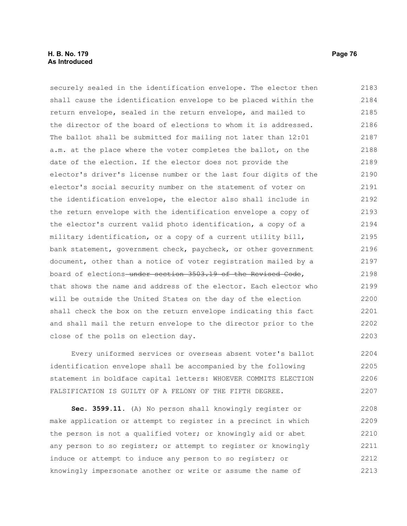# **H. B. No. 179 Page 76 As Introduced**

securely sealed in the identification envelope. The elector then shall cause the identification envelope to be placed within the return envelope, sealed in the return envelope, and mailed to the director of the board of elections to whom it is addressed. The ballot shall be submitted for mailing not later than 12:01 a.m. at the place where the voter completes the ballot, on the date of the election. If the elector does not provide the elector's driver's license number or the last four digits of the elector's social security number on the statement of voter on the identification envelope, the elector also shall include in the return envelope with the identification envelope a copy of the elector's current valid photo identification, a copy of a military identification, or a copy of a current utility bill, bank statement, government check, paycheck, or other government document, other than a notice of voter registration mailed by a board of elections under section 3503.19 of the Revised Code, that shows the name and address of the elector. Each elector who will be outside the United States on the day of the election shall check the box on the return envelope indicating this fact and shall mail the return envelope to the director prior to the close of the polls on election day. 2183 2184 2185 2186 2187 2188 2189 2190 2191 2192 2193 2194 2195 2196 2197 2198 2199 2200 2201 2202 2203

Every uniformed services or overseas absent voter's ballot identification envelope shall be accompanied by the following statement in boldface capital letters: WHOEVER COMMITS ELECTION FALSIFICATION IS GUILTY OF A FELONY OF THE FIFTH DEGREE. 2204 2205 2206 2207

**Sec. 3599.11.** (A) No person shall knowingly register or make application or attempt to register in a precinct in which the person is not a qualified voter; or knowingly aid or abet any person to so register; or attempt to register or knowingly induce or attempt to induce any person to so register; or knowingly impersonate another or write or assume the name of 2208 2209 2210 2211 2212 2213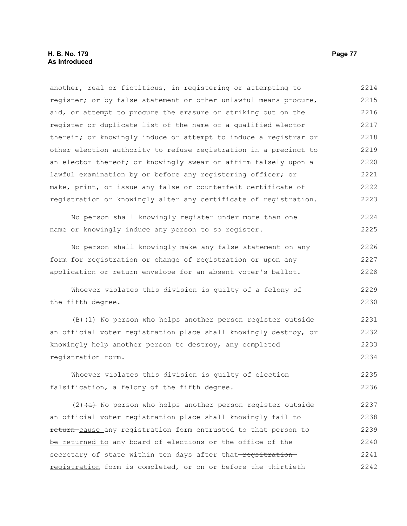another, real or fictitious, in registering or attempting to register; or by false statement or other unlawful means procure, aid, or attempt to procure the erasure or striking out on the register or duplicate list of the name of a qualified elector therein; or knowingly induce or attempt to induce a registrar or other election authority to refuse registration in a precinct to an elector thereof; or knowingly swear or affirm falsely upon a lawful examination by or before any registering officer; or make, print, or issue any false or counterfeit certificate of registration or knowingly alter any certificate of registration. 2214 2215 2216 2217 2218 2219 2220 2221 2222 2223

No person shall knowingly register under more than one name or knowingly induce any person to so register. 2224 2225

No person shall knowingly make any false statement on any form for registration or change of registration or upon any application or return envelope for an absent voter's ballot. 2226 2227 2228

Whoever violates this division is guilty of a felony of the fifth degree. 2229 2230

(B)(1) No person who helps another person register outside an official voter registration place shall knowingly destroy, or knowingly help another person to destroy, any completed registration form. 2231 2232 2233 2234

Whoever violates this division is guilty of election falsification, a felony of the fifth degree. 2235 2236

(2) $(a)$  No person who helps another person register outside an official voter registration place shall knowingly fail to return cause any registration form entrusted to that person to be returned to any board of elections or the office of the secretary of state within ten days after that-regsitrationregistration form is completed, or on or before the thirtieth 2237 2238 2239 2240 2241 2242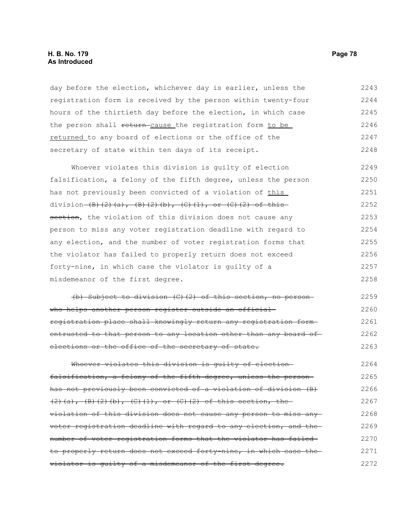## **H. B. No. 179 Page 78 As Introduced**

day before the election, whichever day is earlier, unless the registration form is received by the person within twenty-four hours of the thirtieth day before the election, in which case the person shall return-cause the registration form to be returned to any board of elections or the office of the secretary of state within ten days of its receipt. 2243 2244 2245 2246 2247 2248

Whoever violates this division is guilty of election falsification, a felony of the fifth degree, unless the person has not previously been convicted of a violation of this division  $(B)$   $(2)$   $(a)$ ,  $(B)$   $(2)$   $(b)$ ,  $(C)$   $(1)$ , or  $(C)$   $(2)$  of this section, the violation of this division does not cause any person to miss any voter registration deadline with regard to any election, and the number of voter registration forms that the violator has failed to properly return does not exceed forty-nine, in which case the violator is guilty of a misdemeanor of the first degree. 2249 2250 2251 2252 2253 2254 2255 2256 2257 2258

(b) Subject to division (C)(2) of this section, no person who helps another person register outside an officialregistration place shall knowingly return any registration form entrusted to that person to any location other than any board of elections or the office of the secretary of state. 2259 2260 2261 2262 2263

Whoever violates this division is quilty of electionfalsification, a felony of the fifth degree, unless the personhas not previously been convicted of a violation of division (B)  $(2)$ (a), (B)(2)(b), (C)(1), or (C)(2) of this section, the violation of this division does not cause any person to miss any voter registration deadline with regard to any election, and the number of voter registration forms that the violator has failed to properly return does not exceed forty-nine, in which case the violator is guilty of a misdemeanor of the first degree. 2264 2265 2266 2267 2268 2269 2270 2271 2272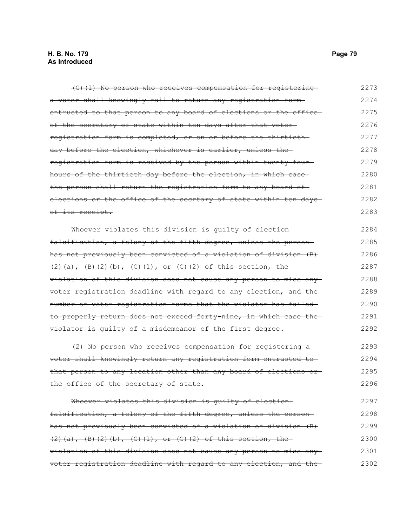| (C)(1) No person who receives compensation for registering        | 2273 |
|-------------------------------------------------------------------|------|
| a voter shall knowingly fail to return any registration form-     | 2274 |
| entrusted to that person to any board of elections or the office  | 2275 |
| of the secretary of state within ten days after that voter-       | 2276 |
| registration form is completed, or on or before the thirtieth-    | 2277 |
| day before the election, whichever is earlier, unless the-        | 2278 |
| registration form is received by the person within twenty-four-   | 2279 |
| hours of the thirtieth day before the election, in which case     | 2280 |
| the person shall return the registration form to any board of     | 2281 |
| elections or the office of the secrtary of state within ten days- | 2282 |
| of its receipt.                                                   | 2283 |
| Whoever violates this division is quilty of election-             | 2284 |
| falsification, a felony of the fifth degree, unless the person-   | 2285 |
| has not previously been convicted of a violation of division (B)  | 2286 |
| $(2)$ (a), (B) (2) (b), (C) (1), or (C) (2) of this section, the  | 2287 |
| violation of this division does not cause any person to miss any  | 2288 |
| voter registration deadline with regard to any election, and the  | 2289 |
| number of voter registration forms that the violator has failed   | 2290 |
| to properly return does not exceed forty-nine, in which case the  | 2291 |
| violator is quilty of a misdemeanor of the first degree.          | 2292 |
| (2) No person who receives compensation for registering a         | 2293 |
| voter shall knowingly return any registration form entrusted to   | 2294 |
| that person to any location other than any board of elections or  | 2295 |
| the office of the secretary of state.                             | 2296 |
| Whoever violates this division is quilty of election              | 2297 |
|                                                                   |      |

falsification, a felony of the fifth degree, unless the personhas not previously been convicted of a violation of division (B)  $(2)$  (a), (B)(2)(b), (C)(1), or (C)(2) of this section, the violation of this division does not cause any person to miss any voter registration deadline with regard to any election, and the 2298 2299 2300 2301 2302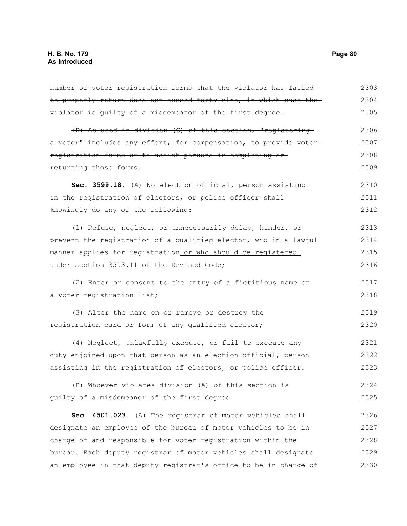number of voter registration forms that the violator has failed to properly return does not exceed forty-nine, in which case the violator is guilty of a misdemeanor of the first degree. (D) As used in division (C) of this section, "registering a voter" includes any effort, for compensation, to provide voter registration forms or to assist persons in completing or returning those forms. **Sec. 3599.18.** (A) No election official, person assisting in the registration of electors, or police officer shall knowingly do any of the following: (1) Refuse, neglect, or unnecessarily delay, hinder, or prevent the registration of a qualified elector, who in a lawful manner applies for registration or who should be registered under section 3503.11 of the Revised Code; (2) Enter or consent to the entry of a fictitious name on a voter registration list; (3) Alter the name on or remove or destroy the registration card or form of any qualified elector; (4) Neglect, unlawfully execute, or fail to execute any duty enjoined upon that person as an election official, person assisting in the registration of electors, or police officer. (B) Whoever violates division (A) of this section is guilty of a misdemeanor of the first degree. **Sec. 4501.023.** (A) The registrar of motor vehicles shall designate an employee of the bureau of motor vehicles to be in charge of and responsible for voter registration within the bureau. Each deputy registrar of motor vehicles shall designate an employee in that deputy registrar's office to be in charge of 2303 2304 2305 2306 2307 2308 2309 2310 2311 2312 2313 2314 2315 2316 2317 2318 2319 2320 2321 2322 2323 2324 2325 2326 2327 2328 2329 2330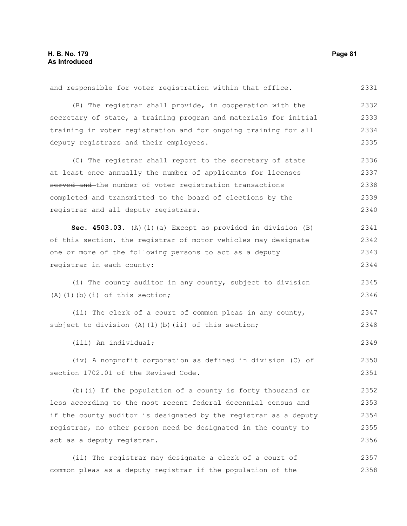and responsible for voter registration within that office. (B) The registrar shall provide, in cooperation with the secretary of state, a training program and materials for initial training in voter registration and for ongoing training for all deputy registrars and their employees. (C) The registrar shall report to the secretary of state at least once annually the number of applicants for licenses served and the number of voter registration transactions completed and transmitted to the board of elections by the registrar and all deputy registrars. **Sec. 4503.03.** (A)(1)(a) Except as provided in division (B) of this section, the registrar of motor vehicles may designate one or more of the following persons to act as a deputy registrar in each county: (i) The county auditor in any county, subject to division  $(A)$  $(1)$  $(b)$  $(i)$  of this section; (ii) The clerk of a court of common pleas in any county, subject to division (A)(1)(b)(ii) of this section; (iii) An individual; (iv) A nonprofit corporation as defined in division (C) of section 1702.01 of the Revised Code. (b)(i) If the population of a county is forty thousand or less according to the most recent federal decennial census and if the county auditor is designated by the registrar as a deputy registrar, no other person need be designated in the county to act as a deputy registrar. 2331 2332 2333 2334 2335 2336 2337 2338 2339 2340 2341 2342 2343 2344 2345 2346 2347 2348 2349 2350 2351 2352 2353 2354 2355 2356

(ii) The registrar may designate a clerk of a court of common pleas as a deputy registrar if the population of the 2357 2358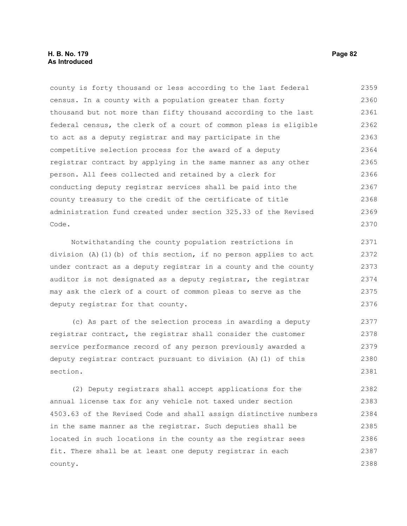# **H. B. No. 179 Page 82 As Introduced**

county is forty thousand or less according to the last federal census. In a county with a population greater than forty thousand but not more than fifty thousand according to the last federal census, the clerk of a court of common pleas is eligible to act as a deputy registrar and may participate in the competitive selection process for the award of a deputy registrar contract by applying in the same manner as any other person. All fees collected and retained by a clerk for conducting deputy registrar services shall be paid into the county treasury to the credit of the certificate of title administration fund created under section 325.33 of the Revised Code. 2359 2360 2361 2362 2363 2364 2365 2366 2367 2368 2369 2370

Notwithstanding the county population restrictions in division (A)(1)(b) of this section, if no person applies to act under contract as a deputy registrar in a county and the county auditor is not designated as a deputy registrar, the registrar may ask the clerk of a court of common pleas to serve as the deputy registrar for that county. 2371 2372 2373 2374 2375 2376

(c) As part of the selection process in awarding a deputy registrar contract, the registrar shall consider the customer service performance record of any person previously awarded a deputy registrar contract pursuant to division (A)(1) of this section. 2377 2378 2379 2380 2381

(2) Deputy registrars shall accept applications for the annual license tax for any vehicle not taxed under section 4503.63 of the Revised Code and shall assign distinctive numbers in the same manner as the registrar. Such deputies shall be located in such locations in the county as the registrar sees fit. There shall be at least one deputy registrar in each county. 2382 2383 2384 2385 2386 2387 2388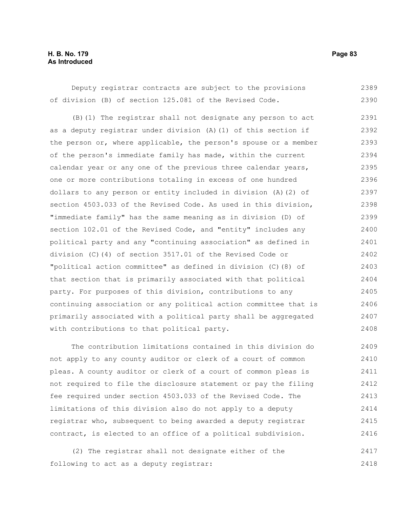# **H. B. No. 179 Page 83 As Introduced**

Deputy registrar contracts are subject to the provisions of division (B) of section 125.081 of the Revised Code. 2389 2390

(B)(1) The registrar shall not designate any person to act as a deputy registrar under division (A)(1) of this section if the person or, where applicable, the person's spouse or a member of the person's immediate family has made, within the current calendar year or any one of the previous three calendar years, one or more contributions totaling in excess of one hundred dollars to any person or entity included in division (A)(2) of section 4503.033 of the Revised Code. As used in this division, "immediate family" has the same meaning as in division (D) of section 102.01 of the Revised Code, and "entity" includes any political party and any "continuing association" as defined in division (C)(4) of section 3517.01 of the Revised Code or "political action committee" as defined in division (C)(8) of that section that is primarily associated with that political party. For purposes of this division, contributions to any continuing association or any political action committee that is primarily associated with a political party shall be aggregated with contributions to that political party. 2391 2392 2393 2394 2395 2396 2397 2398 2399 2400 2401 2402 2403 2404 2405 2406 2407 2408

The contribution limitations contained in this division do not apply to any county auditor or clerk of a court of common pleas. A county auditor or clerk of a court of common pleas is not required to file the disclosure statement or pay the filing fee required under section 4503.033 of the Revised Code. The limitations of this division also do not apply to a deputy registrar who, subsequent to being awarded a deputy registrar contract, is elected to an office of a political subdivision. 2409 2410 2411 2412 2413 2414 2415 2416

(2) The registrar shall not designate either of the following to act as a deputy registrar: 2417 2418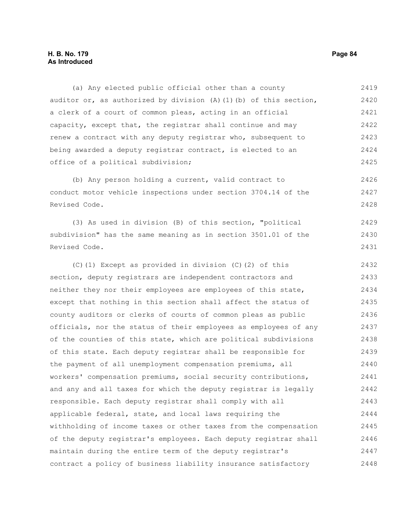# **H. B. No. 179 Page 84 As Introduced**

(a) Any elected public official other than a county auditor or, as authorized by division  $(A)$   $(1)$   $(b)$  of this section, a clerk of a court of common pleas, acting in an official capacity, except that, the registrar shall continue and may renew a contract with any deputy registrar who, subsequent to being awarded a deputy registrar contract, is elected to an office of a political subdivision; 2419 2420 2421 2422 2423 2424 2425

(b) Any person holding a current, valid contract to conduct motor vehicle inspections under section 3704.14 of the Revised Code. 2426 2427 2428

(3) As used in division (B) of this section, "political subdivision" has the same meaning as in section 3501.01 of the Revised Code. 2429 2430 2431

(C)(1) Except as provided in division (C)(2) of this section, deputy registrars are independent contractors and neither they nor their employees are employees of this state, except that nothing in this section shall affect the status of county auditors or clerks of courts of common pleas as public officials, nor the status of their employees as employees of any of the counties of this state, which are political subdivisions of this state. Each deputy registrar shall be responsible for the payment of all unemployment compensation premiums, all workers' compensation premiums, social security contributions, and any and all taxes for which the deputy registrar is legally responsible. Each deputy registrar shall comply with all applicable federal, state, and local laws requiring the withholding of income taxes or other taxes from the compensation of the deputy registrar's employees. Each deputy registrar shall maintain during the entire term of the deputy registrar's contract a policy of business liability insurance satisfactory 2432 2433 2434 2435 2436 2437 2438 2439 2440 2441 2442 2443 2444 2445 2446 2447 2448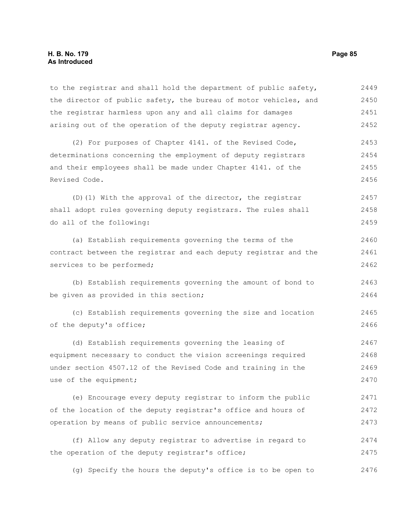## **H. B. No. 179 Page 85 As Introduced**

to the registrar and shall hold the department of public safety, the director of public safety, the bureau of motor vehicles, and the registrar harmless upon any and all claims for damages arising out of the operation of the deputy registrar agency. 2449 2450 2451 2452

(2) For purposes of Chapter 4141. of the Revised Code, determinations concerning the employment of deputy registrars and their employees shall be made under Chapter 4141. of the Revised Code. 2453 2454 2455 2456

(D)(1) With the approval of the director, the registrar shall adopt rules governing deputy registrars. The rules shall do all of the following: 2457 2458 2459

(a) Establish requirements governing the terms of the contract between the registrar and each deputy registrar and the services to be performed; 2460 2461 2462

(b) Establish requirements governing the amount of bond to be given as provided in this section; 2463 2464

(c) Establish requirements governing the size and location of the deputy's office; 2465 2466

(d) Establish requirements governing the leasing of equipment necessary to conduct the vision screenings required under section 4507.12 of the Revised Code and training in the use of the equipment; 2467 2468 2469 2470

(e) Encourage every deputy registrar to inform the public of the location of the deputy registrar's office and hours of operation by means of public service announcements; 2471 2472 2473

(f) Allow any deputy registrar to advertise in regard to the operation of the deputy registrar's office; 2474 2475

(g) Specify the hours the deputy's office is to be open to 2476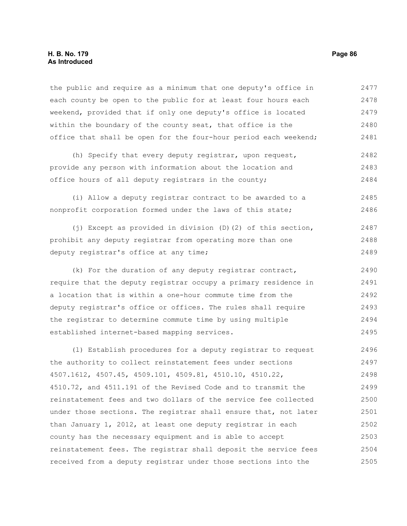the public and require as a minimum that one deputy's office in each county be open to the public for at least four hours each weekend, provided that if only one deputy's office is located within the boundary of the county seat, that office is the office that shall be open for the four-hour period each weekend; 2477 2478 2479 2480 2481

(h) Specify that every deputy registrar, upon request, provide any person with information about the location and office hours of all deputy registrars in the county; 2482 2483 2484

(i) Allow a deputy registrar contract to be awarded to a nonprofit corporation formed under the laws of this state; 2485 2486

(j) Except as provided in division (D)(2) of this section, prohibit any deputy registrar from operating more than one deputy registrar's office at any time; 2487 2488 2489

(k) For the duration of any deputy registrar contract, require that the deputy registrar occupy a primary residence in a location that is within a one-hour commute time from the deputy registrar's office or offices. The rules shall require the registrar to determine commute time by using multiple established internet-based mapping services. 2490 2491 2492 2493 2494 2495

(l) Establish procedures for a deputy registrar to request the authority to collect reinstatement fees under sections 4507.1612, 4507.45, 4509.101, 4509.81, 4510.10, 4510.22, 4510.72, and 4511.191 of the Revised Code and to transmit the reinstatement fees and two dollars of the service fee collected under those sections. The registrar shall ensure that, not later than January 1, 2012, at least one deputy registrar in each county has the necessary equipment and is able to accept reinstatement fees. The registrar shall deposit the service fees received from a deputy registrar under those sections into the 2496 2497 2498 2499 2500 2501 2502 2503 2504 2505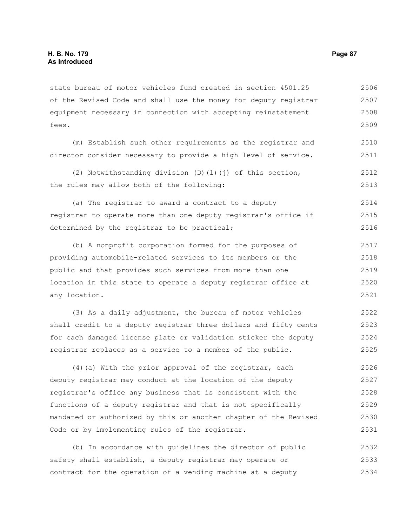state bureau of motor vehicles fund created in section 4501.25 of the Revised Code and shall use the money for deputy registrar equipment necessary in connection with accepting reinstatement fees. 2506 2507 2508 2509

(m) Establish such other requirements as the registrar and director consider necessary to provide a high level of service. 2510 2511

(2) Notwithstanding division (D)(1)(j) of this section, the rules may allow both of the following: 2512 2513

(a) The registrar to award a contract to a deputy registrar to operate more than one deputy registrar's office if determined by the registrar to be practical; 2514 2515 2516

(b) A nonprofit corporation formed for the purposes of providing automobile-related services to its members or the public and that provides such services from more than one location in this state to operate a deputy registrar office at any location. 2517 2518 2519 2520 2521

(3) As a daily adjustment, the bureau of motor vehicles shall credit to a deputy registrar three dollars and fifty cents for each damaged license plate or validation sticker the deputy registrar replaces as a service to a member of the public. 2522 2523 2524 2525

(4)(a) With the prior approval of the registrar, each deputy registrar may conduct at the location of the deputy registrar's office any business that is consistent with the functions of a deputy registrar and that is not specifically mandated or authorized by this or another chapter of the Revised Code or by implementing rules of the registrar. 2526 2527 2528 2529 2530 2531

(b) In accordance with guidelines the director of public safety shall establish, a deputy registrar may operate or contract for the operation of a vending machine at a deputy 2532 2533 2534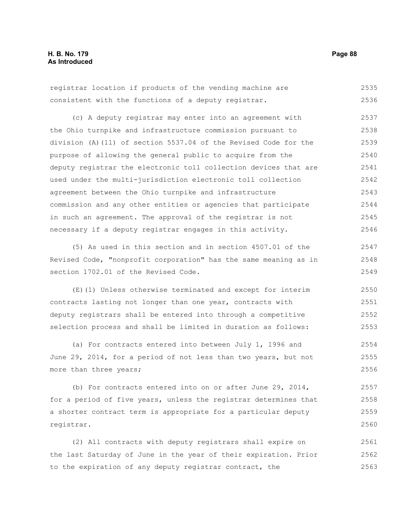registrar location if products of the vending machine are consistent with the functions of a deputy registrar. 2535 2536

(c) A deputy registrar may enter into an agreement with the Ohio turnpike and infrastructure commission pursuant to division (A)(11) of section 5537.04 of the Revised Code for the purpose of allowing the general public to acquire from the deputy registrar the electronic toll collection devices that are used under the multi-jurisdiction electronic toll collection agreement between the Ohio turnpike and infrastructure commission and any other entities or agencies that participate in such an agreement. The approval of the registrar is not necessary if a deputy registrar engages in this activity. 2537 2538 2539 2540 2541 2542 2543 2544 2545 2546

(5) As used in this section and in section 4507.01 of the Revised Code, "nonprofit corporation" has the same meaning as in section 1702.01 of the Revised Code. 2547 2548 2549

(E)(1) Unless otherwise terminated and except for interim contracts lasting not longer than one year, contracts with deputy registrars shall be entered into through a competitive selection process and shall be limited in duration as follows: 2550 2551 2552 2553

(a) For contracts entered into between July 1, 1996 and June 29, 2014, for a period of not less than two years, but not more than three years; 2554 2555 2556

(b) For contracts entered into on or after June 29, 2014, for a period of five years, unless the registrar determines that a shorter contract term is appropriate for a particular deputy registrar. 2557 2558 2559 2560

(2) All contracts with deputy registrars shall expire on the last Saturday of June in the year of their expiration. Prior to the expiration of any deputy registrar contract, the 2561 2562 2563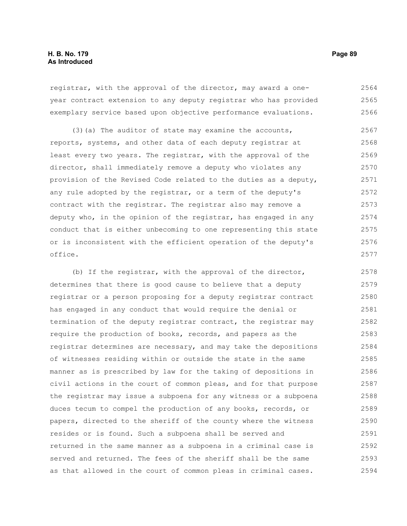registrar, with the approval of the director, may award a oneyear contract extension to any deputy registrar who has provided exemplary service based upon objective performance evaluations. 2564 2565 2566

(3)(a) The auditor of state may examine the accounts, reports, systems, and other data of each deputy registrar at least every two years. The registrar, with the approval of the director, shall immediately remove a deputy who violates any provision of the Revised Code related to the duties as a deputy, any rule adopted by the registrar, or a term of the deputy's contract with the registrar. The registrar also may remove a deputy who, in the opinion of the registrar, has engaged in any conduct that is either unbecoming to one representing this state or is inconsistent with the efficient operation of the deputy's office. 2567 2568 2569 2570 2571 2572 2573 2574 2575 2576 2577

(b) If the registrar, with the approval of the director, determines that there is good cause to believe that a deputy registrar or a person proposing for a deputy registrar contract has engaged in any conduct that would require the denial or termination of the deputy registrar contract, the registrar may require the production of books, records, and papers as the registrar determines are necessary, and may take the depositions of witnesses residing within or outside the state in the same manner as is prescribed by law for the taking of depositions in civil actions in the court of common pleas, and for that purpose the registrar may issue a subpoena for any witness or a subpoena duces tecum to compel the production of any books, records, or papers, directed to the sheriff of the county where the witness resides or is found. Such a subpoena shall be served and returned in the same manner as a subpoena in a criminal case is served and returned. The fees of the sheriff shall be the same as that allowed in the court of common pleas in criminal cases. 2578 2579 2580 2581 2582 2583 2584 2585 2586 2587 2588 2589 2590 2591 2592 2593 2594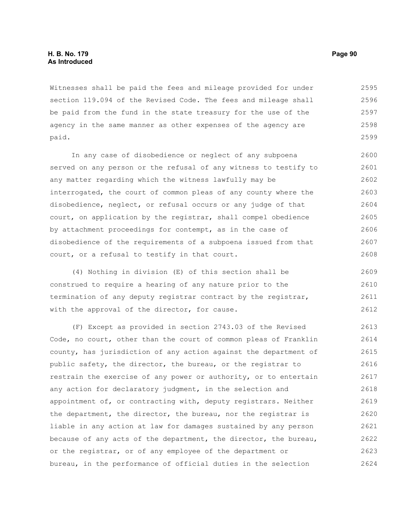Witnesses shall be paid the fees and mileage provided for under section 119.094 of the Revised Code. The fees and mileage shall be paid from the fund in the state treasury for the use of the agency in the same manner as other expenses of the agency are paid. 2595 2596 2597 2598 2599

In any case of disobedience or neglect of any subpoena served on any person or the refusal of any witness to testify to any matter regarding which the witness lawfully may be interrogated, the court of common pleas of any county where the disobedience, neglect, or refusal occurs or any judge of that court, on application by the registrar, shall compel obedience by attachment proceedings for contempt, as in the case of disobedience of the requirements of a subpoena issued from that court, or a refusal to testify in that court. 2600 2601 2602 2603 2604 2605 2606 2607 2608

(4) Nothing in division (E) of this section shall be construed to require a hearing of any nature prior to the termination of any deputy registrar contract by the registrar, with the approval of the director, for cause. 2609 2610 2611 2612

(F) Except as provided in section 2743.03 of the Revised Code, no court, other than the court of common pleas of Franklin county, has jurisdiction of any action against the department of public safety, the director, the bureau, or the registrar to restrain the exercise of any power or authority, or to entertain any action for declaratory judgment, in the selection and appointment of, or contracting with, deputy registrars. Neither the department, the director, the bureau, nor the registrar is liable in any action at law for damages sustained by any person because of any acts of the department, the director, the bureau, or the registrar, or of any employee of the department or bureau, in the performance of official duties in the selection 2613 2614 2615 2616 2617 2618 2619 2620 2621 2622 2623 2624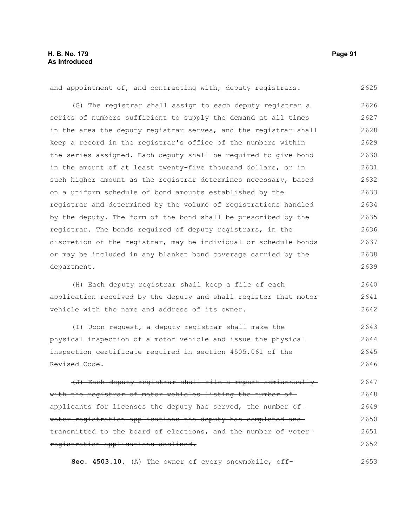| and appointment of, and contracting with, deputy registrars.     | 2625 |
|------------------------------------------------------------------|------|
| (G) The registrar shall assign to each deputy registrar a        | 2626 |
| series of numbers sufficient to supply the demand at all times   | 2627 |
| in the area the deputy registrar serves, and the registrar shall | 2628 |
| keep a record in the registrar's office of the numbers within    | 2629 |
| the series assigned. Each deputy shall be required to give bond  | 2630 |
| in the amount of at least twenty-five thousand dollars, or in    | 2631 |
| such higher amount as the registrar determines necessary, based  | 2632 |
| on a uniform schedule of bond amounts established by the         | 2633 |
| registrar and determined by the volume of registrations handled  | 2634 |
| by the deputy. The form of the bond shall be prescribed by the   | 2635 |
| registrar. The bonds required of deputy registrars, in the       | 2636 |
| discretion of the registrar, may be individual or schedule bonds | 2637 |
| or may be included in any blanket bond coverage carried by the   | 2638 |
| department.                                                      | 2639 |
| (H) Each deputy registrar shall keep a file of each              | 2640 |
| application received by the deputy and shall register that motor | 2641 |
| vehicle with the name and address of its owner.                  | 2642 |
| (I) Upon request, a deputy registrar shall make the              | 2643 |
| physical inspection of a motor vehicle and issue the physical    | 2644 |
| inspection certificate required in section 4505.061 of the       | 2645 |
| Revised Code.                                                    | 2646 |
| <del>egistrar shall file</del>                                   | 2647 |
| with the registrar of motor vehicles listing the number of-      | 2648 |
| applicants for licenses the deputy has served, the number of     | 2649 |
| voter registration applications the deputy has completed and-    | 2650 |
| transmitted to the board of elections, and the number of voter-  | 2651 |
| registration applications declined.                              | 2652 |
|                                                                  |      |

**Sec. 4503.10.** (A) The owner of every snowmobile, off-2653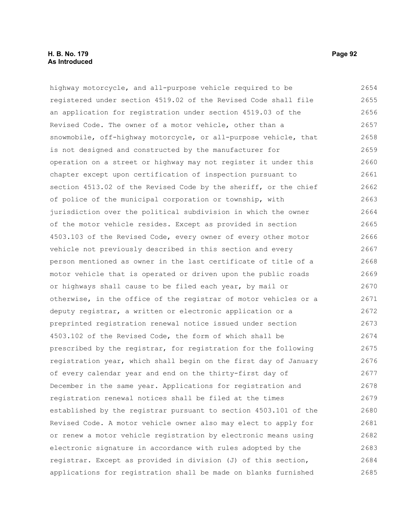# **H. B. No. 179 Page 92 As Introduced**

highway motorcycle, and all-purpose vehicle required to be registered under section 4519.02 of the Revised Code shall file an application for registration under section 4519.03 of the Revised Code. The owner of a motor vehicle, other than a snowmobile, off-highway motorcycle, or all-purpose vehicle, that is not designed and constructed by the manufacturer for operation on a street or highway may not register it under this chapter except upon certification of inspection pursuant to section 4513.02 of the Revised Code by the sheriff, or the chief of police of the municipal corporation or township, with jurisdiction over the political subdivision in which the owner of the motor vehicle resides. Except as provided in section 4503.103 of the Revised Code, every owner of every other motor vehicle not previously described in this section and every person mentioned as owner in the last certificate of title of a motor vehicle that is operated or driven upon the public roads or highways shall cause to be filed each year, by mail or otherwise, in the office of the registrar of motor vehicles or a deputy registrar, a written or electronic application or a preprinted registration renewal notice issued under section 4503.102 of the Revised Code, the form of which shall be prescribed by the registrar, for registration for the following registration year, which shall begin on the first day of January of every calendar year and end on the thirty-first day of December in the same year. Applications for registration and registration renewal notices shall be filed at the times established by the registrar pursuant to section 4503.101 of the Revised Code. A motor vehicle owner also may elect to apply for or renew a motor vehicle registration by electronic means using electronic signature in accordance with rules adopted by the registrar. Except as provided in division (J) of this section, applications for registration shall be made on blanks furnished 2654 2655 2656 2657 2658 2659 2660 2661 2662 2663 2664 2665 2666 2667 2668 2669 2670 2671 2672 2673 2674 2675 2676 2677 2678 2679 2680 2681 2682 2683 2684 2685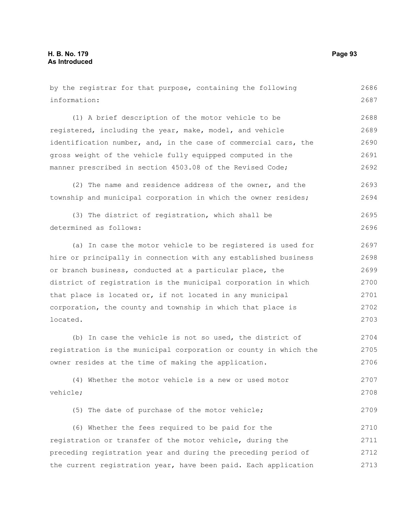| by the registrar for that purpose, containing the following      | 2686 |
|------------------------------------------------------------------|------|
| information:                                                     | 2687 |
| (1) A brief description of the motor vehicle to be               | 2688 |
| registered, including the year, make, model, and vehicle         | 2689 |
| identification number, and, in the case of commercial cars, the  | 2690 |
| gross weight of the vehicle fully equipped computed in the       | 2691 |
| manner prescribed in section 4503.08 of the Revised Code;        | 2692 |
| (2) The name and residence address of the owner, and the         | 2693 |
| township and municipal corporation in which the owner resides;   | 2694 |
| (3) The district of registration, which shall be                 | 2695 |
| determined as follows:                                           | 2696 |
| (a) In case the motor vehicle to be registered is used for       | 2697 |
| hire or principally in connection with any established business  | 2698 |
| or branch business, conducted at a particular place, the         | 2699 |
| district of registration is the municipal corporation in which   | 2700 |
| that place is located or, if not located in any municipal        | 2701 |
| corporation, the county and township in which that place is      | 2702 |
| located.                                                         | 2703 |
| (b) In case the vehicle is not so used, the district of          | 2704 |
| registration is the municipal corporation or county in which the | 2705 |
| owner resides at the time of making the application.             | 2706 |
| (4) Whether the motor vehicle is a new or used motor             | 2707 |
| vehicle;                                                         | 2708 |
| (5) The date of purchase of the motor vehicle;                   | 2709 |
| (6) Whether the fees required to be paid for the                 | 2710 |
| registration or transfer of the motor vehicle, during the        | 2711 |
| preceding registration year and during the preceding period of   | 2712 |
| the current registration year, have been paid. Each application  | 2713 |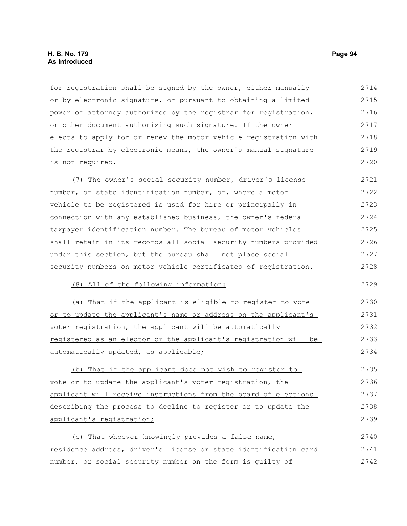# **H. B. No. 179 Page 94 As Introduced**

for registration shall be signed by the owner, either manually or by electronic signature, or pursuant to obtaining a limited power of attorney authorized by the registrar for registration, or other document authorizing such signature. If the owner elects to apply for or renew the motor vehicle registration with the registrar by electronic means, the owner's manual signature is not required. 2714 2715 2716 2717 2718 2719 2720

(7) The owner's social security number, driver's license number, or state identification number, or, where a motor vehicle to be registered is used for hire or principally in connection with any established business, the owner's federal taxpayer identification number. The bureau of motor vehicles shall retain in its records all social security numbers provided under this section, but the bureau shall not place social security numbers on motor vehicle certificates of registration. 2721 2722 2723 2724 2725 2726 2727 2728

# (8) All of the following information:

| (a) That if the applicant is eligible to register to vote        | 2730 |
|------------------------------------------------------------------|------|
| or to update the applicant's name or address on the applicant's  | 2731 |
| voter registration, the applicant will be automatically          | 2732 |
| registered as an elector or the applicant's registration will be | 2733 |
| automatically updated, as applicable;                            | 2734 |

(b) That if the applicant does not wish to register to vote or to update the applicant's voter registration, the applicant will receive instructions from the board of elections describing the process to decline to register or to update the applicant's registration; 2735 2736 2737 2738 2739

(c) That whoever knowingly provides a false name, residence address, driver's license or state identification card number, or social security number on the form is guilty of 2740 2741 2742

2729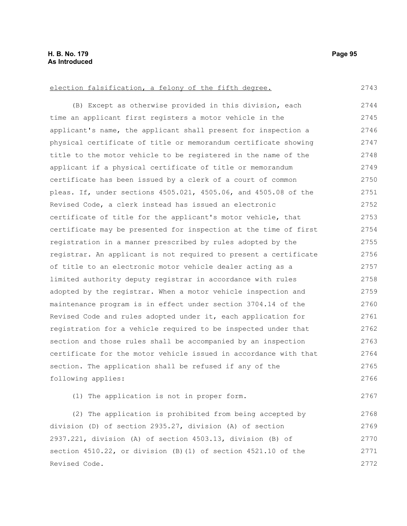2743

2767

# election falsification, a felony of the fifth degree.

(B) Except as otherwise provided in this division, each time an applicant first registers a motor vehicle in the applicant's name, the applicant shall present for inspection a physical certificate of title or memorandum certificate showing title to the motor vehicle to be registered in the name of the applicant if a physical certificate of title or memorandum certificate has been issued by a clerk of a court of common pleas. If, under sections 4505.021, 4505.06, and 4505.08 of the Revised Code, a clerk instead has issued an electronic certificate of title for the applicant's motor vehicle, that certificate may be presented for inspection at the time of first registration in a manner prescribed by rules adopted by the registrar. An applicant is not required to present a certificate of title to an electronic motor vehicle dealer acting as a limited authority deputy registrar in accordance with rules adopted by the registrar. When a motor vehicle inspection and maintenance program is in effect under section 3704.14 of the Revised Code and rules adopted under it, each application for registration for a vehicle required to be inspected under that section and those rules shall be accompanied by an inspection certificate for the motor vehicle issued in accordance with that section. The application shall be refused if any of the following applies: 2744 2745 2746 2747 2748 2749 2750 2751 2752 2753 2754 2755 2756 2757 2758 2759 2760 2761 2762 2763 2764 2765 2766

(1) The application is not in proper form.

(2) The application is prohibited from being accepted by division (D) of section 2935.27, division (A) of section 2937.221, division (A) of section 4503.13, division (B) of section 4510.22, or division (B)(1) of section 4521.10 of the Revised Code. 2768 2769 2770 2771 2772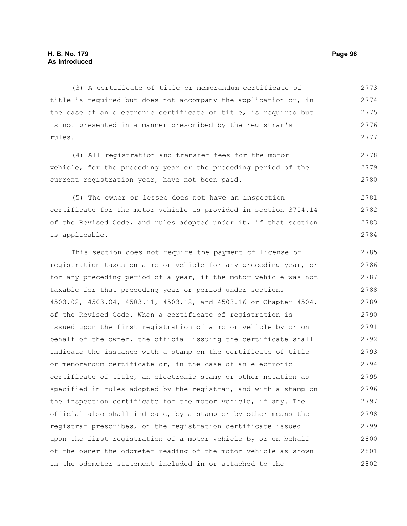(3) A certificate of title or memorandum certificate of title is required but does not accompany the application or, in the case of an electronic certificate of title, is required but is not presented in a manner prescribed by the registrar's rules. 2773 2774 2775 2776 2777

(4) All registration and transfer fees for the motor vehicle, for the preceding year or the preceding period of the current registration year, have not been paid. 2778 2779 2780

(5) The owner or lessee does not have an inspection certificate for the motor vehicle as provided in section 3704.14 of the Revised Code, and rules adopted under it, if that section is applicable. 2781 2782 2783 2784

This section does not require the payment of license or registration taxes on a motor vehicle for any preceding year, or for any preceding period of a year, if the motor vehicle was not taxable for that preceding year or period under sections 4503.02, 4503.04, 4503.11, 4503.12, and 4503.16 or Chapter 4504. of the Revised Code. When a certificate of registration is issued upon the first registration of a motor vehicle by or on behalf of the owner, the official issuing the certificate shall indicate the issuance with a stamp on the certificate of title or memorandum certificate or, in the case of an electronic certificate of title, an electronic stamp or other notation as specified in rules adopted by the registrar, and with a stamp on the inspection certificate for the motor vehicle, if any. The official also shall indicate, by a stamp or by other means the registrar prescribes, on the registration certificate issued upon the first registration of a motor vehicle by or on behalf of the owner the odometer reading of the motor vehicle as shown in the odometer statement included in or attached to the 2785 2786 2787 2788 2789 2790 2791 2792 2793 2794 2795 2796 2797 2798 2799 2800 2801 2802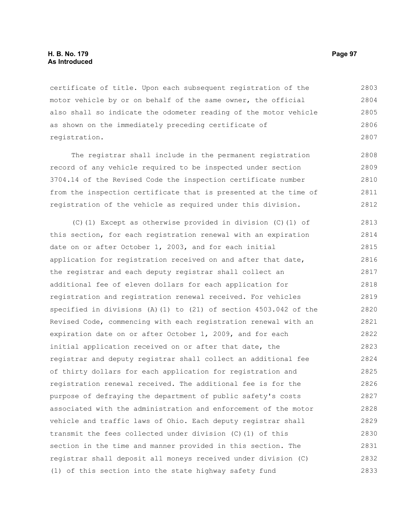certificate of title. Upon each subsequent registration of the motor vehicle by or on behalf of the same owner, the official also shall so indicate the odometer reading of the motor vehicle as shown on the immediately preceding certificate of registration. 2803 2804 2805 2806 2807

The registrar shall include in the permanent registration record of any vehicle required to be inspected under section 3704.14 of the Revised Code the inspection certificate number from the inspection certificate that is presented at the time of registration of the vehicle as required under this division. 2808 2809 2810 2811 2812

(C)(1) Except as otherwise provided in division (C)(1) of this section, for each registration renewal with an expiration date on or after October 1, 2003, and for each initial application for registration received on and after that date, the registrar and each deputy registrar shall collect an additional fee of eleven dollars for each application for registration and registration renewal received. For vehicles specified in divisions (A)(1) to (21) of section 4503.042 of the Revised Code, commencing with each registration renewal with an expiration date on or after October 1, 2009, and for each initial application received on or after that date, the registrar and deputy registrar shall collect an additional fee of thirty dollars for each application for registration and registration renewal received. The additional fee is for the purpose of defraying the department of public safety's costs associated with the administration and enforcement of the motor vehicle and traffic laws of Ohio. Each deputy registrar shall transmit the fees collected under division (C)(1) of this section in the time and manner provided in this section. The registrar shall deposit all moneys received under division (C) (1) of this section into the state highway safety fund 2813 2814 2815 2816 2817 2818 2819 2820 2821 2822 2823 2824 2825 2826 2827 2828 2829 2830 2831 2832 2833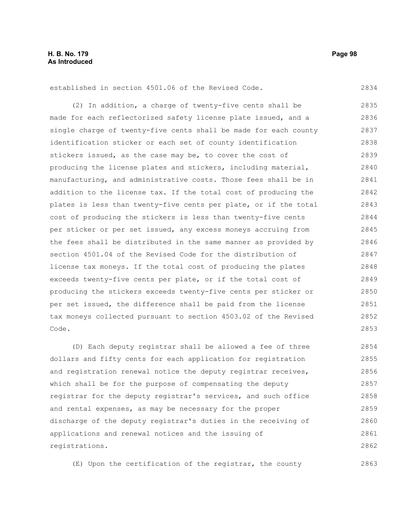established in section 4501.06 of the Revised Code.

(2) In addition, a charge of twenty-five cents shall be made for each reflectorized safety license plate issued, and a single charge of twenty-five cents shall be made for each county identification sticker or each set of county identification stickers issued, as the case may be, to cover the cost of producing the license plates and stickers, including material, manufacturing, and administrative costs. Those fees shall be in addition to the license tax. If the total cost of producing the plates is less than twenty-five cents per plate, or if the total cost of producing the stickers is less than twenty-five cents per sticker or per set issued, any excess moneys accruing from the fees shall be distributed in the same manner as provided by section 4501.04 of the Revised Code for the distribution of license tax moneys. If the total cost of producing the plates exceeds twenty-five cents per plate, or if the total cost of producing the stickers exceeds twenty-five cents per sticker or per set issued, the difference shall be paid from the license tax moneys collected pursuant to section 4503.02 of the Revised Code. 2835 2836 2837 2838 2839 2840 2841 2842 2843 2844 2845 2846 2847 2848 2849 2850 2851 2852 2853

(D) Each deputy registrar shall be allowed a fee of three dollars and fifty cents for each application for registration and registration renewal notice the deputy registrar receives, which shall be for the purpose of compensating the deputy registrar for the deputy registrar's services, and such office and rental expenses, as may be necessary for the proper discharge of the deputy registrar's duties in the receiving of applications and renewal notices and the issuing of registrations. 2854 2855 2856 2857 2858 2859 2860 2861 2862

(E) Upon the certification of the registrar, the county 2863

2834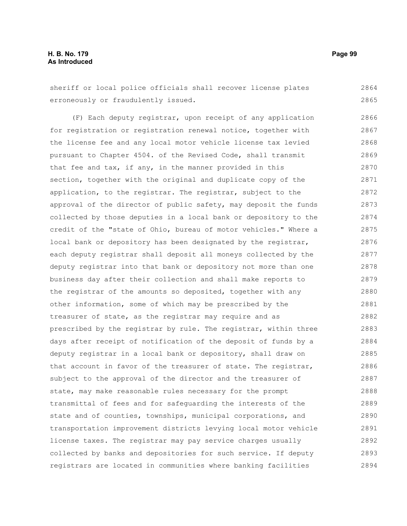sheriff or local police officials shall recover license plates erroneously or fraudulently issued. 2864 2865

(F) Each deputy registrar, upon receipt of any application for registration or registration renewal notice, together with the license fee and any local motor vehicle license tax levied pursuant to Chapter 4504. of the Revised Code, shall transmit that fee and tax, if any, in the manner provided in this section, together with the original and duplicate copy of the application, to the registrar. The registrar, subject to the approval of the director of public safety, may deposit the funds collected by those deputies in a local bank or depository to the credit of the "state of Ohio, bureau of motor vehicles." Where a local bank or depository has been designated by the registrar, each deputy registrar shall deposit all moneys collected by the deputy registrar into that bank or depository not more than one business day after their collection and shall make reports to the registrar of the amounts so deposited, together with any other information, some of which may be prescribed by the treasurer of state, as the registrar may require and as prescribed by the registrar by rule. The registrar, within three days after receipt of notification of the deposit of funds by a deputy registrar in a local bank or depository, shall draw on that account in favor of the treasurer of state. The registrar, subject to the approval of the director and the treasurer of state, may make reasonable rules necessary for the prompt transmittal of fees and for safeguarding the interests of the state and of counties, townships, municipal corporations, and transportation improvement districts levying local motor vehicle license taxes. The registrar may pay service charges usually collected by banks and depositories for such service. If deputy registrars are located in communities where banking facilities 2866 2867 2868 2869 2870 2871 2872 2873 2874 2875 2876 2877 2878 2879 2880 2881 2882 2883 2884 2885 2886 2887 2888 2889 2890 2891 2892 2893 2894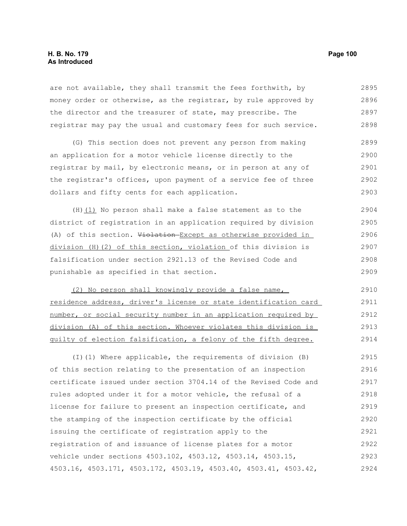# **H. B. No. 179 Page 100 As Introduced**

are not available, they shall transmit the fees forthwith, by money order or otherwise, as the registrar, by rule approved by the director and the treasurer of state, may prescribe. The registrar may pay the usual and customary fees for such service. 2895 2896 2897 2898

(G) This section does not prevent any person from making an application for a motor vehicle license directly to the registrar by mail, by electronic means, or in person at any of the registrar's offices, upon payment of a service fee of three dollars and fifty cents for each application. 2899 2900 2901 2902 2903

(H)(1) No person shall make a false statement as to the district of registration in an application required by division (A) of this section. Violation-Except as otherwise provided in division (H)(2) of this section, violation of this division is falsification under section 2921.13 of the Revised Code and punishable as specified in that section. 2904 2905 2906 2907 2908 2909

(2) No person shall knowingly provide a false name, residence address, driver's license or state identification card number, or social security number in an application required by division (A) of this section. Whoever violates this division is guilty of election falsification, a felony of the fifth degree.

(I)(1) Where applicable, the requirements of division (B) of this section relating to the presentation of an inspection certificate issued under section 3704.14 of the Revised Code and rules adopted under it for a motor vehicle, the refusal of a license for failure to present an inspection certificate, and the stamping of the inspection certificate by the official issuing the certificate of registration apply to the registration of and issuance of license plates for a motor vehicle under sections 4503.102, 4503.12, 4503.14, 4503.15, 4503.16, 4503.171, 4503.172, 4503.19, 4503.40, 4503.41, 4503.42, 2915 2916 2917 2918 2919 2920 2921 2922 2923 2924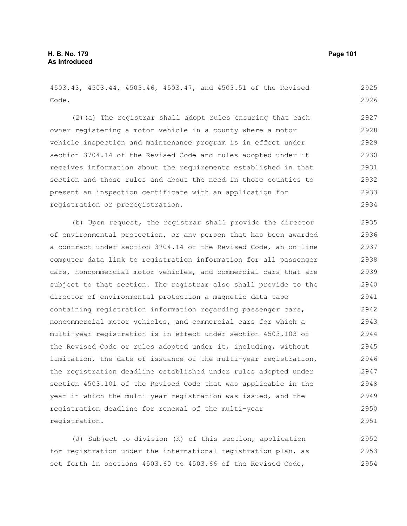4503.43, 4503.44, 4503.46, 4503.47, and 4503.51 of the Revised Code. 2925 2926

(2)(a) The registrar shall adopt rules ensuring that each owner registering a motor vehicle in a county where a motor vehicle inspection and maintenance program is in effect under section 3704.14 of the Revised Code and rules adopted under it receives information about the requirements established in that section and those rules and about the need in those counties to present an inspection certificate with an application for registration or preregistration. 2927 2928 2929 2930 2931 2932 2933 2934

(b) Upon request, the registrar shall provide the director of environmental protection, or any person that has been awarded a contract under section 3704.14 of the Revised Code, an on-line computer data link to registration information for all passenger cars, noncommercial motor vehicles, and commercial cars that are subject to that section. The registrar also shall provide to the director of environmental protection a magnetic data tape containing registration information regarding passenger cars, noncommercial motor vehicles, and commercial cars for which a multi-year registration is in effect under section 4503.103 of the Revised Code or rules adopted under it, including, without limitation, the date of issuance of the multi-year registration, the registration deadline established under rules adopted under section 4503.101 of the Revised Code that was applicable in the year in which the multi-year registration was issued, and the registration deadline for renewal of the multi-year registration. 2935 2936 2937 2938 2939 2940 2941 2942 2943 2944 2945 2946 2947 2948 2949 2950 2951

(J) Subject to division (K) of this section, application for registration under the international registration plan, as set forth in sections 4503.60 to 4503.66 of the Revised Code, 2952 2953 2954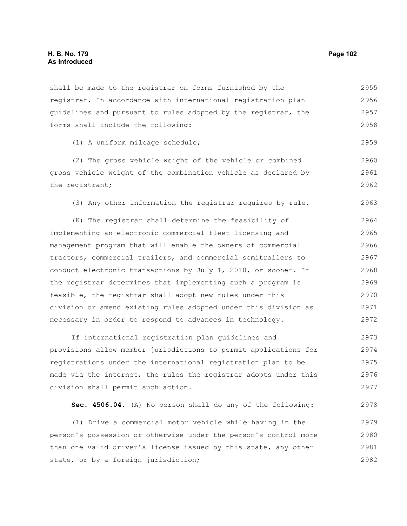shall be made to the registrar on forms furnished by the registrar. In accordance with international registration plan guidelines and pursuant to rules adopted by the registrar, the forms shall include the following: (1) A uniform mileage schedule; (2) The gross vehicle weight of the vehicle or combined gross vehicle weight of the combination vehicle as declared by the registrant; (3) Any other information the registrar requires by rule. (K) The registrar shall determine the feasibility of implementing an electronic commercial fleet licensing and management program that will enable the owners of commercial tractors, commercial trailers, and commercial semitrailers to conduct electronic transactions by July 1, 2010, or sooner. If the registrar determines that implementing such a program is feasible, the registrar shall adopt new rules under this 2955 2956 2957 2958 2959 2960 2961 2962 2963 2964 2965 2966 2967 2968 2969 2970

division or amend existing rules adopted under this division as necessary in order to respond to advances in technology. 2971 2972

If international registration plan guidelines and provisions allow member jurisdictions to permit applications for registrations under the international registration plan to be made via the internet, the rules the registrar adopts under this division shall permit such action. 2973 2974 2975 2976 2977

**Sec. 4506.04.** (A) No person shall do any of the following: 2978

(1) Drive a commercial motor vehicle while having in the person's possession or otherwise under the person's control more than one valid driver's license issued by this state, any other state, or by a foreign jurisdiction; 2979 2980 2981 2982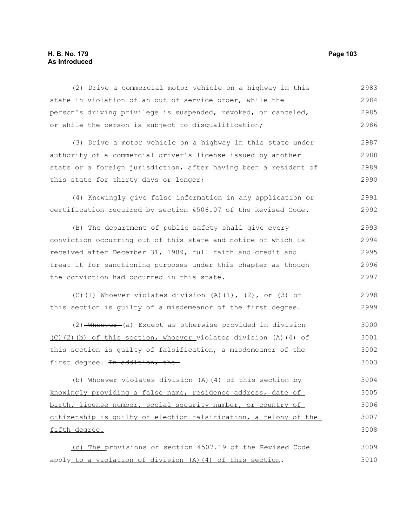# **H. B. No. 179 Page 103 As Introduced**

(2) Drive a commercial motor vehicle on a highway in this state in violation of an out-of-service order, while the person's driving privilege is suspended, revoked, or canceled, or while the person is subject to disqualification; (3) Drive a motor vehicle on a highway in this state under authority of a commercial driver's license issued by another state or a foreign jurisdiction, after having been a resident of this state for thirty days or longer; (4) Knowingly give false information in any application or certification required by section 4506.07 of the Revised Code. (B) The department of public safety shall give every conviction occurring out of this state and notice of which is received after December 31, 1989, full faith and credit and treat it for sanctioning purposes under this chapter as though the conviction had occurred in this state. (C)(1) Whoever violates division  $(A)$ (1),  $(2)$ , or  $(3)$  of this section is guilty of a misdemeanor of the first degree. (2) Whoever (a) Except as otherwise provided in division (C)(2)(b) of this section, whoever violates division (A)(4) of this section is guilty of falsification, a misdemeanor of the first degree. In addition, the (b) Whoever violates division (A)(4) of this section by knowingly providing a false name, residence address, date of birth, license number, social security number, or country of citizenship is guilty of election falsification, a felony of the fifth degree. (c) The provisions of section 4507.19 of the Revised Code apply to a violation of division (A)(4) of this section. 2983 2984 2985 2986 2987 2988 2989 2990 2991 2992 2993 2994 2995 2996 2997 2998 2999 3000 3001 3002 3003 3004 3005 3006 3007 3008 3009 3010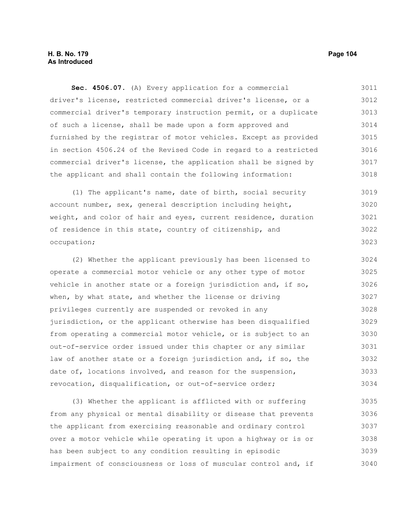**Sec. 4506.07.** (A) Every application for a commercial driver's license, restricted commercial driver's license, or a commercial driver's temporary instruction permit, or a duplicate of such a license, shall be made upon a form approved and furnished by the registrar of motor vehicles. Except as provided in section 4506.24 of the Revised Code in regard to a restricted 3011 3012 3013 3014 3015 3016

(1) The applicant's name, date of birth, social security account number, sex, general description including height, weight, and color of hair and eyes, current residence, duration of residence in this state, country of citizenship, and occupation; 3019 3020 3021 3022 3023

commercial driver's license, the application shall be signed by

the applicant and shall contain the following information:

(2) Whether the applicant previously has been licensed to operate a commercial motor vehicle or any other type of motor vehicle in another state or a foreign jurisdiction and, if so, when, by what state, and whether the license or driving privileges currently are suspended or revoked in any jurisdiction, or the applicant otherwise has been disqualified from operating a commercial motor vehicle, or is subject to an out-of-service order issued under this chapter or any similar law of another state or a foreign jurisdiction and, if so, the date of, locations involved, and reason for the suspension, revocation, disqualification, or out-of-service order; 3024 3025 3026 3027 3028 3029 3030 3031 3032 3033 3034

(3) Whether the applicant is afflicted with or suffering from any physical or mental disability or disease that prevents the applicant from exercising reasonable and ordinary control over a motor vehicle while operating it upon a highway or is or has been subject to any condition resulting in episodic impairment of consciousness or loss of muscular control and, if 3035 3036 3037 3038 3039 3040

3017 3018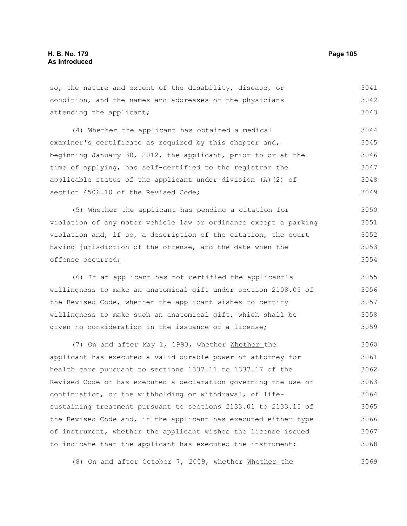### so, the nature and extent of the disability, disease, or condition, and the names and addresses of the physicians attending the applicant; (4) Whether the applicant has obtained a medical examiner's certificate as required by this chapter and, beginning January 30, 2012, the applicant, prior to or at the time of applying, has self-certified to the registrar the applicable status of the applicant under division (A)(2) of section 4506.10 of the Revised Code; (5) Whether the applicant has pending a citation for violation of any motor vehicle law or ordinance except a parking violation and, if so, a description of the citation, the court having jurisdiction of the offense, and the date when the offense occurred; 3041 3042 3043 3044 3045 3046 3047 3048 3049 3050 3051 3052 3053 3054

(6) If an applicant has not certified the applicant's willingness to make an anatomical gift under section 2108.05 of the Revised Code, whether the applicant wishes to certify willingness to make such an anatomical gift, which shall be given no consideration in the issuance of a license; 3055 3056 3057 3058 3059

(7) On and after May 1, 1993, whether Whether the applicant has executed a valid durable power of attorney for health care pursuant to sections 1337.11 to 1337.17 of the Revised Code or has executed a declaration governing the use or continuation, or the withholding or withdrawal, of lifesustaining treatment pursuant to sections 2133.01 to 2133.15 of the Revised Code and, if the applicant has executed either type of instrument, whether the applicant wishes the license issued to indicate that the applicant has executed the instrument; 3060 3061 3062 3063 3064 3065 3066 3067 3068

(8) On and after October 7, 2009, whether Whether the 3069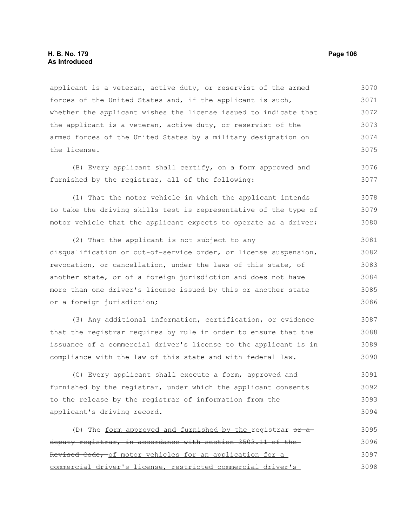applicant is a veteran, active duty, or reservist of the armed forces of the United States and, if the applicant is such, whether the applicant wishes the license issued to indicate that the applicant is a veteran, active duty, or reservist of the armed forces of the United States by a military designation on the license. 3070 3071 3072 3073 3074 3075

(B) Every applicant shall certify, on a form approved and furnished by the registrar, all of the following: 3076 3077

(1) That the motor vehicle in which the applicant intends to take the driving skills test is representative of the type of motor vehicle that the applicant expects to operate as a driver; 3078 3079 3080

(2) That the applicant is not subject to any disqualification or out-of-service order, or license suspension, revocation, or cancellation, under the laws of this state, of another state, or of a foreign jurisdiction and does not have more than one driver's license issued by this or another state or a foreign jurisdiction; 3081 3082 3083 3084 3085 3086

(3) Any additional information, certification, or evidence that the registrar requires by rule in order to ensure that the issuance of a commercial driver's license to the applicant is in compliance with the law of this state and with federal law. 3087 3088 3089 3090

(C) Every applicant shall execute a form, approved and furnished by the registrar, under which the applicant consents to the release by the registrar of information from the applicant's driving record. 3091 3092 3093 3094

(D) The form approved and furnished by the registrar  $or$   $a$ deputy registrar, in accordance with section 3503.11 of the Revised Code, of motor vehicles for an application for a commercial driver's license, restricted commercial driver's 3095 3096 3097 3098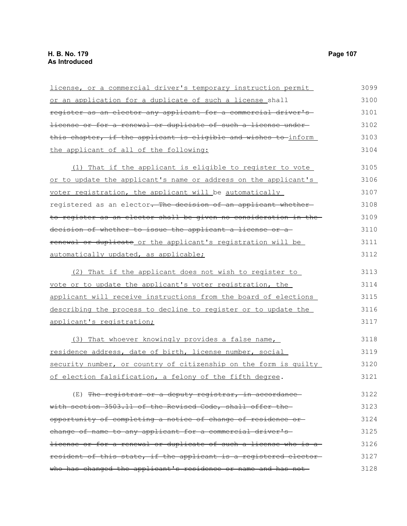license, or a commercial driver's temporary instruction permit or an application for a duplicate of such a license shall register as an elector any applicant for a commercial driver's license or for a renewal or duplicate of such a license under this chapter, if the applicant is eligible and wishes to inform the applicant of all of the following: (1) That if the applicant is eligible to register to vote or to update the applicant's name or address on the applicant's voter registration, the applicant will be automatically registered as an elector. The decision of an applicant whetherto register as an elector shall be given no consideration in the decision of whether to issue the applicant a license or arenewal or duplicate or the applicant's registration will be automatically updated, as applicable; (2) That if the applicant does not wish to register to vote or to update the applicant's voter registration, the applicant will receive instructions from the board of elections describing the process to decline to register or to update the applicant's registration; (3) That whoever knowingly provides a false name, residence address, date of birth, license number, social security number, or country of citizenship on the form is guilty of election falsification, a felony of the fifth degree.  $(E)$  The registrar or a deputy registrar, in accordance with section 3503.11 of the Revised Code, shall offer the opportunity of completing a notice of change of residence or change of name to any applicant for a commercial driver's license or for a renewal or duplicate of such a license who is a resident of this state, if the applicant is a registered elector who has changed the applicant's residence or name and has not 3099 3100 3101 3102 3103 3104 3105 3106 3107 3108 3109 3110 3111 3112 3113 3114 3115 3116 3117 3118 3119 3120 3121 3122 3123 3124 3125 3126 3127 3128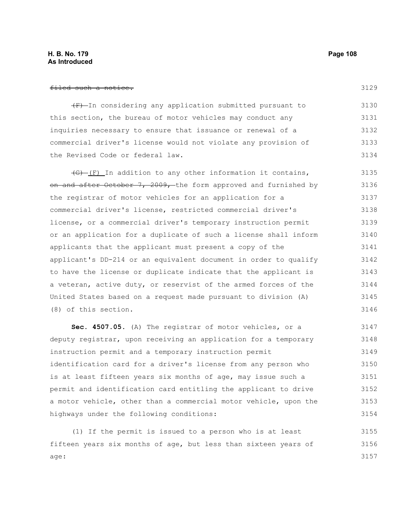### filed such a notice. (F) In considering any application submitted pursuant to this section, the bureau of motor vehicles may conduct any inquiries necessary to ensure that issuance or renewal of a commercial driver's license would not violate any provision of the Revised Code or federal law.  $\overline{(G) - (F)}$  In addition to any other information it contains, on and after October 7, 2009, the form approved and furnished by the registrar of motor vehicles for an application for a commercial driver's license, restricted commercial driver's license, or a commercial driver's temporary instruction permit or an application for a duplicate of such a license shall inform applicants that the applicant must present a copy of the applicant's DD-214 or an equivalent document in order to qualify to have the license or duplicate indicate that the applicant is a veteran, active duty, or reservist of the armed forces of the United States based on a request made pursuant to division (A) (8) of this section. **Sec. 4507.05.** (A) The registrar of motor vehicles, or a deputy registrar, upon receiving an application for a temporary instruction permit and a temporary instruction permit identification card for a driver's license from any person who is at least fifteen years six months of age, may issue such a permit and identification card entitling the applicant to drive a motor vehicle, other than a commercial motor vehicle, upon the highways under the following conditions: 3129 3130 3131 3132 3133 3134 3135 3136 3137 3138 3139 3140 3141 3142 3143 3144 3145 3146 3147 3148 3149 3150 3151 3152 3153 3154

(1) If the permit is issued to a person who is at least fifteen years six months of age, but less than sixteen years of age: 3155 3156 3157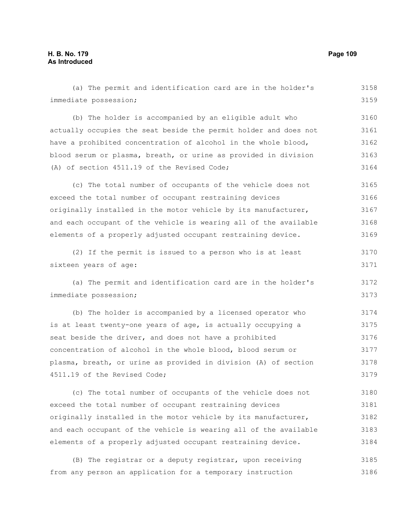| (a) The permit and identification card are in the holder's       | 3158 |
|------------------------------------------------------------------|------|
| immediate possession;                                            | 3159 |
| (b) The holder is accompanied by an eligible adult who           | 3160 |
| actually occupies the seat beside the permit holder and does not | 3161 |
| have a prohibited concentration of alcohol in the whole blood,   | 3162 |
| blood serum or plasma, breath, or urine as provided in division  | 3163 |
| (A) of section 4511.19 of the Revised Code;                      | 3164 |
| (c) The total number of occupants of the vehicle does not        | 3165 |
| exceed the total number of occupant restraining devices          | 3166 |
| originally installed in the motor vehicle by its manufacturer,   | 3167 |
| and each occupant of the vehicle is wearing all of the available | 3168 |
| elements of a properly adjusted occupant restraining device.     | 3169 |
| (2) If the permit is issued to a person who is at least          | 3170 |
| sixteen years of age:                                            | 3171 |
| (a) The permit and identification card are in the holder's       | 3172 |
| immediate possession;                                            | 3173 |
| (b) The holder is accompanied by a licensed operator who         | 3174 |
| is at least twenty-one years of age, is actually occupying a     | 3175 |
| seat beside the driver, and does not have a prohibited           | 3176 |
| concentration of alcohol in the whole blood, blood serum or      | 3177 |
| plasma, breath, or urine as provided in division (A) of section  | 3178 |
| 4511.19 of the Revised Code;                                     | 3179 |
| (c) The total number of occupants of the vehicle does not        | 3180 |
| exceed the total number of occupant restraining devices          | 3181 |
| originally installed in the motor vehicle by its manufacturer,   | 3182 |
| and each occupant of the vehicle is wearing all of the available | 3183 |
| elements of a properly adjusted occupant restraining device.     | 3184 |
| (B) The registrar or a deputy registrar, upon receiving          | 3185 |
| from any person an application for a temporary instruction       | 3186 |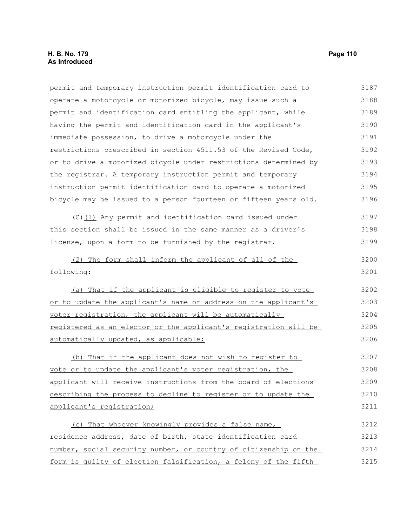permit and temporary instruction permit identification card to operate a motorcycle or motorized bicycle, may issue such a permit and identification card entitling the applicant, while having the permit and identification card in the applicant's immediate possession, to drive a motorcycle under the restrictions prescribed in section 4511.53 of the Revised Code, or to drive a motorized bicycle under restrictions determined by the registrar. A temporary instruction permit and temporary instruction permit identification card to operate a motorized bicycle may be issued to a person fourteen or fifteen years old. (C)(1) Any permit and identification card issued under this section shall be issued in the same manner as a driver's license, upon a form to be furnished by the registrar. (2) The form shall inform the applicant of all of the following: (a) That if the applicant is eligible to register to vote or to update the applicant's name or address on the applicant's voter registration, the applicant will be automatically registered as an elector or the applicant's registration will be automatically updated, as applicable; (b) That if the applicant does not wish to register to vote or to update the applicant's voter registration, the applicant will receive instructions from the board of elections describing the process to decline to register or to update the applicant's registration; (c) That whoever knowingly provides a false name, residence address, date of birth, state identification card number, social security number, or country of citizenship on the 3187 3188 3189 3190 3191 3192 3193 3194 3195 3196 3197 3198 3199 3200 3201 3202 3203 3204 3205 3206 3207 3208 3209 3210 3211 3212 3213 3214

form is guilty of election falsification, a felony of the fifth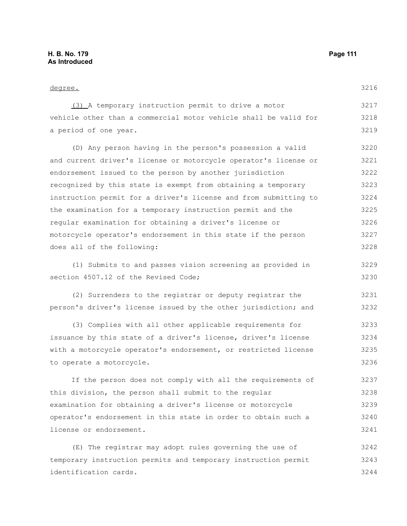| <u>degree.</u>                                                   | 3216 |
|------------------------------------------------------------------|------|
| (3) A temporary instruction permit to drive a motor              | 3217 |
| vehicle other than a commercial motor vehicle shall be valid for | 3218 |
| a period of one year.                                            | 3219 |
| (D) Any person having in the person's possession a valid         | 3220 |
| and current driver's license or motorcycle operator's license or | 3221 |
| endorsement issued to the person by another jurisdiction         | 3222 |
| recognized by this state is exempt from obtaining a temporary    | 3223 |
| instruction permit for a driver's license and from submitting to | 3224 |
| the examination for a temporary instruction permit and the       | 3225 |
| regular examination for obtaining a driver's license or          | 3226 |
| motorcycle operator's endorsement in this state if the person    | 3227 |
| does all of the following:                                       | 3228 |
| (1) Submits to and passes vision screening as provided in        | 3229 |
| section 4507.12 of the Revised Code;                             | 3230 |
| (2) Surrenders to the registrar or deputy registrar the          | 3231 |
| person's driver's license issued by the other jurisdiction; and  | 3232 |
| (3) Complies with all other applicable requirements for          | 3233 |
| issuance by this state of a driver's license, driver's license   | 3234 |
| with a motorcycle operator's endorsement, or restricted license  | 3235 |
| to operate a motorcycle.                                         | 3236 |
| If the person does not comply with all the requirements of       | 3237 |
| this division, the person shall submit to the regular            | 3238 |
| examination for obtaining a driver's license or motorcycle       | 3239 |
| operator's endorsement in this state in order to obtain such a   | 3240 |
| license or endorsement.                                          | 3241 |
| (E) The registrar may adopt rules governing the use of           | 3242 |
| temporary instruction permits and temporary instruction permit   | 3243 |
| identification cards.                                            | 3244 |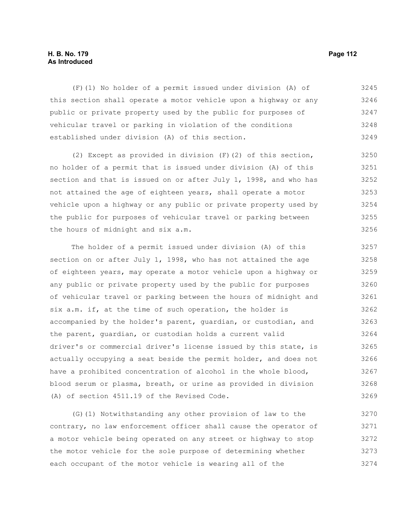## **H. B. No. 179 Page 112 As Introduced**

(F)(1) No holder of a permit issued under division (A) of this section shall operate a motor vehicle upon a highway or any public or private property used by the public for purposes of vehicular travel or parking in violation of the conditions established under division (A) of this section. 3245 3246 3247 3248 3249

(2) Except as provided in division (F)(2) of this section, no holder of a permit that is issued under division (A) of this section and that is issued on or after July 1, 1998, and who has not attained the age of eighteen years, shall operate a motor vehicle upon a highway or any public or private property used by the public for purposes of vehicular travel or parking between the hours of midnight and six a.m. 3250 3251 3252 3253 3254 3255 3256

The holder of a permit issued under division (A) of this section on or after July 1, 1998, who has not attained the age of eighteen years, may operate a motor vehicle upon a highway or any public or private property used by the public for purposes of vehicular travel or parking between the hours of midnight and six a.m. if, at the time of such operation, the holder is accompanied by the holder's parent, guardian, or custodian, and the parent, guardian, or custodian holds a current valid driver's or commercial driver's license issued by this state, is actually occupying a seat beside the permit holder, and does not have a prohibited concentration of alcohol in the whole blood, blood serum or plasma, breath, or urine as provided in division (A) of section 4511.19 of the Revised Code. 3257 3258 3259 3260 3261 3262 3263 3264 3265 3266 3267 3268 3269

(G)(1) Notwithstanding any other provision of law to the contrary, no law enforcement officer shall cause the operator of a motor vehicle being operated on any street or highway to stop the motor vehicle for the sole purpose of determining whether each occupant of the motor vehicle is wearing all of the 3270 3271 3272 3273 3274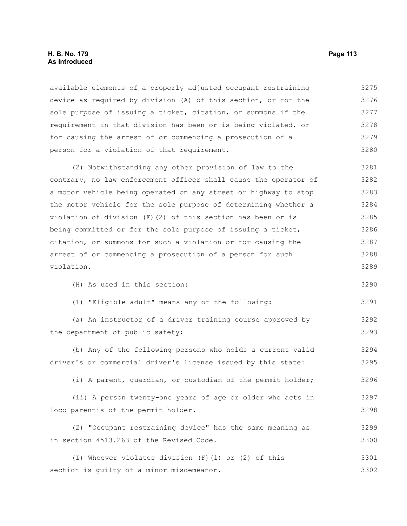## **H. B. No. 179 Page 113 As Introduced**

available elements of a properly adjusted occupant restraining device as required by division (A) of this section, or for the sole purpose of issuing a ticket, citation, or summons if the requirement in that division has been or is being violated, or for causing the arrest of or commencing a prosecution of a person for a violation of that requirement. 3275 3276 3277 3278 3279 3280

(2) Notwithstanding any other provision of law to the contrary, no law enforcement officer shall cause the operator of a motor vehicle being operated on any street or highway to stop the motor vehicle for the sole purpose of determining whether a violation of division (F)(2) of this section has been or is being committed or for the sole purpose of issuing a ticket, citation, or summons for such a violation or for causing the arrest of or commencing a prosecution of a person for such violation. 3281 3282 3283 3284 3285 3286 3287 3288 3289

(H) As used in this section:

(1) "Eligible adult" means any of the following:

(a) An instructor of a driver training course approved by the department of public safety; 3292 3293

(b) Any of the following persons who holds a current valid driver's or commercial driver's license issued by this state: 3294 3295

(i) A parent, guardian, or custodian of the permit holder; 3296

(ii) A person twenty-one years of age or older who acts in loco parentis of the permit holder. 3297 3298

(2) "Occupant restraining device" has the same meaning as in section 4513.263 of the Revised Code. 3299 3300

(I) Whoever violates division (F)(1) or (2) of this section is guilty of a minor misdemeanor. 3301 3302

3290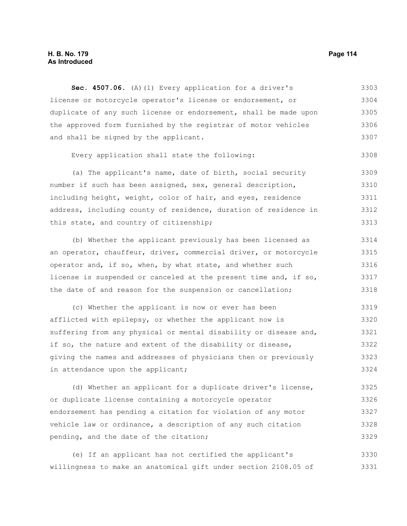## **H. B. No. 179 Page 114 As Introduced**

**Sec. 4507.06.** (A)(1) Every application for a driver's license or motorcycle operator's license or endorsement, or duplicate of any such license or endorsement, shall be made upon the approved form furnished by the registrar of motor vehicles and shall be signed by the applicant. Every application shall state the following: (a) The applicant's name, date of birth, social security number if such has been assigned, sex, general description, including height, weight, color of hair, and eyes, residence address, including county of residence, duration of residence in this state, and country of citizenship; (b) Whether the applicant previously has been licensed as an operator, chauffeur, driver, commercial driver, or motorcycle operator and, if so, when, by what state, and whether such license is suspended or canceled at the present time and, if so, the date of and reason for the suspension or cancellation; (c) Whether the applicant is now or ever has been afflicted with epilepsy, or whether the applicant now is suffering from any physical or mental disability or disease and, if so, the nature and extent of the disability or disease, giving the names and addresses of physicians then or previously in attendance upon the applicant; (d) Whether an applicant for a duplicate driver's license, or duplicate license containing a motorcycle operator endorsement has pending a citation for violation of any motor vehicle law or ordinance, a description of any such citation pending, and the date of the citation; (e) If an applicant has not certified the applicant's 3303 3304 3305 3306 3307 3308 3309 3310 3311 3312 3313 3314 3315 3316 3317 3318 3319 3320 3321 3322 3323 3324 3325 3326 3327 3328 3329 3330

willingness to make an anatomical gift under section 2108.05 of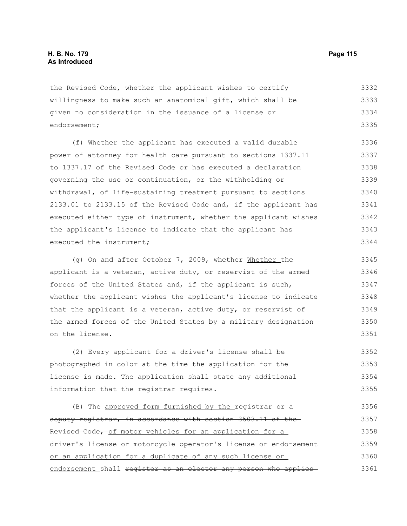the Revised Code, whether the applicant wishes to certify willingness to make such an anatomical gift, which shall be given no consideration in the issuance of a license or endorsement; 3332 3333 3334 3335

(f) Whether the applicant has executed a valid durable power of attorney for health care pursuant to sections 1337.11 to 1337.17 of the Revised Code or has executed a declaration governing the use or continuation, or the withholding or withdrawal, of life-sustaining treatment pursuant to sections 2133.01 to 2133.15 of the Revised Code and, if the applicant has executed either type of instrument, whether the applicant wishes the applicant's license to indicate that the applicant has executed the instrument; 3336 3337 3338 3339 3340 3341 3342 3343 3344

(g) On and after October 7, 2009, whether Whether the applicant is a veteran, active duty, or reservist of the armed forces of the United States and, if the applicant is such, whether the applicant wishes the applicant's license to indicate that the applicant is a veteran, active duty, or reservist of the armed forces of the United States by a military designation on the license. 3345 3346 3347 3348 3349 3350 3351

(2) Every applicant for a driver's license shall be photographed in color at the time the application for the license is made. The application shall state any additional information that the registrar requires. 3352 3353 3354 3355

(B) The approved form furnished by the registrar  $or$   $a$ deputy registrar, in accordance with section 3503.11 of the Revised Code, of motor vehicles for an application for a driver's license or motorcycle operator's license or endorsement or an application for a duplicate of any such license or endorsement shall register as an elector any person who applies-3356 3357 3358 3359 3360 3361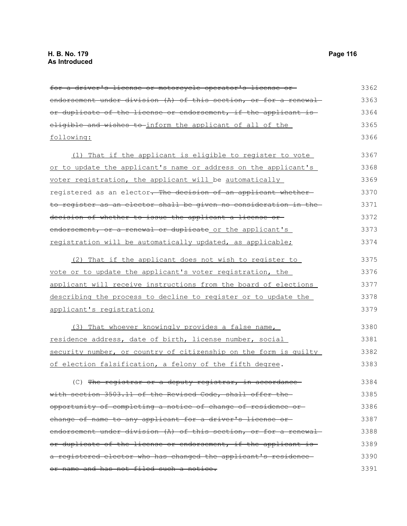for a driver's license or motorcycle operator's license or endorsement under division (A) of this section, or for a renewal or duplicate of the license or endorsement, if the applicant iseligible and wishes to inform the applicant of all of the following: (1) That if the applicant is eligible to register to vote or to update the applicant's name or address on the applicant's voter registration, the applicant will be automatically registered as an elector. The decision of an applicant whetherto register as an elector shall be given no consideration in the decision of whether to issue the applicant a license or endorsement, or a renewal or duplicate or the applicant's registration will be automatically updated, as applicable; (2) That if the applicant does not wish to register to vote or to update the applicant's voter registration, the applicant will receive instructions from the board of elections describing the process to decline to register or to update the applicant's registration; (3) That whoever knowingly provides a false name, residence address, date of birth, license number, social security number, or country of citizenship on the form is guilty of election falsification, a felony of the fifth degree. (C) The registrar or a deputy registrar, in accordance with section 3503.11 of the Revised Code, shall offer the opportunity of completing a notice of change of residence or change of name to any applicant for a driver's license or endorsement under division (A) of this section, or for a renewal or duplicate of the license or endorsement, if the applicant is a registered elector who has changed the applicant's residence 3362 3363 3364 3365 3366 3367 3368 3369 3370 3371 3372 3373 3374 3375 3376 3377 3378 3379 3380 3381 3382 3383 3384 3385 3386 3387 3388 3389 3390

or name and has not filed such a notice.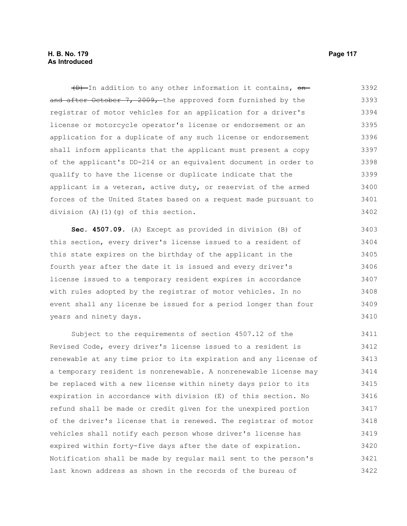$(D)$  In addition to any other information it contains, onand after October 7, 2009, the approved form furnished by the registrar of motor vehicles for an application for a driver's license or motorcycle operator's license or endorsement or an application for a duplicate of any such license or endorsement shall inform applicants that the applicant must present a copy of the applicant's DD-214 or an equivalent document in order to qualify to have the license or duplicate indicate that the applicant is a veteran, active duty, or reservist of the armed forces of the United States based on a request made pursuant to division (A)(1)(g) of this section. 3392 3393 3394 3395 3396 3397 3398 3399 3400 3401 3402

**Sec. 4507.09.** (A) Except as provided in division (B) of this section, every driver's license issued to a resident of this state expires on the birthday of the applicant in the fourth year after the date it is issued and every driver's license issued to a temporary resident expires in accordance with rules adopted by the registrar of motor vehicles. In no event shall any license be issued for a period longer than four years and ninety days.

Subject to the requirements of section 4507.12 of the Revised Code, every driver's license issued to a resident is renewable at any time prior to its expiration and any license of a temporary resident is nonrenewable. A nonrenewable license may be replaced with a new license within ninety days prior to its expiration in accordance with division (E) of this section. No refund shall be made or credit given for the unexpired portion of the driver's license that is renewed. The registrar of motor vehicles shall notify each person whose driver's license has expired within forty-five days after the date of expiration. Notification shall be made by regular mail sent to the person's last known address as shown in the records of the bureau of 3411 3412 3413 3414 3415 3416 3417 3418 3419 3420 3421 3422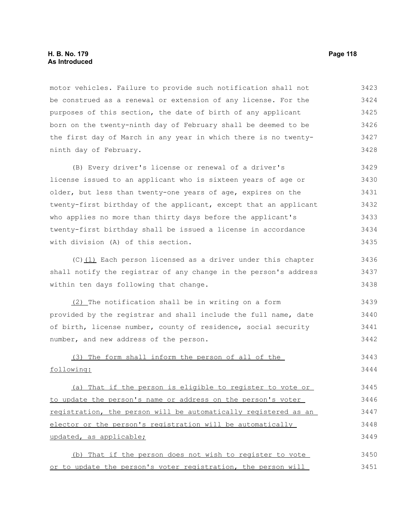motor vehicles. Failure to provide such notification shall not be construed as a renewal or extension of any license. For the purposes of this section, the date of birth of any applicant born on the twenty-ninth day of February shall be deemed to be the first day of March in any year in which there is no twentyninth day of February. 3423 3424 3425 3426 3427 3428

(B) Every driver's license or renewal of a driver's license issued to an applicant who is sixteen years of age or older, but less than twenty-one years of age, expires on the twenty-first birthday of the applicant, except that an applicant who applies no more than thirty days before the applicant's twenty-first birthday shall be issued a license in accordance with division (A) of this section. 3429 3430 3431 3432 3433 3434 3435

(C)(1) Each person licensed as a driver under this chapter shall notify the registrar of any change in the person's address within ten days following that change. 3436 3437 3438

 (2) The notification shall be in writing on a form provided by the registrar and shall include the full name, date of birth, license number, county of residence, social security number, and new address of the person. 3439 3440 3441 3442

(3) The form shall inform the person of all of the following: 3443 3444

(a) That if the person is eligible to register to vote or to update the person's name or address on the person's voter registration, the person will be automatically registered as an elector or the person's registration will be automatically updated, as applicable; 3445 3446 3447 3448 3449

(b) That if the person does not wish to register to vote or to update the person's voter registration, the person will 3450 3451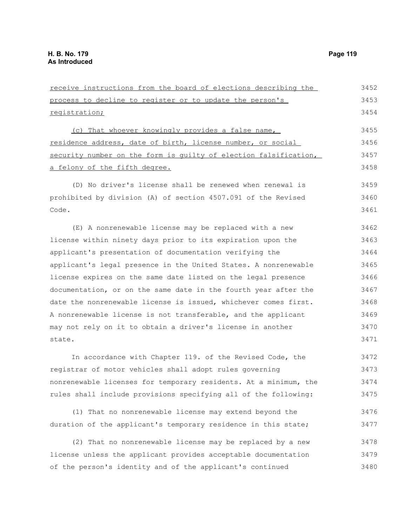| receive instructions from the board of elections describing the  | 3452 |
|------------------------------------------------------------------|------|
| process to decline to register or to update the person's         | 3453 |
| registration;                                                    | 3454 |
| (c) That whoever knowingly provides a false name,                | 3455 |
| residence address, date of birth, license number, or social      | 3456 |
| security number on the form is quilty of election falsification, | 3457 |
| a felony of the fifth degree.                                    | 3458 |
| (D) No driver's license shall be renewed when renewal is         | 3459 |
| prohibited by division (A) of section 4507.091 of the Revised    | 3460 |
| Code.                                                            | 3461 |
| (E) A nonrenewable license may be replaced with a new            | 3462 |
| license within ninety days prior to its expiration upon the      | 3463 |
| applicant's presentation of documentation verifying the          | 3464 |
| applicant's legal presence in the United States. A nonrenewable  | 3465 |
| license expires on the same date listed on the legal presence    | 3466 |
| documentation, or on the same date in the fourth year after the  | 3467 |
| date the nonrenewable license is issued, whichever comes first.  | 3468 |
| A nonrenewable license is not transferable, and the applicant    | 3469 |
| may not rely on it to obtain a driver's license in another       | 3470 |
| state.                                                           | 3471 |
| In accordance with Chapter 119. of the Revised Code, the         | 3472 |
| registrar of motor vehicles shall adopt rules governing          | 3473 |
| nonrenewable licenses for temporary residents. At a minimum, the | 3474 |
| rules shall include provisions specifying all of the following:  | 3475 |
| (1) That no nonrenewable license may extend beyond the           | 3476 |
| duration of the applicant's temporary residence in this state;   | 3477 |
| (2) That no nonrenewable license may be replaced by a new        | 3478 |
| license unless the applicant provides acceptable documentation   | 3479 |
| of the person's identity and of the applicant's continued        | 3480 |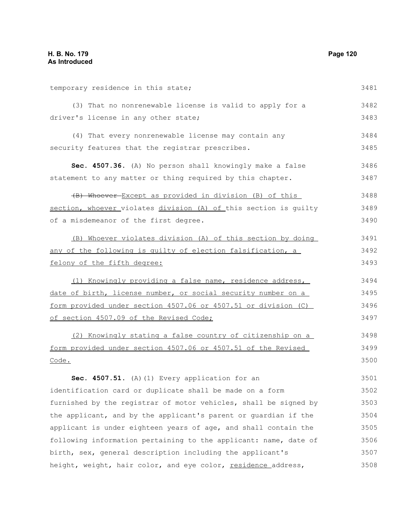| temporary residence in this state;                               | 3481 |
|------------------------------------------------------------------|------|
| (3) That no nonrenewable license is valid to apply for a         | 3482 |
| driver's license in any other state;                             | 3483 |
| (4) That every nonrenewable license may contain any              | 3484 |
| security features that the registrar prescribes.                 | 3485 |
| Sec. 4507.36. (A) No person shall knowingly make a false         | 3486 |
| statement to any matter or thing required by this chapter.       | 3487 |
| (B) Whoever-Except as provided in division (B) of this           | 3488 |
| section, whoever violates division (A) of this section is quilty | 3489 |
| of a misdemeanor of the first degree.                            | 3490 |
| (B) Whoever violates division (A) of this section by doing       | 3491 |
| any of the following is quilty of election falsification, a      | 3492 |
| felony of the fifth degree:                                      | 3493 |
| (1) Knowingly providing a false name, residence address,         | 3494 |
| date of birth, license number, or social security number on a    | 3495 |
| form provided under section 4507.06 or 4507.51 or division (C)   | 3496 |
| of section 4507.09 of the Revised Code;                          | 3497 |
| (2) Knowingly stating a false country of citizenship on a        | 3498 |
| form provided under section 4507.06 or 4507.51 of the Revised    | 3499 |
| Code.                                                            | 3500 |
| Sec. 4507.51. (A) (1) Every application for an                   | 3501 |
| identification card or duplicate shall be made on a form         | 3502 |
| furnished by the registrar of motor vehicles, shall be signed by | 3503 |
| the applicant, and by the applicant's parent or guardian if the  | 3504 |
| applicant is under eighteen years of age, and shall contain the  | 3505 |
| following information pertaining to the applicant: name, date of | 3506 |
| birth, sex, general description including the applicant's        | 3507 |
| height, weight, hair color, and eye color, residence address,    | 3508 |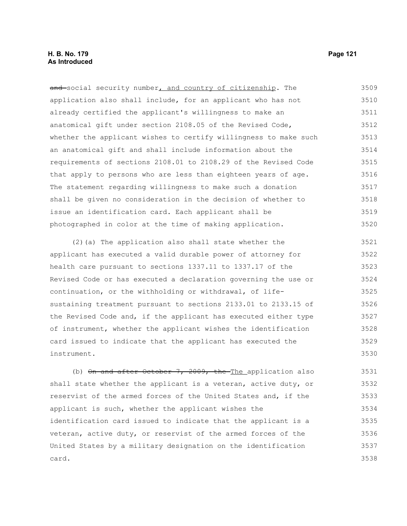and-social security number, and country of citizenship. The application also shall include, for an applicant who has not already certified the applicant's willingness to make an anatomical gift under section 2108.05 of the Revised Code, whether the applicant wishes to certify willingness to make such an anatomical gift and shall include information about the requirements of sections 2108.01 to 2108.29 of the Revised Code that apply to persons who are less than eighteen years of age. The statement regarding willingness to make such a donation shall be given no consideration in the decision of whether to issue an identification card. Each applicant shall be photographed in color at the time of making application. 3509 3510 3511 3512 3513 3514 3515 3516 3517 3518 3519 3520

(2)(a) The application also shall state whether the applicant has executed a valid durable power of attorney for health care pursuant to sections 1337.11 to 1337.17 of the Revised Code or has executed a declaration governing the use or continuation, or the withholding or withdrawal, of lifesustaining treatment pursuant to sections 2133.01 to 2133.15 of the Revised Code and, if the applicant has executed either type of instrument, whether the applicant wishes the identification card issued to indicate that the applicant has executed the instrument. 3521 3522 3523 3524 3525 3526 3527 3528 3529 3530

(b)  $\Theta$ n and after October 7, 2009, the The application also shall state whether the applicant is a veteran, active duty, or reservist of the armed forces of the United States and, if the applicant is such, whether the applicant wishes the identification card issued to indicate that the applicant is a veteran, active duty, or reservist of the armed forces of the United States by a military designation on the identification card. 3531 3532 3533 3534 3535 3536 3537 3538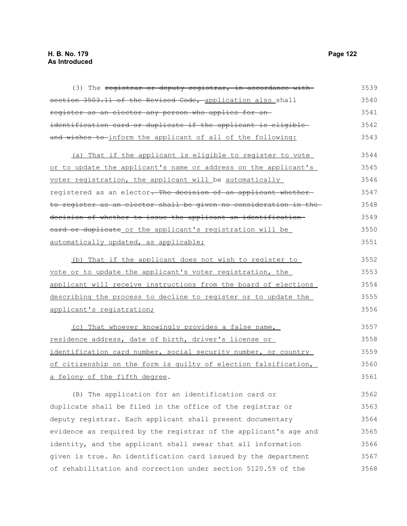| (3) The registrar or deputy registrar, in accordance with        | 3539 |
|------------------------------------------------------------------|------|
| section 3503.11 of the Revised Code, application also shall      | 3540 |
| register as an elector any person who applies for an-            | 3541 |
| identification card or duplicate if the applicant is eligible-   | 3542 |
| and wishes to-inform the applicant of all of the following:      | 3543 |
| (a) That if the applicant is eligible to register to vote        | 3544 |
| or to update the applicant's name or address on the applicant's  | 3545 |
| voter registration, the applicant will be automatically          | 3546 |
| registered as an elector. The decision of an applicant whether-  | 3547 |
| to register as an elector shall be given no consideration in the | 3548 |
| decision of whether to issue the applicant an identification     | 3549 |
| eard or duplicate_or the applicant's registration will be_       | 3550 |
| automatically updated, as applicable;                            | 3551 |
| (b) That if the applicant does not wish to register to           | 3552 |
| vote or to update the applicant's voter registration, the        | 3553 |
| applicant will receive instructions from the board of elections  | 3554 |
| describing the process to decline to register or to update the   | 3555 |
| applicant's registration;                                        | 3556 |
| (c) That whoever knowingly provides a false name,                | 3557 |
| residence address, date of birth, driver's license or            | 3558 |
| identification card number, social security number, or country   | 3559 |
| of citizenship on the form is quilty of election falsification,  | 3560 |
| a felony of the fifth degree.                                    | 3561 |
| (B) The application for an identification card or                | 3562 |
| duplicate shall be filed in the office of the registrar or       | 3563 |
| deputy registrar. Each applicant shall present documentary       | 3564 |
| evidence as required by the registrar of the applicant's age and | 3565 |
| identity, and the applicant shall swear that all information     | 3566 |
| given is true. An identification card issued by the department   | 3567 |

of rehabilitation and correction under section 5120.59 of the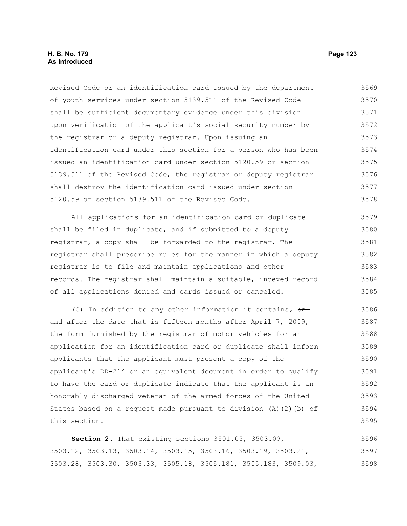## **H. B. No. 179 Page 123 As Introduced**

Revised Code or an identification card issued by the department of youth services under section 5139.511 of the Revised Code shall be sufficient documentary evidence under this division upon verification of the applicant's social security number by the registrar or a deputy registrar. Upon issuing an identification card under this section for a person who has been issued an identification card under section 5120.59 or section 5139.511 of the Revised Code, the registrar or deputy registrar shall destroy the identification card issued under section 5120.59 or section 5139.511 of the Revised Code. 3569 3570 3571 3572 3573 3574 3575 3576 3577 3578

All applications for an identification card or duplicate shall be filed in duplicate, and if submitted to a deputy registrar, a copy shall be forwarded to the registrar. The registrar shall prescribe rules for the manner in which a deputy registrar is to file and maintain applications and other records. The registrar shall maintain a suitable, indexed record of all applications denied and cards issued or canceled. 3579 3580 3581 3582 3583 3584 3585

(C) In addition to any other information it contains,  $\Theta$ and after the date that is fifteen months after April 7, 2009, the form furnished by the registrar of motor vehicles for an application for an identification card or duplicate shall inform applicants that the applicant must present a copy of the applicant's DD-214 or an equivalent document in order to qualify to have the card or duplicate indicate that the applicant is an honorably discharged veteran of the armed forces of the United States based on a request made pursuant to division (A)(2)(b) of this section. 3586 3587 3588 3589 3590 3591 3592 3593 3594 3595

**Section 2.** That existing sections 3501.05, 3503.09, 3503.12, 3503.13, 3503.14, 3503.15, 3503.16, 3503.19, 3503.21, 3503.28, 3503.30, 3503.33, 3505.18, 3505.181, 3505.183, 3509.03, 3596 3597 3598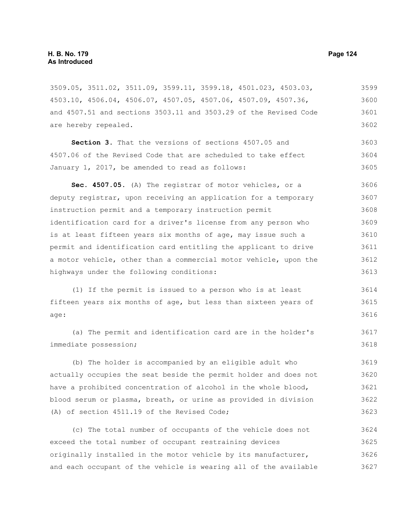3509.05, 3511.02, 3511.09, 3599.11, 3599.18, 4501.023, 4503.03, 4503.10, 4506.04, 4506.07, 4507.05, 4507.06, 4507.09, 4507.36, and 4507.51 and sections 3503.11 and 3503.29 of the Revised Code are hereby repealed. 3599 3600 3601 3602

**Section 3.** That the versions of sections 4507.05 and 4507.06 of the Revised Code that are scheduled to take effect January 1, 2017, be amended to read as follows: 3603 3604 3605

**Sec. 4507.05.** (A) The registrar of motor vehicles, or a deputy registrar, upon receiving an application for a temporary instruction permit and a temporary instruction permit identification card for a driver's license from any person who is at least fifteen years six months of age, may issue such a permit and identification card entitling the applicant to drive a motor vehicle, other than a commercial motor vehicle, upon the highways under the following conditions: 3606 3607 3608 3609 3610 3611 3612 3613

(1) If the permit is issued to a person who is at least fifteen years six months of age, but less than sixteen years of age: 3614 3615 3616

(a) The permit and identification card are in the holder's immediate possession; 3617 3618

(b) The holder is accompanied by an eligible adult who actually occupies the seat beside the permit holder and does not have a prohibited concentration of alcohol in the whole blood, blood serum or plasma, breath, or urine as provided in division (A) of section 4511.19 of the Revised Code; 3619 3620 3621 3622 3623

(c) The total number of occupants of the vehicle does not exceed the total number of occupant restraining devices originally installed in the motor vehicle by its manufacturer, and each occupant of the vehicle is wearing all of the available 3624 3625 3626 3627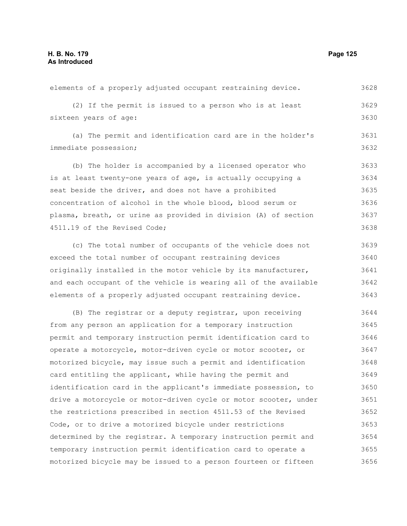(2) If the permit is issued to a person who is at least sixteen years of age: (a) The permit and identification card are in the holder's immediate possession; (b) The holder is accompanied by a licensed operator who is at least twenty-one years of age, is actually occupying a seat beside the driver, and does not have a prohibited concentration of alcohol in the whole blood, blood serum or plasma, breath, or urine as provided in division (A) of section 4511.19 of the Revised Code; (c) The total number of occupants of the vehicle does not exceed the total number of occupant restraining devices originally installed in the motor vehicle by its manufacturer, and each occupant of the vehicle is wearing all of the available elements of a properly adjusted occupant restraining device. (B) The registrar or a deputy registrar, upon receiving from any person an application for a temporary instruction permit and temporary instruction permit identification card to operate a motorcycle, motor-driven cycle or motor scooter, or motorized bicycle, may issue such a permit and identification card entitling the applicant, while having the permit and identification card in the applicant's immediate possession, to drive a motorcycle or motor-driven cycle or motor scooter, under the restrictions prescribed in section 4511.53 of the Revised Code, or to drive a motorized bicycle under restrictions determined by the registrar. A temporary instruction permit and temporary instruction permit identification card to operate a 3629 3630 3631 3632 3633 3634 3635 3636 3637 3638 3639 3640 3641 3642 3643 3644 3645 3646 3647 3648 3649 3650 3651 3652 3653 3654 3655

motorized bicycle may be issued to a person fourteen or fifteen

elements of a properly adjusted occupant restraining device.

3628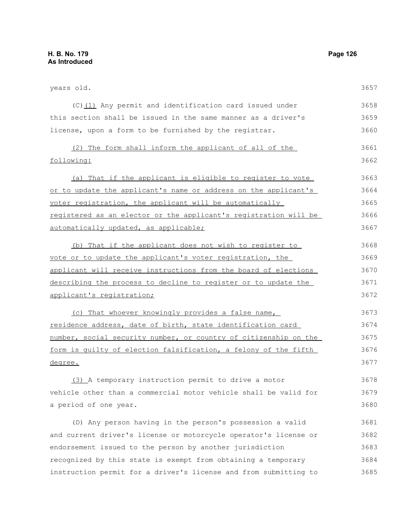years old. (C)(1) Any permit and identification card issued under this section shall be issued in the same manner as a driver's license, upon a form to be furnished by the registrar. (2) The form shall inform the applicant of all of the following: (a) That if the applicant is eligible to register to vote or to update the applicant's name or address on the applicant's voter registration, the applicant will be automatically registered as an elector or the applicant's registration will be automatically updated, as applicable; (b) That if the applicant does not wish to register to vote or to update the applicant's voter registration, the applicant will receive instructions from the board of elections describing the process to decline to register or to update the applicant's registration; (c) That whoever knowingly provides a false name, residence address, date of birth, state identification card number, social security number, or country of citizenship on the form is guilty of election falsification, a felony of the fifth degree. (3) A temporary instruction permit to drive a motor vehicle other than a commercial motor vehicle shall be valid for a period of one year. (D) Any person having in the person's possession a valid and current driver's license or motorcycle operator's license or endorsement issued to the person by another jurisdiction recognized by this state is exempt from obtaining a temporary instruction permit for a driver's license and from submitting to 3657 3658 3659 3660 3661 3662 3663 3664 3665 3666 3667 3668 3669 3670 3671 3672 3673 3674 3675 3676 3677 3678 3679 3680 3681 3682 3683 3684 3685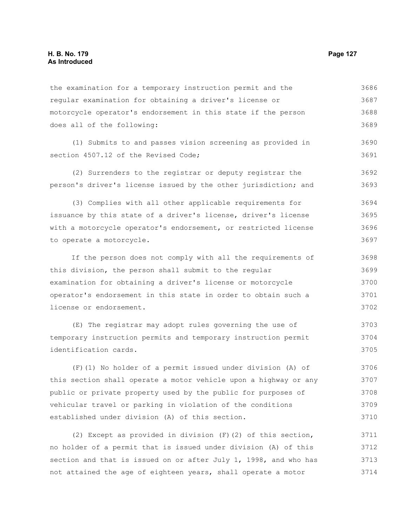the examination for a temporary instruction permit and the regular examination for obtaining a driver's license or motorcycle operator's endorsement in this state if the person does all of the following: (1) Submits to and passes vision screening as provided in section 4507.12 of the Revised Code: (2) Surrenders to the registrar or deputy registrar the person's driver's license issued by the other jurisdiction; and (3) Complies with all other applicable requirements for issuance by this state of a driver's license, driver's license with a motorcycle operator's endorsement, or restricted license to operate a motorcycle. If the person does not comply with all the requirements of this division, the person shall submit to the regular examination for obtaining a driver's license or motorcycle operator's endorsement in this state in order to obtain such a license or endorsement. (E) The registrar may adopt rules governing the use of 3687 3688 3689 3690 3691 3692 3693 3694 3695 3696 3697 3698 3699 3700 3701 3702 3703

temporary instruction permits and temporary instruction permit identification cards. 3704 3705

(F)(1) No holder of a permit issued under division (A) of this section shall operate a motor vehicle upon a highway or any public or private property used by the public for purposes of vehicular travel or parking in violation of the conditions established under division (A) of this section. 3706 3707 3708 3709 3710

(2) Except as provided in division (F)(2) of this section, no holder of a permit that is issued under division (A) of this section and that is issued on or after July 1, 1998, and who has not attained the age of eighteen years, shall operate a motor 3711 3712 3713 3714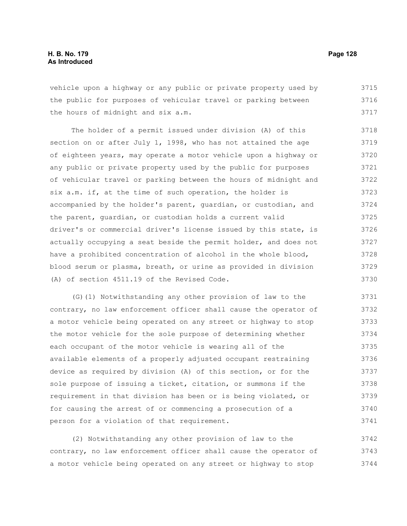vehicle upon a highway or any public or private property used by the public for purposes of vehicular travel or parking between the hours of midnight and six a.m. 3715 3716 3717

The holder of a permit issued under division (A) of this section on or after July 1, 1998, who has not attained the age of eighteen years, may operate a motor vehicle upon a highway or any public or private property used by the public for purposes of vehicular travel or parking between the hours of midnight and six a.m. if, at the time of such operation, the holder is accompanied by the holder's parent, guardian, or custodian, and the parent, guardian, or custodian holds a current valid driver's or commercial driver's license issued by this state, is actually occupying a seat beside the permit holder, and does not have a prohibited concentration of alcohol in the whole blood, blood serum or plasma, breath, or urine as provided in division (A) of section 4511.19 of the Revised Code. 3718 3719 3720 3721 3722 3723 3724 3725 3726 3727 3728 3729 3730

(G)(1) Notwithstanding any other provision of law to the contrary, no law enforcement officer shall cause the operator of a motor vehicle being operated on any street or highway to stop the motor vehicle for the sole purpose of determining whether each occupant of the motor vehicle is wearing all of the available elements of a properly adjusted occupant restraining device as required by division (A) of this section, or for the sole purpose of issuing a ticket, citation, or summons if the requirement in that division has been or is being violated, or for causing the arrest of or commencing a prosecution of a person for a violation of that requirement. 3731 3732 3733 3734 3735 3736 3737 3738 3739 3740 3741

(2) Notwithstanding any other provision of law to the contrary, no law enforcement officer shall cause the operator of a motor vehicle being operated on any street or highway to stop 3742 3743 3744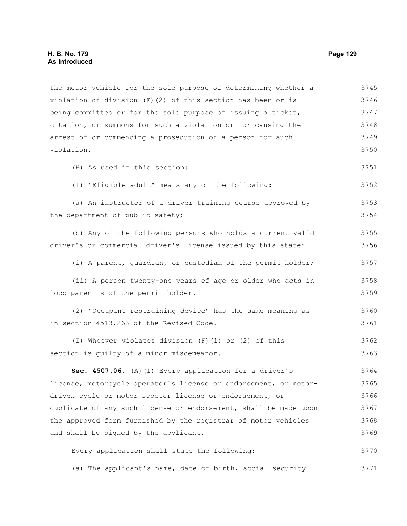violation of division (F)(2) of this section has been or is being committed or for the sole purpose of issuing a ticket, citation, or summons for such a violation or for causing the arrest of or commencing a prosecution of a person for such violation. (H) As used in this section: (1) "Eligible adult" means any of the following: (a) An instructor of a driver training course approved by the department of public safety; (b) Any of the following persons who holds a current valid driver's or commercial driver's license issued by this state: (i) A parent, guardian, or custodian of the permit holder; (ii) A person twenty-one years of age or older who acts in loco parentis of the permit holder. (2) "Occupant restraining device" has the same meaning as in section 4513.263 of the Revised Code. (I) Whoever violates division (F)(1) or (2) of this section is guilty of a minor misdemeanor. **Sec. 4507.06.** (A)(1) Every application for a driver's license, motorcycle operator's license or endorsement, or motordriven cycle or motor scooter license or endorsement, or duplicate of any such license or endorsement, shall be made upon the approved form furnished by the registrar of motor vehicles and shall be signed by the applicant. Every application shall state the following: 3746 3747 3748 3749 3750 3751 3752 3753 3754 3755 3756 3757 3758 3759 3760 3761 3762 3763 3764 3765 3766 3767 3768 3769 3770

the motor vehicle for the sole purpose of determining whether a

(a) The applicant's name, date of birth, social security 3771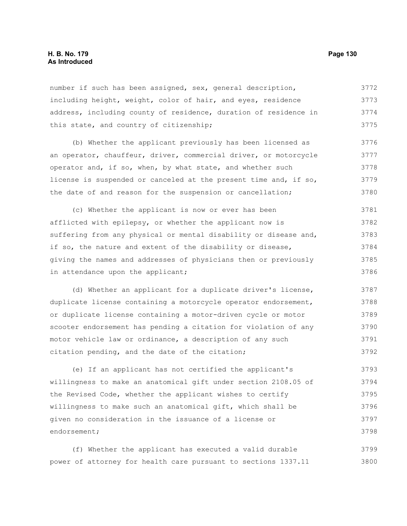number if such has been assigned, sex, general description, including height, weight, color of hair, and eyes, residence address, including county of residence, duration of residence in this state, and country of citizenship; 3772 3773 3774 3775

(b) Whether the applicant previously has been licensed as an operator, chauffeur, driver, commercial driver, or motorcycle operator and, if so, when, by what state, and whether such license is suspended or canceled at the present time and, if so, the date of and reason for the suspension or cancellation; 3776 3777 3778 3779 3780

(c) Whether the applicant is now or ever has been afflicted with epilepsy, or whether the applicant now is suffering from any physical or mental disability or disease and, if so, the nature and extent of the disability or disease, giving the names and addresses of physicians then or previously in attendance upon the applicant; 3781 3782 3783 3784 3785 3786

(d) Whether an applicant for a duplicate driver's license, duplicate license containing a motorcycle operator endorsement, or duplicate license containing a motor-driven cycle or motor scooter endorsement has pending a citation for violation of any motor vehicle law or ordinance, a description of any such citation pending, and the date of the citation; 3787 3788 3789 3790 3791 3792

(e) If an applicant has not certified the applicant's willingness to make an anatomical gift under section 2108.05 of the Revised Code, whether the applicant wishes to certify willingness to make such an anatomical gift, which shall be given no consideration in the issuance of a license or endorsement; 3793 3794 3795 3796 3797 3798

(f) Whether the applicant has executed a valid durable power of attorney for health care pursuant to sections 1337.11 3799 3800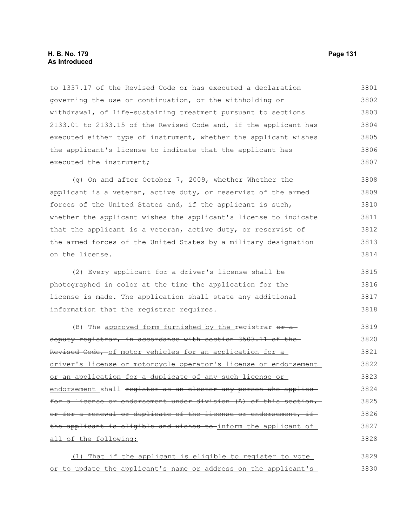to 1337.17 of the Revised Code or has executed a declaration governing the use or continuation, or the withholding or withdrawal, of life-sustaining treatment pursuant to sections 2133.01 to 2133.15 of the Revised Code and, if the applicant has executed either type of instrument, whether the applicant wishes the applicant's license to indicate that the applicant has executed the instrument; 3801 3802 3803 3804 3805 3806 3807

(g)  $\Theta$ n and after October 7, 2009, whether Whether the applicant is a veteran, active duty, or reservist of the armed forces of the United States and, if the applicant is such, whether the applicant wishes the applicant's license to indicate that the applicant is a veteran, active duty, or reservist of the armed forces of the United States by a military designation on the license. 3808 3809 3810 3811 3812 3813 3814

(2) Every applicant for a driver's license shall be photographed in color at the time the application for the license is made. The application shall state any additional information that the registrar requires. 3815 3816 3817 3818

(B) The approved form furnished by the registrar  $o$ r  $a$ deputy registrar, in accordance with section 3503.11 of the Revised Code, of motor vehicles for an application for a driver's license or motorcycle operator's license or endorsement or an application for a duplicate of any such license or endorsement shall register as an elector any person who applies for a license or endorsement under division (A) of this section, or for a renewal or duplicate of the license or endorsement, if the applicant is eligible and wishes to inform the applicant of all of the following: 3819 3820 3821 3822 3823 3824 3825 3826 3827 3828

(1) That if the applicant is eligible to register to vote or to update the applicant's name or address on the applicant's 3829 3830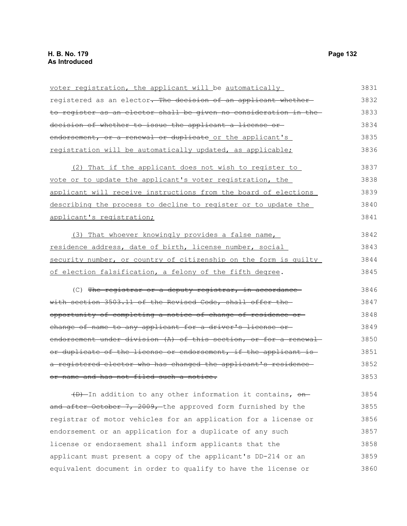| voter registration, the applicant will be automatically          | 3831 |
|------------------------------------------------------------------|------|
| registered as an elector. The decision of an applicant whether-  | 3832 |
| to register as an elector shall be given no consideration in the | 3833 |
| decision of whether to issue the applicant a license or-         | 3834 |
| endorsement, or a renewal or duplicate or the applicant's        | 3835 |
| registration will be automatically updated, as applicable;       | 3836 |
| (2) That if the applicant does not wish to register to           | 3837 |
| vote or to update the applicant's voter registration, the        | 3838 |
| applicant will receive instructions from the board of elections  | 3839 |
| describing the process to decline to register or to update the   | 3840 |
| applicant's registration;                                        | 3841 |
| (3) That whoever knowingly provides a false name,                | 3842 |
| residence address, date of birth, license number, social         | 3843 |
| security number, or country of citizenship on the form is quilty | 3844 |
| of election falsification, a felony of the fifth degree.         | 3845 |
| (C) The registrar or a deputy registrar, in accordance           | 3846 |
| with section 3503.11 of the Revised Code, shall offer the-       | 3847 |
| opportunity of completing a notice of change of residence or     | 3848 |
| change of name to any applicant for a driver's license or-       | 3849 |
| endorsement under division (A) of this section, or for a renewal | 3850 |
| or duplicate of the license or endorsement, if the applicant is  | 3851 |
| a registered elector who has changed the applicant's residence-  | 3852 |
| or name and has not filed such a notice.                         | 3853 |
| (D) In addition to any other information it contains, on         | 3854 |
| and after October 7, 2009, the approved form furnished by the    | 3855 |
| registrar of motor vehicles for an application for a license or  | 3856 |
| endorsement or an application for a duplicate of any such        | 3857 |
| license or endorsement shall inform applicants that the          | 3858 |
| applicant must present a copy of the applicant's DD-214 or an    | 3859 |

equivalent document in order to qualify to have the license or 3860